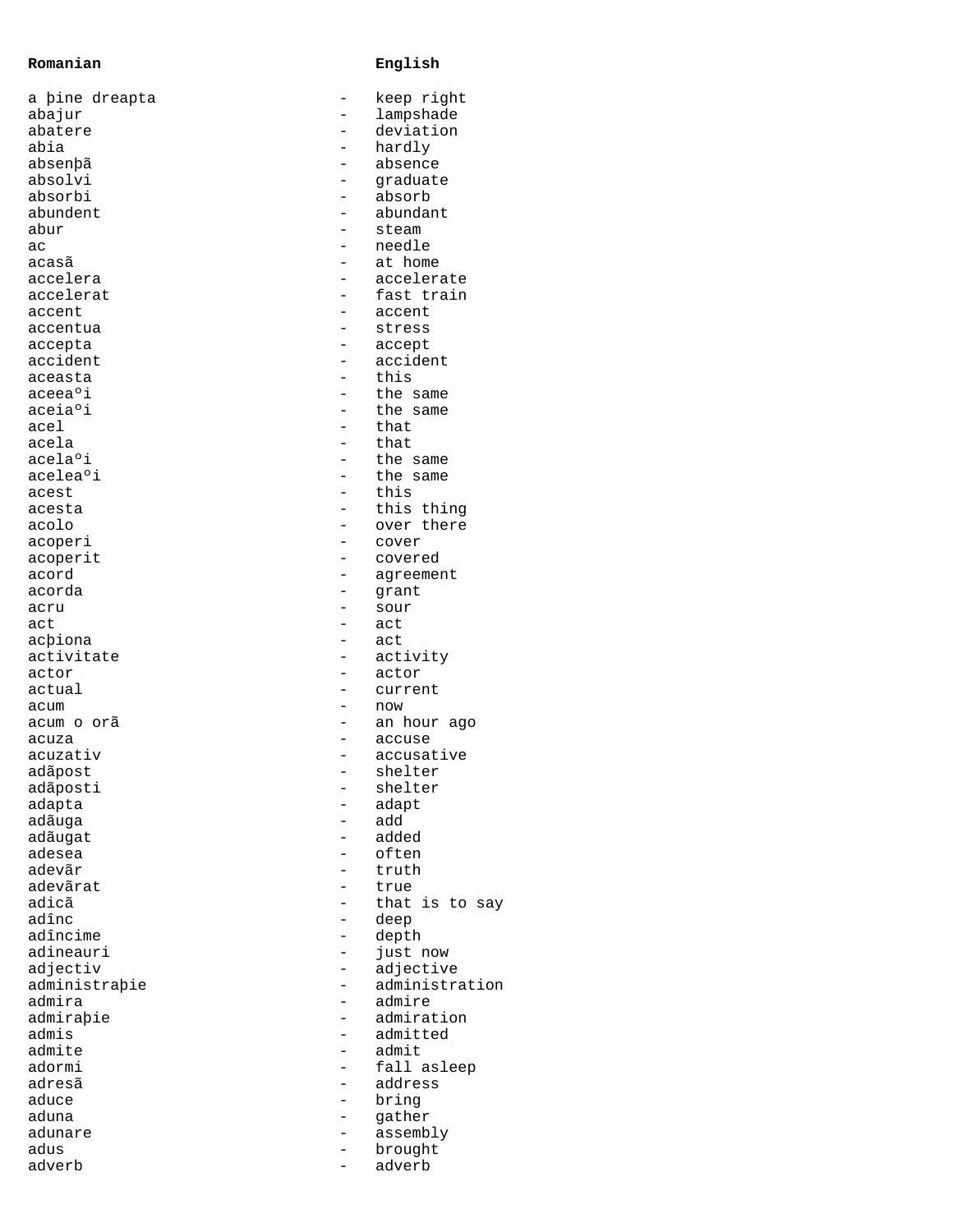## **Romanian English**

| a þine dreapta |                | keep right     |
|----------------|----------------|----------------|
| abajur         |                | lampshade      |
| abatere        |                | deviation      |
| abia           |                | hardly         |
| absenþã        |                | absence        |
| absolvi        |                | qraduate       |
| absorbi        |                | absorb         |
| abundent       |                | abundant       |
| abur           |                | steam          |
| aс             |                | needle         |
| acasã          |                | at home        |
| accelera       |                | accelerate     |
| accelerat      |                | fast train     |
| accent         |                | accent         |
| accentua       |                | stress         |
| accepta        |                | accept         |
| accident       |                | accident       |
| aceasta        |                | this           |
| aceeaºi        |                | the same       |
| aceiaºi        |                |                |
|                |                | the same       |
| acel           | $\overline{a}$ | that           |
| acela          |                | that           |
| acelaºi        |                | the same       |
| aceleaºi       |                | the same       |
| acest          |                | this           |
| acesta         |                | this thing     |
| acolo          |                | over there     |
| acoperi        |                | cover          |
| acoperit       |                | covered        |
| acord          |                | agreement      |
| acorda         | -              | qrant          |
| acru           |                | sour           |
| act            |                | act            |
| acþiona        |                | act            |
| activitate     |                | activity       |
| actor          |                | actor          |
| actual         |                | current        |
| acum           |                | now            |
| acum o orã     |                | an hour ago    |
| acuza          |                | accuse         |
| acuzativ       |                | accusative     |
| adãpost        |                | shelter        |
| adãposti       |                | shelter        |
|                |                |                |
| adapta         |                | adapt          |
| adãuga         |                | add            |
| adãugat        |                | added          |
| adesea         |                | often          |
| adevãr         |                | truth          |
| adevãrat       |                | true           |
| adicã          |                | that is to say |
| adînc          |                | deep           |
| adîncime       |                | depth          |
| adineauri      |                | just now       |
| adjectiv       |                | adjective      |
| administrabie  |                | administration |
| admira         |                | admire         |
| admiraþie      |                | admiration     |
| admis          |                | admitted       |
| admite         |                | admit          |
| adormi         |                | fall asleep    |
| adresã         |                | address        |
| aduce          |                | bring          |
| aduna          |                | gather         |
| adunare        |                | assembly       |
| adus           |                |                |
|                |                | brought        |
| adverb         |                | adverb         |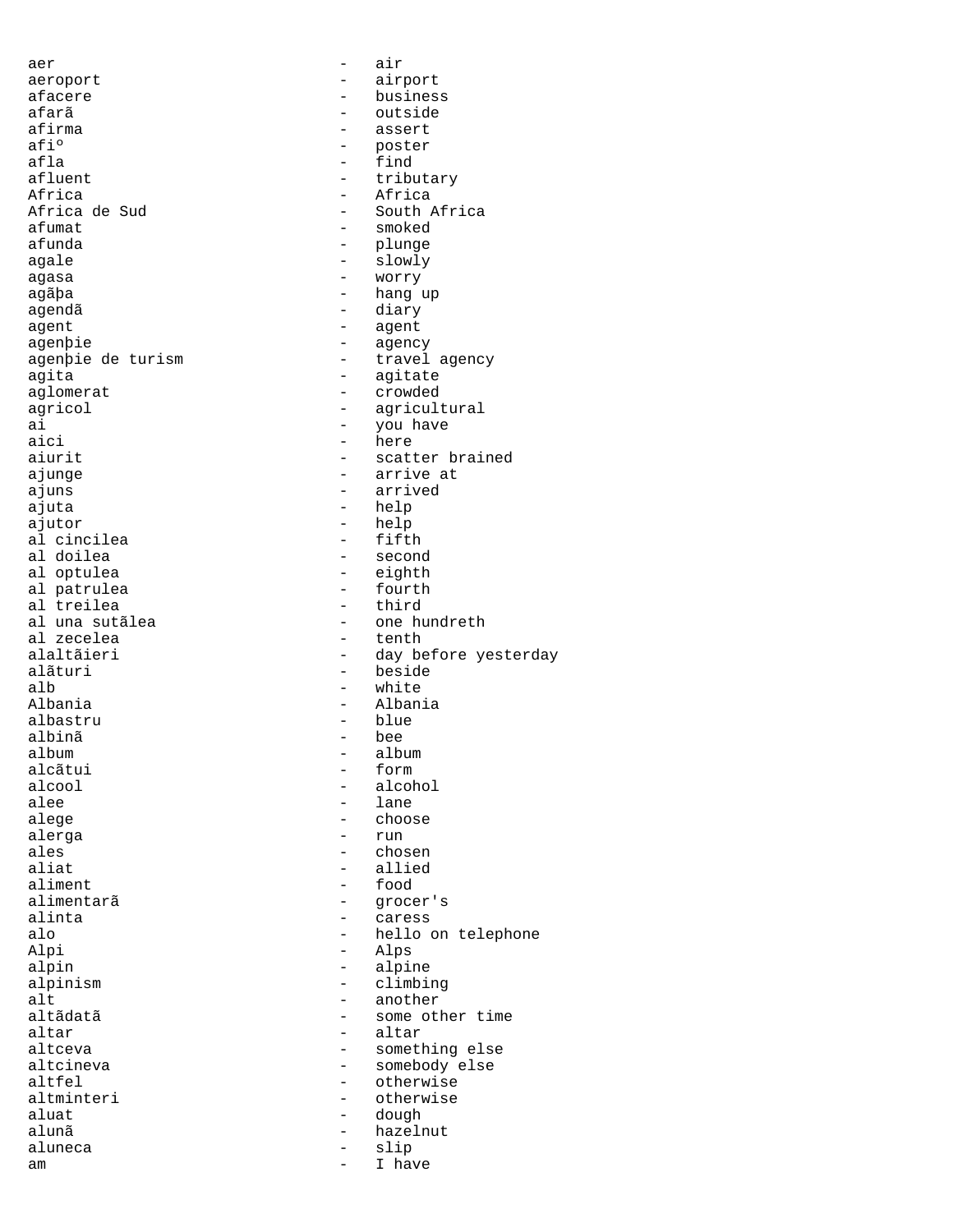aer - air aeroport - airport afacere - business afarã - outside afirma - assert - assert - assert - assert - assert - assert - assert - assert - assert - assert - assert - assert - assert - assert - assert - assert - assert - assert - assert - assert - assert - assert - assert - assert afiº - poster afla - find<br>afluent - find - tribu afluent - tributary<br>Africa - - Africa - Africa Africa<br>Africa de Sud<br>
- South *i* Africa de Sud - South Africa afumat - smoked - plunge agale - slowly agasa - worry agãþa - hang up agendã - diary agent - agent agenþie - agency<br>agenþie de turism - travel - travel agency agita<br>aglomerat - agitate<br>- crowded - crowded aglomerat - crowded<br>agricol - agricult agricol - agricultural - agricultural - agricultural - agricultural - agricultural - vou have ai - you have - you have aici aici - here<br>aiurit - scatt - scatter brained ajunge - arrive at ajuns - arrived ajuta - help ajutor - help al cincilea<br>al doilea al doilea  $\begin{array}{ccc} - & \text{second} \\ - & \text{eighth} \end{array}$ - eighth<br>- fourth al patrulea  $\begin{array}{ccc} - & + & - \\ - & - & - \\ - & - & - \end{array}$ al treilea<br>al una sutãlea al una sutãlea - one hundreth al zecelea - tenth - tenth alaltãieri - day be alaltãieri - day before yesterday - beside alb - white Albania - Albania - blue<br>- bee albinã - bee album - album alcãtui - formal en alcool - formal en alcool - formal en alcool - formal en alcool - formal en alcool - forma<br>The formal end alcool - formal end alcool - formal end alcool - formal end alcohol - formal end alcohol - forma alcool - alcohol alee - lane - lane - lane - lane - lane - lane - lane - lane - lane - lane - lane - lane - lane - lane - lane - lane - lane - lane - lane - lane - lane - lane - lane - lane - lane - lane - lane - lane - lane - lane - lane - choose alerga - run<br>ales - run - run ales - chosen - allied aliment - food alimentarã - grocer's alinta - caress alo - hello on telephone - Alps<br>- alpi alpin - alpine - alpine - alpine - alpine - alpine - alpine - alpine - alpine - alpine - alpine - alpine - alp alpinism - climbing<br>alt - another - another alt - another altãdatã - some other time<br>altar - altar - altar altar - altar altceva - something else<br>altcineva - somebody else altcineva - somebody else<br>altfel - otherwise - otherwise altminteri - otherwise<br>aluat - dough - dough aluat - dough - dough alunã - hazelnut aluneca - slip am de la component de la component de la component de la component de la component de la component de la compo<br>De la component de la component de la component de la component de la component de la component de la componen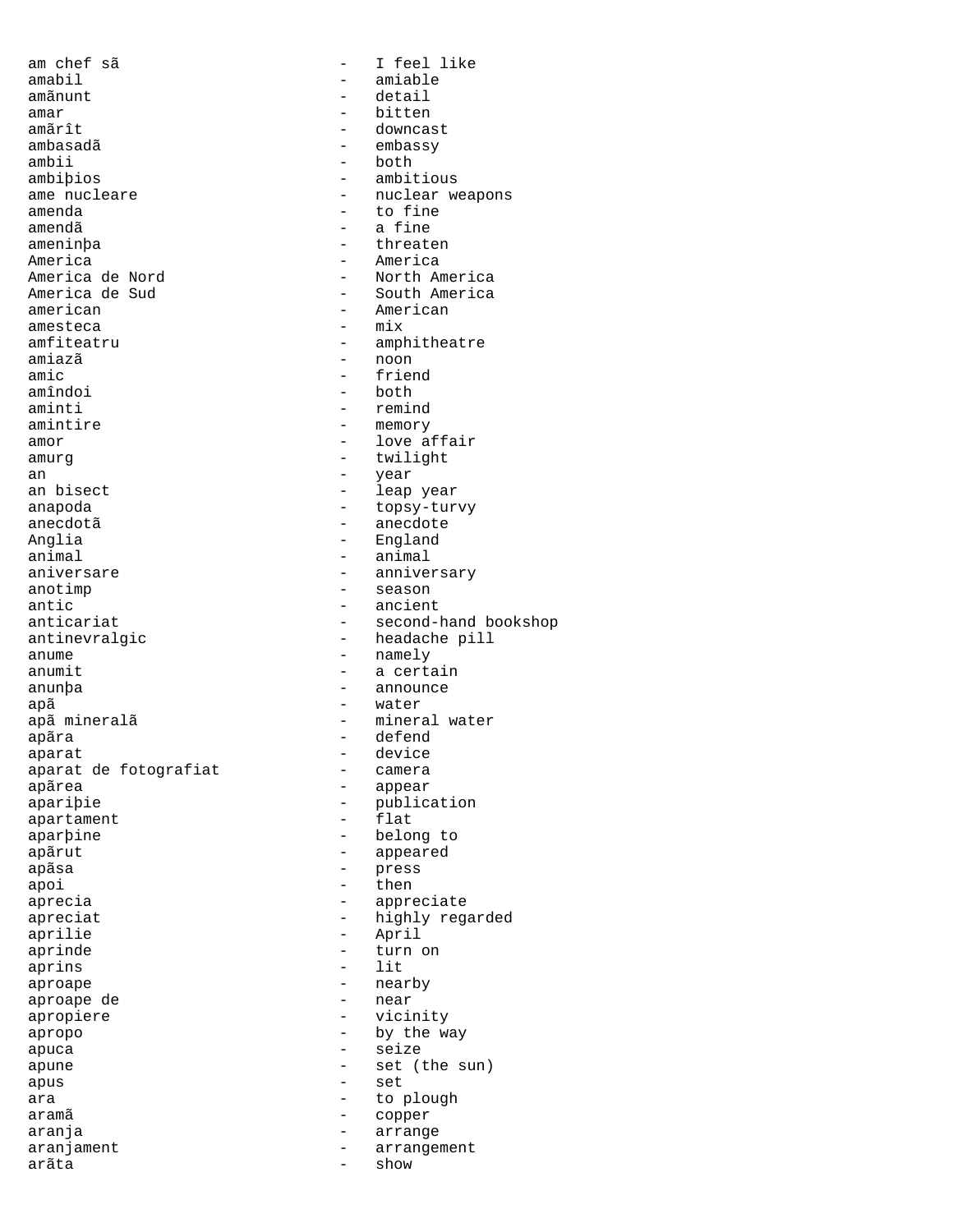am chef sã - I feel like amabil - amiable amar - bitten amãrît - downcast ambasadã - embassy ambii - both<br>ambibios - ambit ambiþios - ambitious<br>ame nucleare - nuclear we amenda - to fine amendã - a fine ameninþa - threaten America de Nord<br>
- North America America de Sud - South America american - American amesteca - mix amfiteatru - amphitheatre - amphitheatre - amphitheatre - amphitheatre - amphitheatre - amphitheatre - amphitheatre - amphitheatre - amphitheatre - amphitheatre - amphitheatre - amphitheatre - amphitheatre - amphitheatre amiazã - noon amic - friend amîndoi - both<br>aminti - remir aminti - remind amor - love affair amurg based on twilight an - year - year an bisect  $\qquad \qquad -$  leap year anapoda - topsy-turvy Anglia - England animal - animal - animal - animal - aniversare aniversare - anniversary anotimp - season antic - ancient antinevralgic extension antinevralgic control of the headache pill anume - namely<br>anumit - a certain anunþa - announce apã - water apã mineralã  $-$  mineral water<br>apãra  $-$  defend apãra - defend aparat de fotografiat<br>apãrea apãrea - appear apartament -<br>aparþine - belong to apãrut - appeared apãsa - press - press<br>apoi - then apoi - then aprecia entre appreciate aprilie - April - April<br>aprinde - turn d aprins<br>aproape aproape de - near apropiere apropo - by the way apuca - seize apune - set (the sun) apus - set ara  $-$  to plough aramã - copper aranja - arrange aranjament - arrangement<br>arãta - show arãta - show - show

- detail ame nucleare  $\overline{a}$  = nuclear weapons<br>amenda - to fine America - America - memory anecdotã - anecdote - second-hand bookshop - a certain - device<br>- camera - publication<br>- flat apreciat  $\qquad \qquad -$  highly regarded - turn on<br>- lit - nearby<br>- near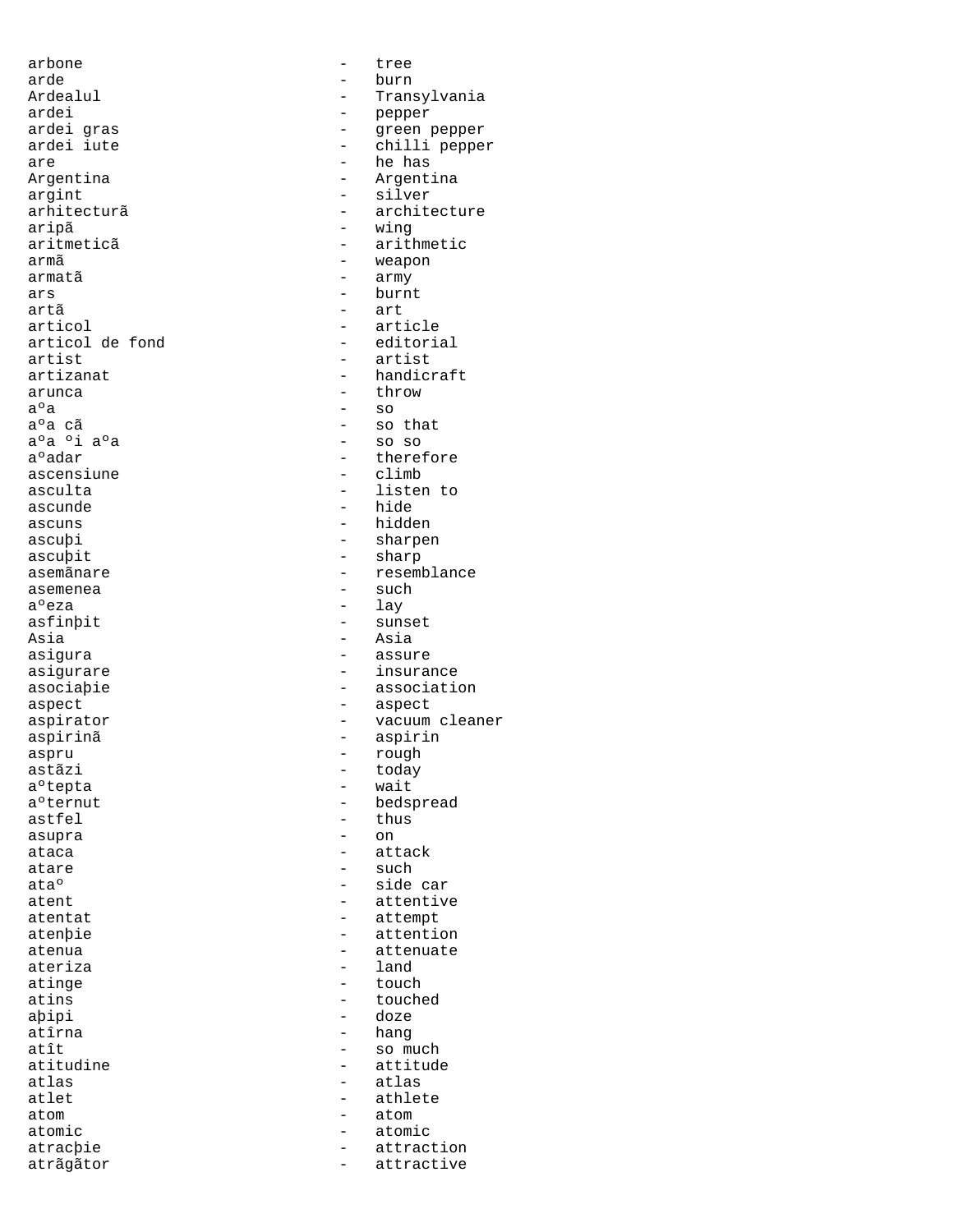arbone - tree arde - burn - burn - burn - burn - burn - burn - burn - burn - burn - burn - burn - burn - burn - burn - burn ardei - pepper are  $\overline{a}$  are  $\overline{a}$  are  $\overline{a}$  argentina argint - silver<br>arhitecturã - archite aripã - wing armã entre entre entre entre entre entre entre entre entre entre entre entre entre entre entre entre entre en armatã - army ars - burnt artã - art articol de fond<br>artist artist - artist  $a^{\circ}a$  - throw  $a^{\circ}a$  - throw  $a^{\circ}a$  $a^0a$  - so<br> $a^0a$  - so<br> $a^0a$  - so aºa ºi aºa<br>aºadar ascensiune ascunde - hide ascuns - hidden ascuþit - sharp asemenea - such a<sup>o</sup>eza - such a<sup>o</sup>eza - such aoeza - such aoeza - such aoeza - such aoeza - such aoeza - such a aºeza - lay<br>asfinbit - sun: Asia - Asia<br>asiqura - Asia - Asia aspect - aspect aspru - rough aºtepta - waited and an analysis of the state of the state of the state of the state of the state of the state of the state of the state of the state of the state of the state of the state of the state of the state of the astfel - thus asupra - thus - thus - thus - thus - thus - thus - thus - thus - thus - thus - thus - thus - thus - thus - thus - thus - thus - thus - thus - thus - thus - thus - thus - thus - thus - thus - thus - thus - thu asupra ataca - attack - attack atare  $-$  such ateriza - land atinge  $\overline{t}$  atîrna - hang<br>atît - so m atom - atom atrãgãtor  $-$  attractive

Ardealul - Transylvania<br>ardei - Transylvania<br>- Pepper ardei gras - green pepper - chilli pepper Argentina - Argentina - architecture - arithmetic - article<br>- editorial artizanat - handicraft<br>arunca - handicraft<br>- throw - so that<br>- so so - therefore<br>- climb asculta - listen to ascuþi - sharpen asemãnare  $-$  resemblance - sunset - assure asigurare  $-$  insurance asociaþie - association aspirator  $-$  vacuum cleaner aspirinã - aspirin - today<br>- wait a<sup>o</sup>ternut - bedspread ata<sup>o</sup> - side car atent - attentive<br>atentat - attempt - attempt - attempt<br>- attentio atenþie - attention<br>atenua - attenuate atenua - attenuate atins - touched - doze atît - so much - so much - so much - so much - so much - so much - so much - so much - so much - so much - so much - so much - so much - so much - so much - so much - so much - so much - so much - so much - so much - so mu atitudine entry the matrix of the attitude atlas atlas atlas atlas atlas atlas atlas atlas atlas atlas atlas a atlas - atlas atlet - athlete atomic - atomic atracþie - attraction<br>atrãoãtor - attractive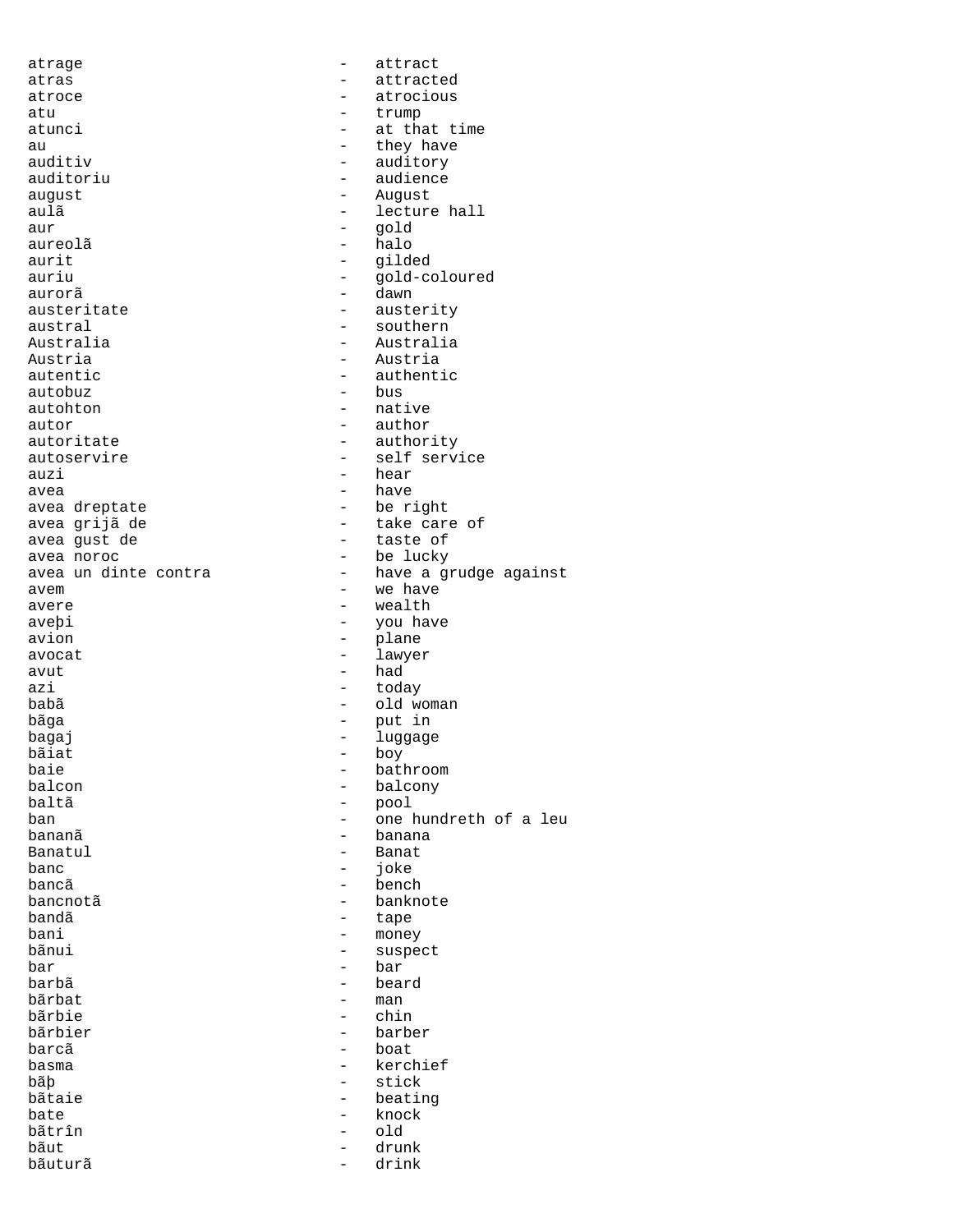atrage  $\overline{\phantom{a}}$  attract atras - attracted atroce - atrocious atu - trump atunci  $\qquad \qquad -$  at that time au - they have auditiv - they have auditive - they have auditive - they have and the set of the set of the set of the set of the set of the set of the set of the set of the set of the set of the set of the set of the set o auditiv - auditory auditoriu - audience<br>
august - August - August august - August aulã d'animatic de lecture hall aur - gold - halo aurit - gilded auriu - gold-coloured aurorã - dawn austeritate - austerity austral - southern Australia - Australia Austria - Austria autentic  $\begin{array}{ccc} - & \text{authentic} \\ - & \text{bus} \end{array}$ autobuz - bus - native  $\overline{\phantom{a}}$  autor  $\overline{\phantom{a}}$  -  $\overline{\phantom{a}}$  author autoritate - authority<br>autoservire - self servi - self service auzi - hear avea - have - be right avea grijã de - take care of avea gust de avea noroc - be lucky - have a grudge against avem - we have avere - wealth - you have avion - plane avocat - lawyer  $\overline{a}$ vut  $\overline{a}$ azi  $-$  today babã - old woman bãga - put in bagaj - luggage bãiat - boy baie - bathroom - bathroom - bathroom - bathroom - bathroom - bathroom - bathroom - bathroom - bathroom - bathroom - bathroom - bathroom - bathroom - bathroom - bathroom - bathroom - bathroom - bathroom - bathroom - bathro balcon - balcony baltã - pool<br>ban - one i ban - one hundreth of a leu bananã - banana Banatul - Banat banc - banc - joke bancã <br/>  $\hfill$  - bench bancnotã <br/>  $\qquad \qquad -$  banknote bandã - tape bani - money bãnui - suspect bar - suspect bar - suspect bar - suspect - suspect - suspect - suspect - suspect - suspect bar - bar - bar - bar - bar - bar - bar - bar - bar - bar - bar - bar - bar - bar - bar - bar - bar - bar - bar - bar - bar - bar - bar - bar - bar - bar - bar - bar - bar - bar - bar - bar - bar - bar - bar - bar - bar barbã - beard bãrbat - man - man - man - man - man - man - man - man - man - man - man - man - man - man - man - man - man - man - man - man - man - man - man - man - man - man - man - man - man - man - man - man - man - man - man - man bãrbie bãrbier - barber barcã - boat - kerchief bãb - stick bãtaie - beating bate - knock bãtrîn - club - club - club - club - club - club - club - club - club - club - club - club - club bãtrîn - old bătrîn - old bătrîn - old bătr - drunk<br>- drink bãuturã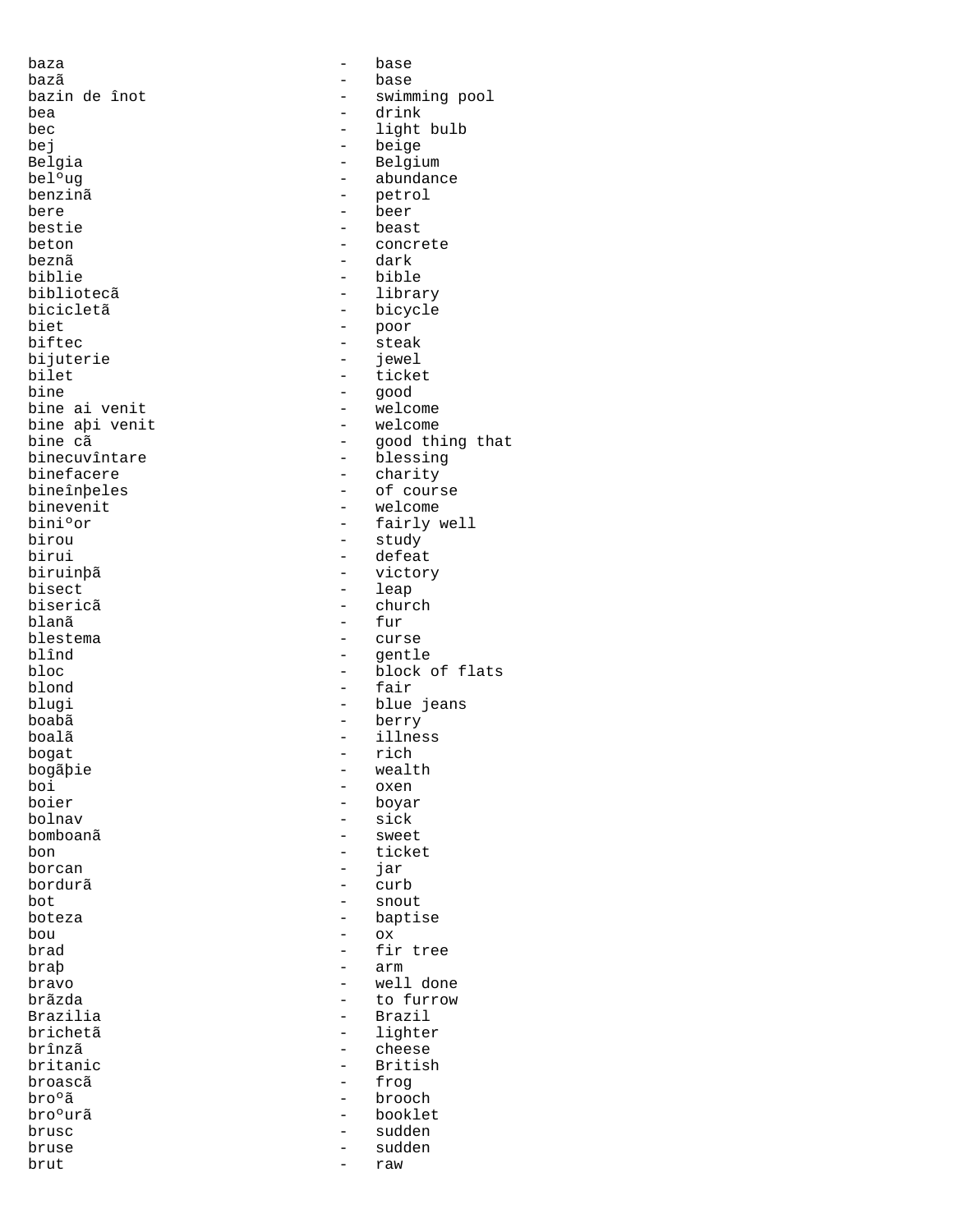baza - base bazã - base bea - drink<br>bec - light bej - beige bere - beer bestie - beast<br>beton - concre biblie - bible biet - poor - poor - poor - poor - poor - poor - poor - poor - poor - poor - poor - poor - poor - poor - poor biftec - steak bijuterie - jewel<br>bilet - ticke bilet - ticket<br>bine - qood bine aþi venit<br>bine cã birou - study biruinþã<br>bisect bisect - leap<br>bisericã - chur bisericã - church blanã - fur<br>blestema - curs  $b$ lestema - curse  $b$ lînd - curse  $b$ lînd - centle blînd - gentle<br>bloc - block de - block de blond - fair boabã - berry bogat - rich bogãþie - wealth<br>boi - wealth boi - oxen boier - boyar - boyar<br>bolnav - sick bomboanã - sweet bon - ticket<br>borcan - time - ticket bordurã - curb bot - snout bou - ox braþ - arm - arm - arm - arm - arm - arm - arm - arm - arm - arm - arm - arm - arm - arm - arm - arm - arm - arm - arm - arm - arm - arm - arm - arm - arm - arm - arm - arm - arm - arm - arm - arm - arm - arm - arm - arm -Brazilia - Brazil brînzã - cheese bro°ã - brooch - brooch - brooch - brooch - brooch - brooch - brooch - brooch - brooch - brooch - brooch - bro brusc - sudden bruse - sudden brut - raw

- swimming pool bec - light bulb<br>bej - light bulb<br>- beige Belgia - Belgium - Belgium - Belgium - Belgium - Belgium - Belgium - Belgium - Belgium - Belgium - Belgium - Belgium - Belgium - Belgium - Belgium - Belgium - Belgium - Belgium - Belgium - Belgium - Belgium - Belgium - Bel bel<sup>o</sup>ug - abundance<br>benzinã - petrol - petrol - petrol beton - concrete - dark bibliotecã - library bicicletã - bicycle<br>biet - bicycle<br>- poor - good<br>- welcome bine ai venit - welcome bine cã<br>binecuvîntare de la pood thing that<br>binecuvîntare de la pool - blessing binecuvîntare - blessing - charity bineînþeles - of course binevenit - welcome<br>bini°or - fairly v bini°or - fairly well<br>birou - study - study - defeat<br>- victory - block of flats blugi - blue jeans - illness<br>- rich - sick - jar boteza - baptise - baptise<br>bou - ox - ox brad  $-$  fir tree<br>brab  $-$  arm bravo - well done brãzda - to furrow brichetã - lighter<br>brînzã - cheese britanic - British<br>broascã - Froq - frog - booklet<br>- sudden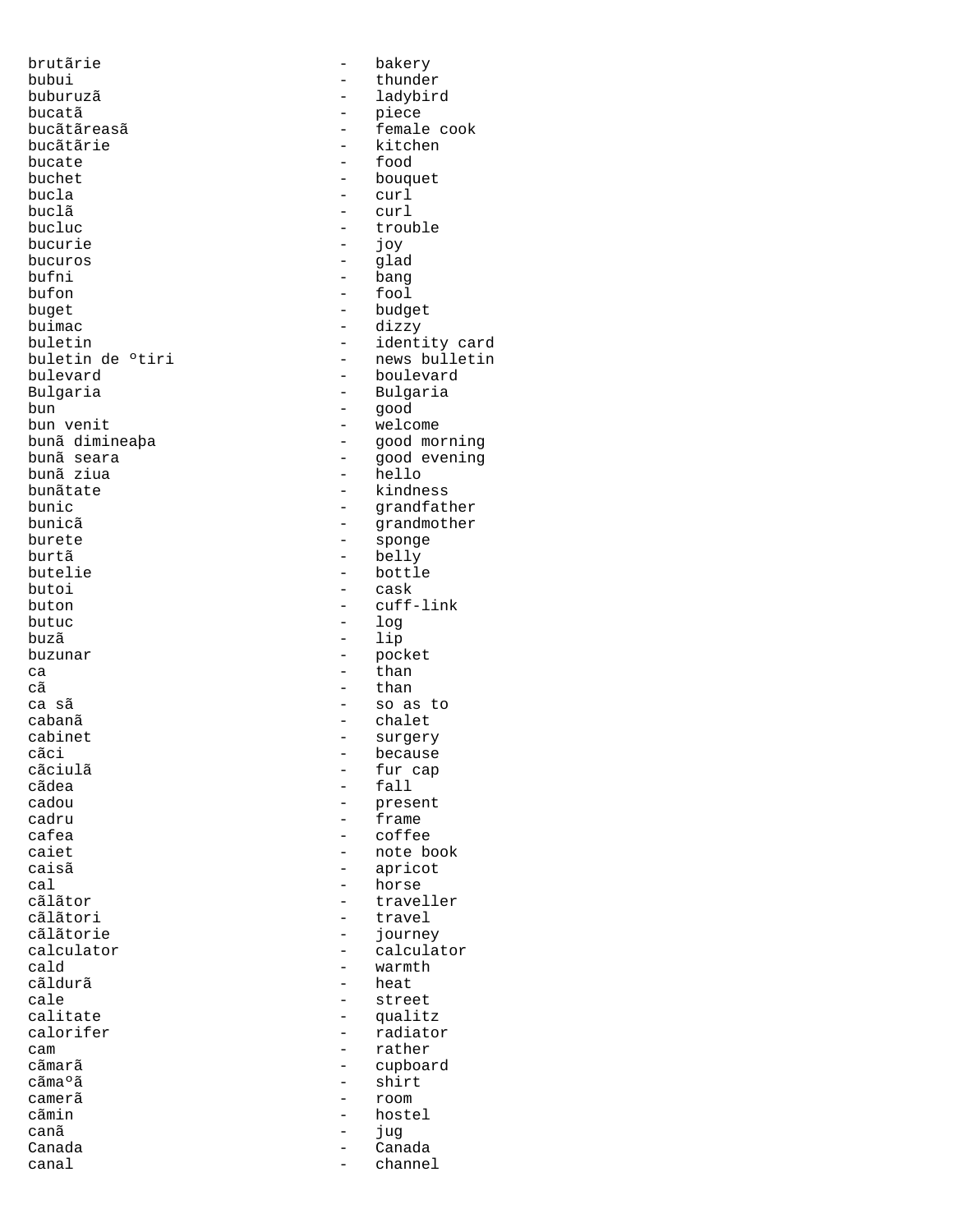brutãrie - bakery bubui - thunder<br>buburuzã - thunder - thunder buburuzã - ladybird bucatã - piece bucãtãreasã - female cook bucãtãrie - kitchen<br>bucate - food - food bucate - food buchet - bouquet bucla - curl buclã - curl bucluc<br>bucurie - trouble<br>- iov bucuros - glad bufni - bang bufon - fool buget - budget buimac - dizzy buletin<br>buletin de °tiri - identity card<br>- news bulletin buletin de °tiri - news bulletin<br>bulevard - boulevard bulevard<br>Bulgaria - boulevard<br>Bulgaria - Bulgaria Bulgaria - Bulgaria bun - good bun venit - welcome bunã dimineaþa - good morning bunã seara - good evening bunãtate  $-$  kindness bunic - grandfather bunicã component de la component de la grandmother burete - sponge burtã - belly<br>butelie - bottl butelie - bottle - bottle<br>butoi - cask butoi - cask butuc - log buzã - lip ca - than - than - than - than - than - than - than - than - than - than - than - than - than - than - than - than - than - than - than - than - than - than - than - than - than - than - than - than - than - than - than ca sã - so as to cabanã - chalet cabinet - surgery<br>
cãci - căci - căci - căci - căci - căci - căci - căci - căci - căci - căci - căci - căci - căci - căci - căci cãci - because - cãciulã<br>cãciulã - because - fur cap cãciulã - fur cap cãdea - fall - fall<br>cadou - - rese cadou - present cadru - frame - frame - frame - frame - frame - frame - frame - frame - frame - frame - frame - frame - frame - frame - frame - frame - frame - frame - frame - frame - frame - frame - frame - frame - frame - frame - frame cafea - coffee - coffee - coffee - coffee - coffee - coffee - coffee - coffee - coffee - coffee - coffee - coffee - coffee - coffee - coffee - coffee - coffee - coffee - coffee - coffee - coffee - coffee - coffee - coffee caiet - note book<br>caisã - apricot  $cal$  - horse cãlãtor - traveller cãlãtori - travel cãlãtorie - journey - journey<br>calculator - calculator - calculator calculator - calculator cald - warmth - warmth - warmth - warmth - warmth - warmth - warmth - warmth - warmth - warmth - warmth - warmth - warmth - warmth - warmth - warmth - warmth - warmth - warmth - warmth - warmth - warmth - warmth - warmth cãldurã - heat cale - calibrate - street<br>
calitate - calibrate - calibrate - calibrate - calibrate - calibrate - calibrate - calibrate - calibrate - ca calitate - qualitz<br>calorifer - caloridate - calorifer cam - rather cãmarã - cupboard camerã - room cãmin - hostel canã internacional de la construction de la construction de la construction de la construction de la constructio Canada - Canada canal - channel

- joy - hello - cuff-link - pocket - than - apricot - radiator - shirt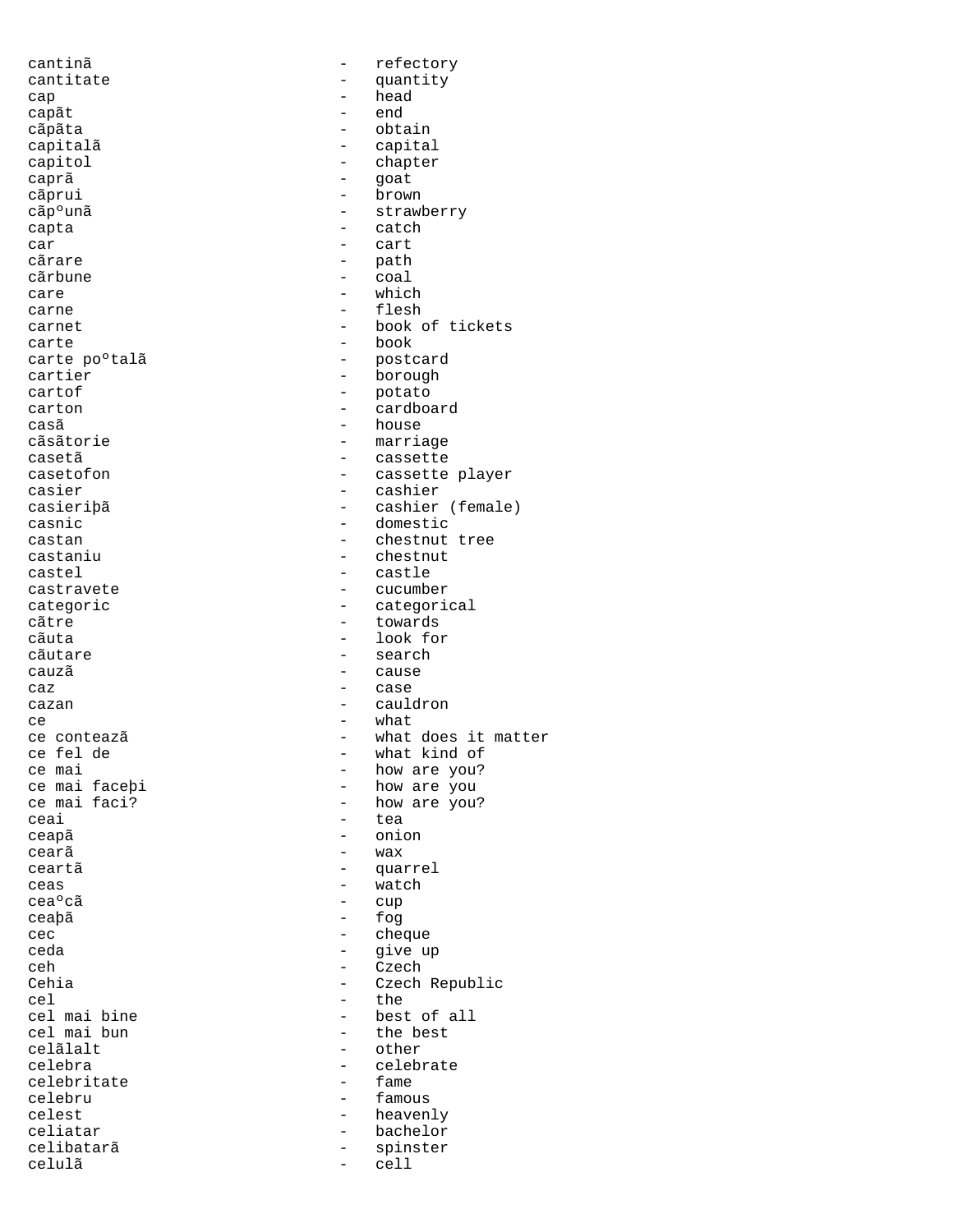cantinã entre entre entre entre entre entre entre entre entre entre entre entre entre entre entre entre entre cantitate  $\begin{array}{ccc} & - & \text{ quantity} \\ \text{can} & - & \text{ head} \end{array}$ cap - head capãt - endean - endean - endean - endean - endean - endean - endean - endean - endean - endean - en<br>Endean - endean - endean - endean - endean - endean - endean - endean - endean - endean - endean - endean - en cãpãta - obtain capitalã - capital<br>capitol - chapter capitol - chapter<br>
caprã - chapter<br>
- qoat caprã - goat cãprui - brown<br>cãp<sup>o</sup>unã - strawl - strawl - strawberry capta - catch car - cart - path cãrbune - coal care  $-$  which carne - flesh carnet - book of tickets carte - book carte po°talã de la postcard<br>cartier - porough - porough cartier - borough<br>
cartof - borough<br>
- potato cartof - potato cardboard casã - house - house - house - house - house - house - house - house - house - house - house - house - house -- marriage casetã - cassette<br>casetofon - cassette - cassette - cassette player casier - cashier casieriþã - cashier (female) casnic - domestic<br>
castan - chestnut<br>
- chestnut castan - chestnut tree<br>
castaniu castaniu - chestnut - chestnut castel - castle castravete - cucumber - categorical cãtre - towards - towards<br>cãuta - towards - towards - look for cãutare - search cauzã - cause caz extensive case that the case of the case of the case of the case of the case of the case of the case of the case of the case of the case of the case of the case of the case of the case of the case of the case of the ca cazan - cauldron - cauldron ce conteazã de la contează de la contează de la contează de la contează de la contează de la contează de la contează de la contează de la contează de la contează de la contează de la contează de la contează de la contează ce conteazã  $\begin{array}{ccc} - & \text{what does it matter} \\ - & \text{what kind of} \end{array}$ ce fel de  $\overline{c}$  - what kind of ce mai ce mai  $\begin{array}{ccc} \text{ce} & \text{mai} \\ \text{ce} & \text{mai} \end{array}$  facebi - how are you? ce mai faceþi - how are you<br>
ce mai faci? - how are you ce mai faci? - how are you?<br>
ceai - tea - tea ceapã - onion cearã  $-$  wax ceartã - quarrel ceas - watch ceaºcã - cup<br>ceabã - cup ceaþã - fog cec - cheque - cheque<br>ceda - cheque - cheque ceda - give up<br>ceh - give up - give up - czech - czech - czech - czech - czech - czech - czech - czech - czech - czech - czech ceh - Czech - Czech - Czech - Czech - Czech - Czech - Czech - Czech - Czech - Czech - Czech - Czech - Czech - Czech - Czech - Czech - Czech - Czech - Czech - Czech - Czech - Czech - Czech - Czech - Czech - Czech - Czech - Cehia - Czech Republic<br>cel - Czech Republic<br>- the cel the set of the set of the set of the set of the set of the set of the set of the set of the set of the set o cel mai bine  $\begin{array}{ccc} - & - & - \\ - & - & - \end{array}$  best of all cel mai bun cel mai bun - the best<br>celãialt - other - other celãlalt - other<br>celebra - celebra - celebra - celebrate<br>- fame celebritate celebru - famous celest - heavenly celiatar - bachelor celibatarã - spinster celulã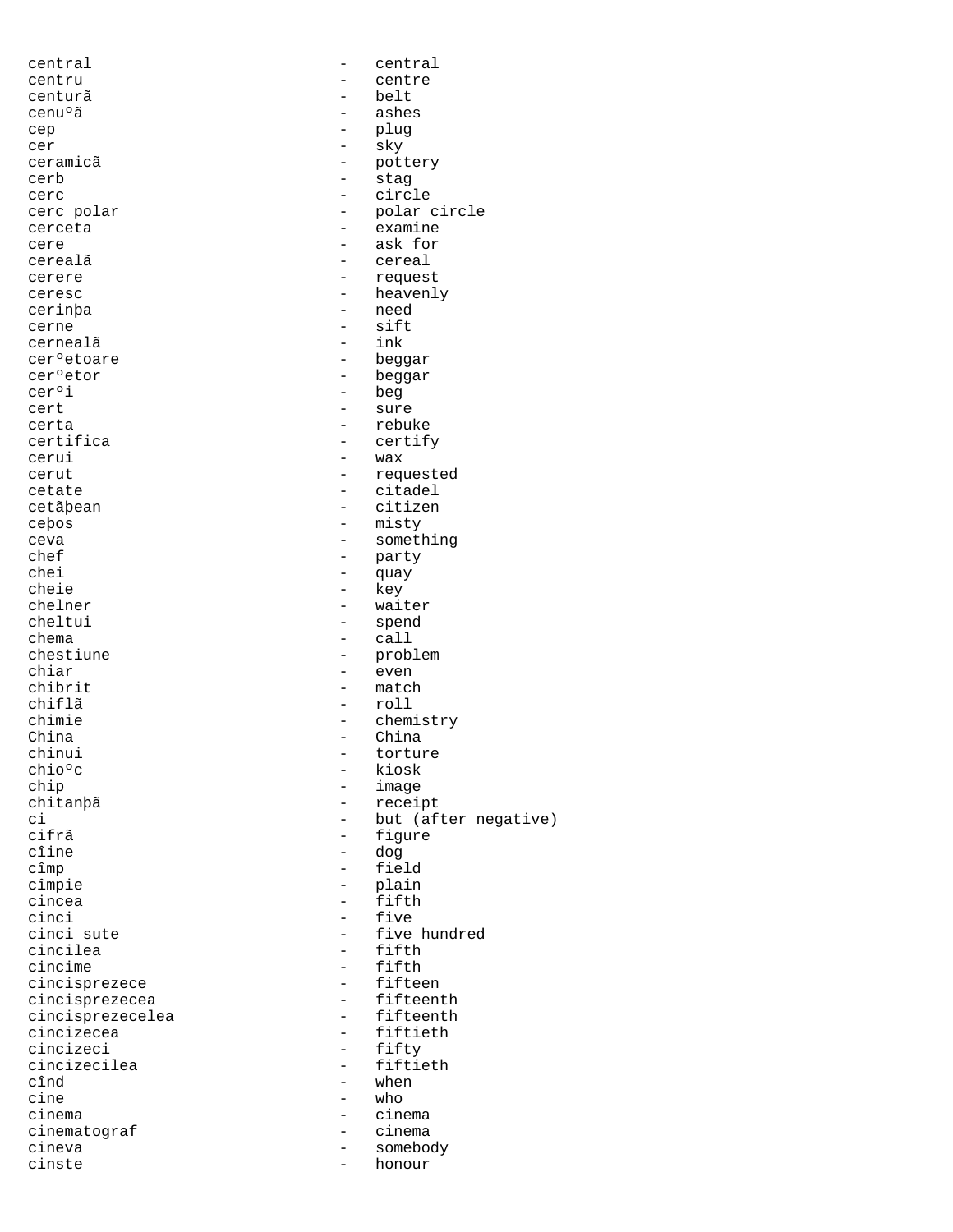| central                 |                          | central              |
|-------------------------|--------------------------|----------------------|
| centru                  |                          | centre               |
| centurã                 |                          | belt                 |
| cenu°ã                  | -                        | ashes                |
| cep                     |                          | plug                 |
| cer                     | -                        | sky                  |
| ceramicã                | $\qquad \qquad -$        | pottery              |
| cerb                    | $\qquad \qquad -$        | stag                 |
| cerc                    | $\overline{\phantom{0}}$ | circle               |
| cerc polar              |                          | polar circle         |
| cerceta                 |                          | examine              |
| cere                    | $\overline{\phantom{0}}$ | ask for              |
| cerealã                 | -                        | cereal               |
| cerere                  | -                        | request              |
| ceresc                  | $\overline{\phantom{0}}$ | heavenly             |
| cerinþa                 | $\overline{\phantom{m}}$ | need                 |
| cerne                   | $\overline{\phantom{0}}$ | sift                 |
| cernealã                | $\overline{\phantom{0}}$ | ink                  |
| cer <sup>o</sup> etoare | $\overline{\phantom{0}}$ | beggar               |
| cerºetor                | $\overline{\phantom{0}}$ | beggar               |
| cer°i                   | $\qquad \qquad -$        | beg                  |
| cert                    | $\overline{\phantom{0}}$ | sure                 |
|                         |                          |                      |
| certa                   |                          | rebuke               |
| certifica               | $\qquad \qquad -$        | certify              |
| cerui                   | $\qquad \qquad -$        | wax                  |
| cerut                   | $\qquad \qquad -$        | requested            |
| cetate                  |                          | citadel              |
| cetãþean                | $\overline{\phantom{0}}$ | citizen              |
| cebos                   | $\qquad \qquad -$        | misty                |
| ceva                    |                          | something            |
| chef                    | -                        | party                |
| chei                    | $\overline{\phantom{0}}$ | quay                 |
| cheie                   | $\qquad \qquad -$        | key                  |
| chelner                 |                          | waiter               |
| cheltui                 | -                        | spend                |
| chema                   | $\overline{\phantom{0}}$ | call                 |
| chestiune               | $\overline{\phantom{m}}$ | problem              |
| chiar                   | $\overline{\phantom{0}}$ | even                 |
| chibrit                 | -                        | match                |
| chiflã                  | $\overline{\phantom{0}}$ | roll                 |
| chimie                  | $\qquad \qquad -$        | chemistry            |
| China                   | $\qquad \qquad -$        | China                |
| chinui                  |                          | torture              |
| chioºc                  |                          | kiosk                |
| chip                    | $\overline{\phantom{0}}$ | image                |
| chitanþã                |                          | receipt              |
| сi                      | $\overline{\phantom{0}}$ | but (after negative) |
| cifrã                   |                          | figure               |
| cîine                   | $\qquad \qquad -$        | dog                  |
| cîmp                    | $\qquad \qquad -$        | field                |
| cîmpie                  | $\qquad \qquad -$        | plain                |
| cincea                  |                          | fifth                |
| cinci                   | $-$                      | five                 |
| cinci sute              | $-$                      | five hundred         |
| cincilea                |                          | fifth                |
| cincime                 |                          | fifth                |
| cincisprezece           | $-$                      | fifteen              |
| cincisprezecea          | $\overline{\phantom{0}}$ | fifteenth            |
| cincisprezecelea        | $-$                      | fifteenth            |
| cincizecea              |                          | fiftieth             |
| cincizeci               | $\overline{\phantom{0}}$ | fifty                |
| cincizecilea            | $\overline{\phantom{0}}$ | fiftieth             |
| cînd                    | $\overline{\phantom{0}}$ | when                 |
| cine                    | -                        | who                  |
| cinema                  |                          | cinema               |
| cinematograf            | -                        | cinema               |
| cineva                  | $\qquad \qquad -$        | somebody             |
| cinste                  | $\qquad \qquad -$        | honour               |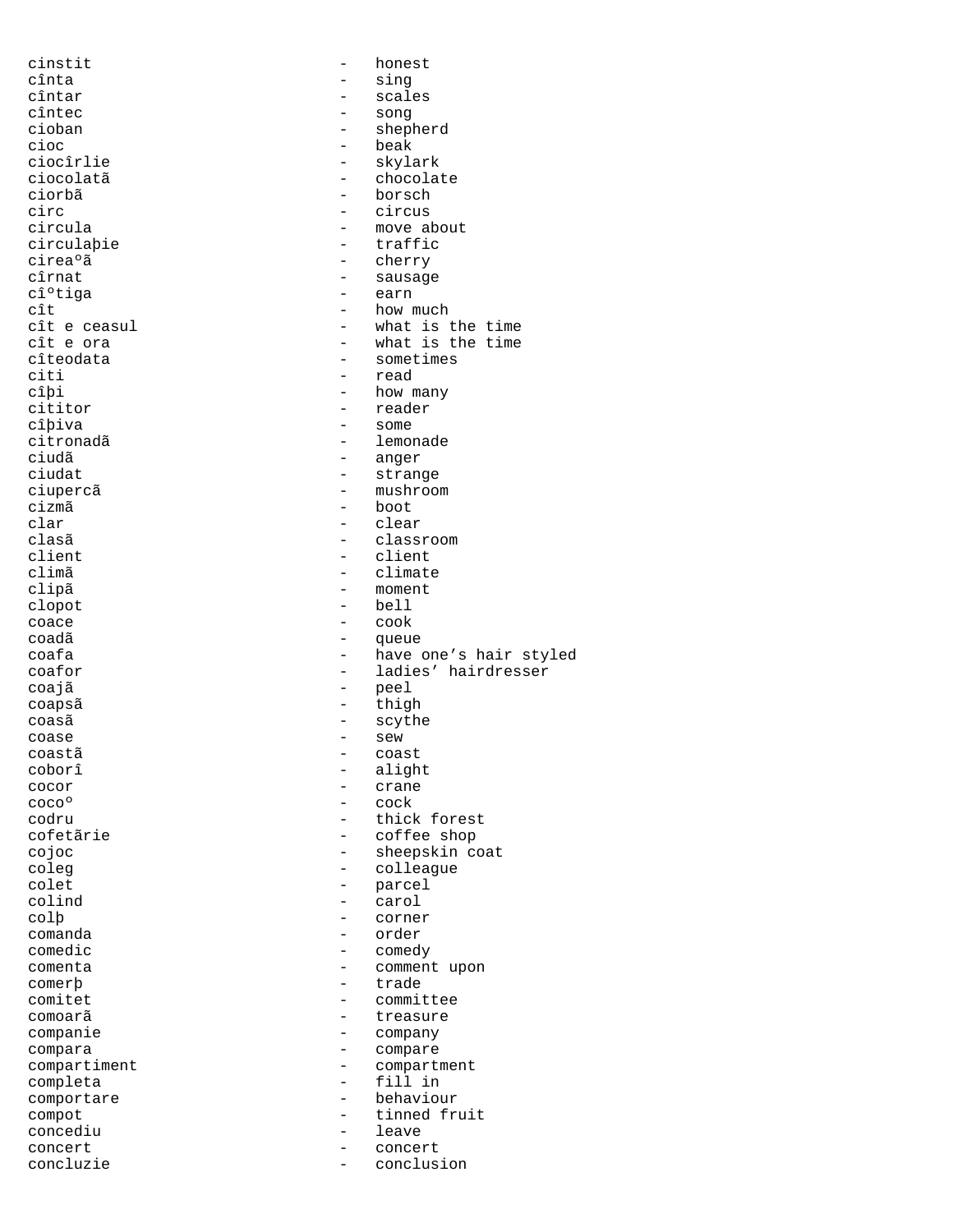| cinstit              |                          | honest                 |
|----------------------|--------------------------|------------------------|
| cînta                |                          | sing                   |
| cîntar               |                          | scales                 |
| cîntec               |                          | song                   |
| cioban               |                          | shepherd               |
| cioc                 | $\overline{\phantom{0}}$ | beak                   |
| ciocîrlie            | $\overline{\phantom{0}}$ | skylark                |
| ciocolatã<br>ciorbã  |                          | chocolate<br>borsch    |
| circ                 | $\overline{\phantom{0}}$ | circus                 |
| circula              | -                        | move about             |
| circulabie           | $\overline{\phantom{0}}$ | traffic                |
| cireaºã              |                          | cherry                 |
| cîrnat               |                          | sausage                |
| cî°tiga              | -                        | earn                   |
| cît                  | $\overline{\phantom{0}}$ | how much               |
| cît e ceasul         |                          | what is the time       |
| cît e ora            |                          | what is the time       |
| cîteodata            | $\overline{\phantom{0}}$ | sometimes              |
| citi                 |                          | read                   |
| cîþi                 | $\overline{\phantom{0}}$ | how many               |
| cititor              | $\overline{a}$           | reader                 |
| cîþiva               | -                        | some                   |
| citronadã            | -                        | lemonade               |
| ciudã                | -                        | anger                  |
| ciudat               |                          | strange                |
| ciupercã             | $\overline{\phantom{0}}$ | mushroom               |
| cizmã                | -                        | boot                   |
| clar                 |                          | clear                  |
| clasã                |                          | classroom              |
| client               | $\overline{\phantom{0}}$ | client                 |
| climã                | $\overline{\phantom{0}}$ | climate                |
| clipã                |                          | moment<br>bell         |
| clopot<br>coace      | $\overline{\phantom{0}}$ | cook                   |
| coadã                | -                        | queue                  |
| coafa                | $\overline{\phantom{0}}$ | have one's hair styled |
| coafor               | $\overline{\phantom{0}}$ | ladies' hairdresser    |
| coajã                | -                        | peel                   |
| coapsã               | -                        | thigh                  |
| coasã                | -                        | scythe                 |
| coase                | $\overline{\phantom{0}}$ | sew                    |
| coastã               |                          | coast                  |
| coborî               | -                        | alight                 |
| cocor                |                          | crane                  |
| coco <sup>o</sup>    | $\overline{\phantom{0}}$ | cock                   |
| codru                |                          | thick forest           |
| cofetãrie            | $\overline{\phantom{0}}$ | coffee shop            |
| cojoc                | -                        | sheepskin coat         |
| coleg                | -                        | colleague              |
| colet                | -                        | parcel                 |
| colind               | $\overline{\phantom{0}}$ | carol                  |
| colp                 | -                        | corner                 |
| comanda<br>comedic   |                          | order<br>comedy        |
| comenta              | $\overline{\phantom{0}}$ | comment upon           |
| comerb               | $\overline{\phantom{0}}$ | trade                  |
| comitet              |                          | committee              |
| comoarã              |                          | treasure               |
| companie             | $\overline{\phantom{0}}$ | company                |
| compara              | -                        | compare                |
| compartiment         |                          |                        |
| completa             | -                        | compartment            |
|                      | -                        | fill in                |
| comportare           | $\overline{\phantom{0}}$ | behaviour              |
| compot               | $\overline{\phantom{0}}$ | tinned fruit           |
| concediu             | $\overline{\phantom{0}}$ | leave                  |
| concert<br>concluzie | $\overline{\phantom{0}}$ | concert<br>conclusion  |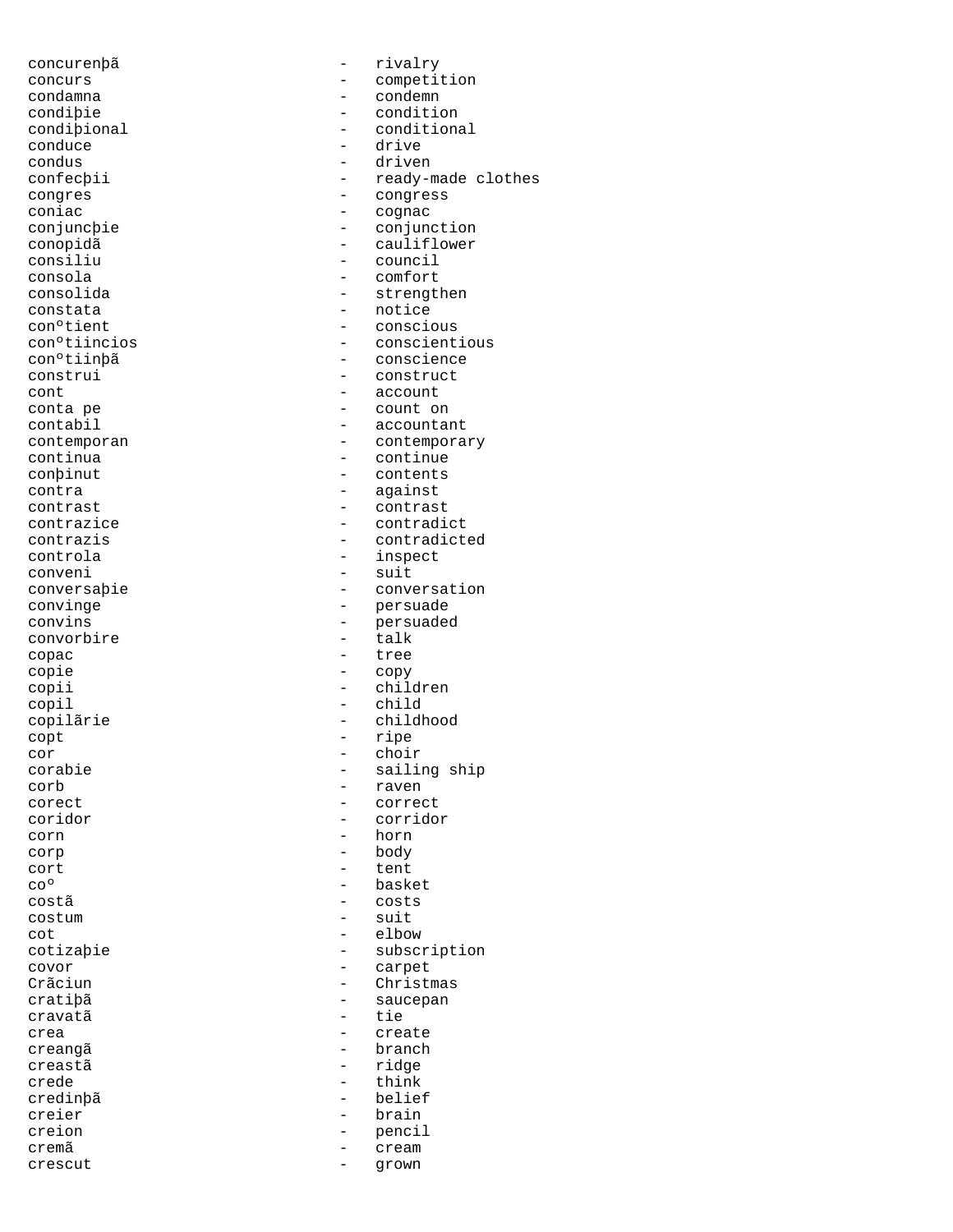conduce<br>condus condus - driven<br>
confectii - confection - confection - confection - confection - context - context - context - context - context<br>
- confection - context - context - context - context - context - context - context - context coniac - cognac constata - notice conveni - suit convorbire copac - tree copie - copy copil - child copt - ripe<br>cor - choir cor - choir corb - raven corn - horn corp - body cort - tent costã - costs costum - suit  $\cot$  - elbow covor - carpet crea - create creangã entre entre entre entre entre entre entre entre entre entre entre entre entre entre entre entre entre creastã - ridge crede  $-$  think credinþã - belief creier - brain creion - pencil crescut - grown

concurenþã - rivalry concurs - competition condamna - condemn condiþie - condition<br>
condipional - condition - conditional<br>- drive confecþii - ready-made clothes<br>
congres<br>
- congress congres - congress conjuncþie - conjunction conopidã - cauliflower - council consola - comfort consolida - strengthen con°tient - conscious<br>con°tiincios - conscient - conscientious conºtiinþã - conscience - construct cont - account conta pe - count on - accountant contemporan - contemporary continua - continue - continue continua - continue - contents contra - against contrast - contrast contrazice - contradict contrazis - contradicted controla - inspect conversaþie - conversation convinge - persuade - persuaded<br>- talk copii - children copilãrie - childhood - sailing ship corect - correct coridor - corridor - basket cotizaþie - subscription - Christmas cratiþã - saucepan - tie - cream<br>- cream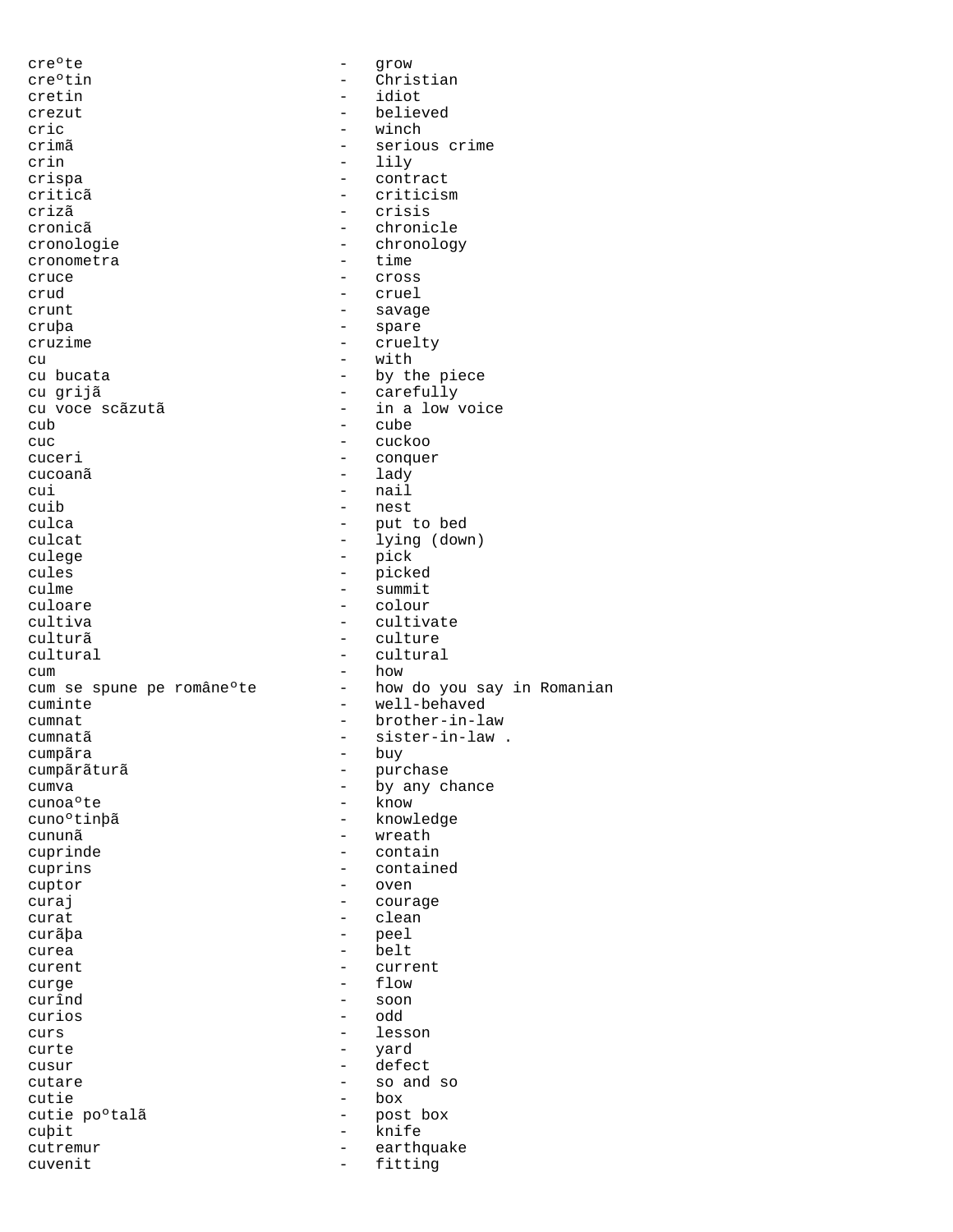| cre°te                    | $\qquad \qquad -$        | grow                       |
|---------------------------|--------------------------|----------------------------|
| cre°tin                   | $-$                      | Christian                  |
| cretin                    | $\overline{\phantom{0}}$ | idiot                      |
| crezut                    |                          | believed                   |
| cric                      | $\overline{\phantom{0}}$ | winch                      |
|                           |                          | serious crime              |
| crimã                     | $\overline{\phantom{a}}$ |                            |
| crin                      | $\qquad \qquad -$        | lily                       |
| crispa                    | $\qquad \qquad -$        | contract                   |
| criticã                   |                          | criticism                  |
| crizã                     | $\overline{\phantom{0}}$ | crisis                     |
| cronicã                   |                          | chronicle                  |
| cronologie                | $\qquad \qquad -$        | chronology                 |
| cronometra                | $\overline{\phantom{0}}$ | time                       |
|                           | $\qquad \qquad -$        |                            |
| cruce                     |                          | Cross                      |
| crud                      | $\qquad \qquad -$        | cruel                      |
| crunt                     | $\qquad \qquad -$        | savage                     |
| cruba                     | -                        | spare                      |
| cruzime                   | $\qquad \qquad -$        | cruelty                    |
| cu                        | -                        | with                       |
| cu bucata                 | $\overline{\phantom{0}}$ | by the piece               |
| cu grijã                  | -                        | carefully                  |
|                           |                          |                            |
| cu voce scãzutã           | $\qquad \qquad -$        | in a low voice             |
| cub                       | $\qquad \qquad -$        | cube                       |
| cuc                       | $\overline{\phantom{0}}$ | cuckoo                     |
| cuceri                    |                          | conquer                    |
| cucoanã                   | $\overline{\phantom{a}}$ | lady                       |
| cui                       | $\overline{\phantom{0}}$ | nail                       |
|                           | $\overline{\phantom{0}}$ |                            |
| cuib                      |                          | nest                       |
| culca                     | -                        | put to bed                 |
| culcat                    | $\qquad \qquad -$        | lying (down)               |
| culege                    | $\overline{\phantom{a}}$ | pick                       |
| cules                     | -                        | picked                     |
| culme                     | $\qquad \qquad -$        | summit                     |
| culoare                   | $\overline{\phantom{0}}$ | colour                     |
|                           |                          |                            |
| cultiva                   | $\overline{\phantom{m}}$ | cultivate                  |
| culturã                   | $\qquad \qquad -$        | culture                    |
| cultural                  | $\qquad \qquad -$        | cultural                   |
| cum                       | $\overline{\phantom{0}}$ | how                        |
| cum se spune pe române°te | $-$                      | how do you say in Romanian |
| cuminte                   | $\qquad \qquad -$        | well-behaved               |
| cumnat                    | $\overline{\phantom{0}}$ | brother-in-law             |
|                           |                          |                            |
| cumnatã                   | $\qquad \qquad -$        | sister-in-law.             |
| cumpãra                   |                          |                            |
| cumpãrãturã               | $ -$                     | buy                        |
| cumva                     | -                        | purchase                   |
|                           | -                        | by any chance              |
| cunoa°te                  |                          | know                       |
|                           |                          |                            |
| cuno°tinþã                | $\qquad \qquad -$        | knowledge                  |
| cununã                    | $\overline{\phantom{0}}$ | wreath                     |
| cuprinde                  | $\overline{\phantom{0}}$ | contain                    |
| cuprins                   |                          | contained                  |
| cuptor                    | $\overline{\phantom{0}}$ | oven                       |
| curaj                     | -                        | courage                    |
| curat                     | $\overline{\phantom{0}}$ | clean                      |
|                           |                          |                            |
| curãba                    | -                        | peel                       |
| curea                     | $\overline{\phantom{0}}$ | belt                       |
| curent                    | $\qquad \qquad -$        | current                    |
| curge                     | $\overline{\phantom{0}}$ | flow                       |
| curînd                    | $\overline{\phantom{0}}$ | soon                       |
| curios                    | $\overline{\phantom{0}}$ | odd                        |
| curs                      | $\overline{\phantom{0}}$ | lesson                     |
|                           |                          |                            |
| curte                     | $\qquad \qquad -$        | yard                       |
| cusur                     | $\qquad \qquad -$        | defect                     |
| cutare                    |                          | so and so                  |
| cutie                     | $\overline{\phantom{0}}$ | box                        |
| cutie po°talã             | $\overline{\phantom{0}}$ | post box                   |
| cubit                     | $\overline{\phantom{0}}$ | knife                      |
| cutremur                  | $\qquad \qquad -$        | earthquake                 |
| cuvenit                   | $\overline{\phantom{0}}$ | fitting                    |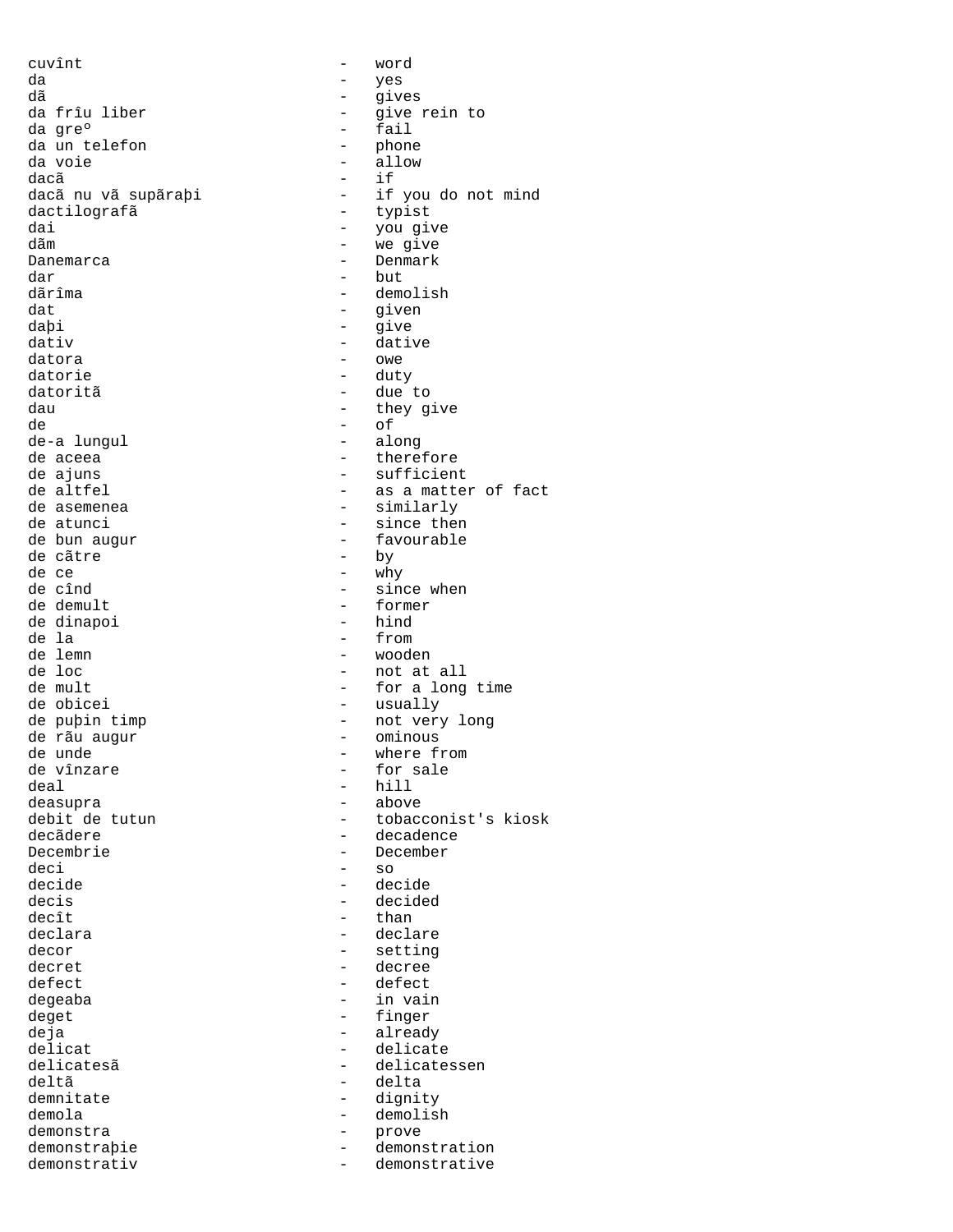cuvînt - word da - yes dã - gives da frîu liber - give rein to<br>da gre° - fail da un telefon - phone da voie<br>dacã dacã - if dactilografã dai - you give<br>dãm - we give dãm - we give dar - but dãrîma - demolish dat - given daþi - give dativ - dative datora - owe datorie - duty datoritã<br>dau de - of de-a lungul de aceea  $\begin{array}{ccc} - & \text{therefore} \\ - & \text{surface} \end{array}$ de atunci - since then de bun augur - favourable de cãtre  $\qquad$  - by  $\qquad$  de ce - why de cînd<br>de demult - since when<br>- former de dinapoi<br>de la de la - from de lemn - wooden de obicei  $-$  usually de rãu augur  $\frac{1}{10}$  - ominous<br>de unde - where fi de vînzare deal - hill deasupra - above Decembrie - December deci - so decide - decide decis - decided  $decît$  - than declara - declare - declare decor - setting<br>decret - decree decret - decree defect - defect<br>degeaba degeaba - in vain deget - finger deja - already delicat - delicate delicatesã en la contracte delicatessen deltã - delta<br>demnitate - dignity - dignity demnitate - dignity and demnitate demonstrate of  $\sim$ demola - demolish demonstra - prove demonstrativ - demonstrative

- fail<br>- phone - if you do not mind<br>- typist - Denmark - they give - sufficient de altfel  $-$  as a matter of fact<br>de asemenea - similarly - former<br>- hind - not at all de mult<br>
- for a long time de puþin timp  $-$  not very long - where from<br>- for sale debit de tutun - tobacconist's kiosk<br>decãdere - decadence decãdere - decadence demonstraþie - demonstration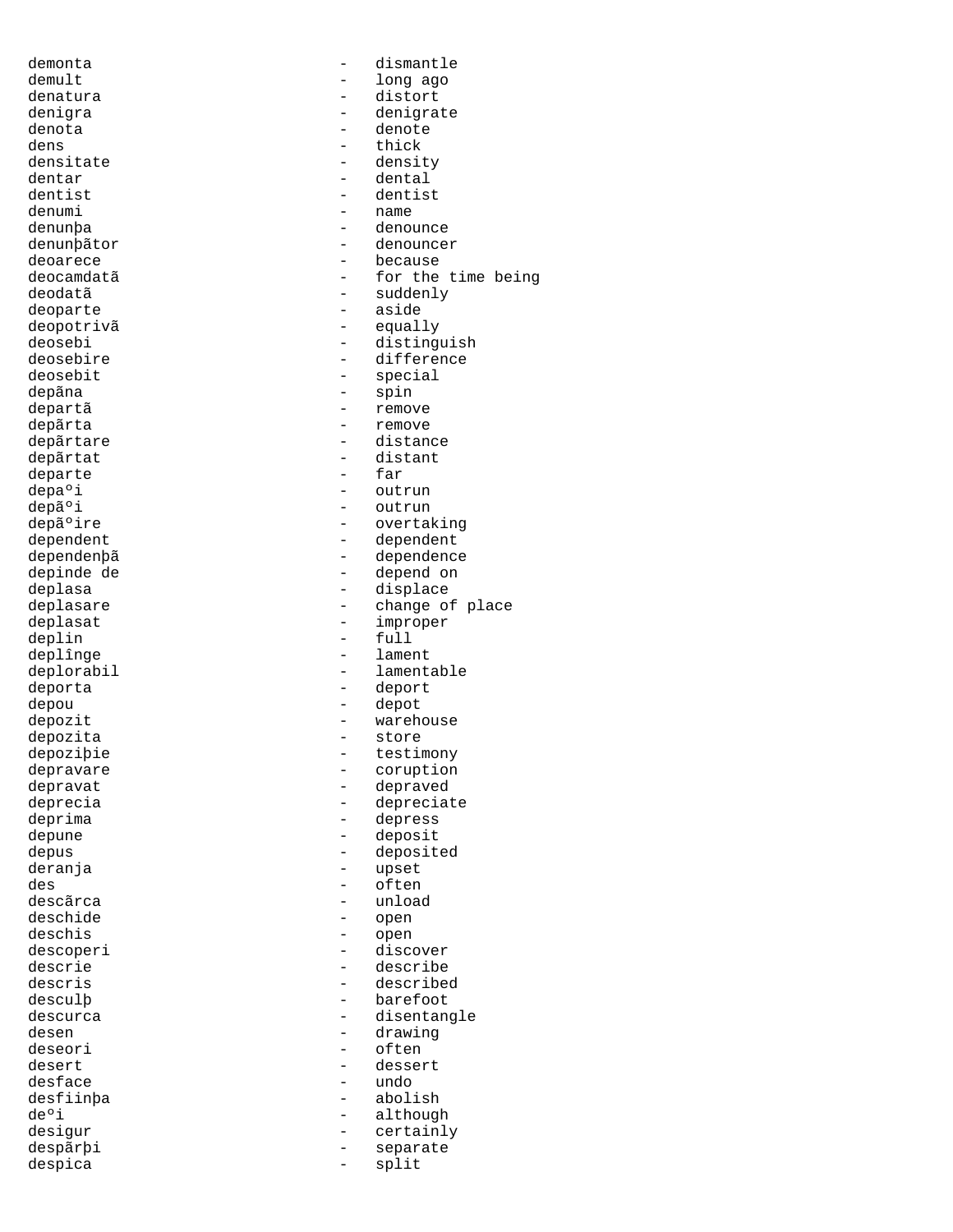deopotrivã<br>deosebi departe depozita - store descoperi - discoveri - discoveri - discoveri - discoveri - discoveri - discoveri - discoveri - discoveri - discoveri - discoveri - discoveri - discoveri - discoveri - discoveri - discoveri - discoveri - discoveri - discov desface

demonta - dismantle demult - long ago<br>denatura - distort - distort denatura - distort denigra - denigrate denota - denote dens densitate the contract of the contract of the contract of the contract of the contract of the contract of the contract of the contract of the contract of the contract of the contract of the contract of the contract of densitate - density dentar - dental dentist - dentist denumi - name<br>denunba - denou - denounce denunþãtor - denouncer deoarece - because deocamdatã <br />
- for the time being<br />
deodatã - suddenly deoparte - aside deosebi - distinguish<br>deosebire - difference deosebire - difference deosebit - special depãna - spin - remove depãrta - remove depãrtare  $-$  distance depãrtat - distant depa°i - outrun depãºi - outrun depãºire - outrun - outrun depãºire - overtal depãºire - overtaking<br>dependent - overtaking<br>dependent - dependent dependent - dependent dependenþã - dependence depinde de - depend on deplasa - displace - change of place deplasat - improper deplin - full deplînge - lament - lamentable deporta - deport depou - depot depozit - warehouse depoziþie - testimony depravare - coruption depravat - depraved deprecia depreciate depreciate<br>deprima - depress - depress depune - deposit depus - deposited deranja - upset des - often descãrca - unload deschide - open deschis - open descrie - describe descris - described desculþ - barefoot - disentangle desen - drawing deseori - often desert - dessert desfiinþa - abolish de°i - although - although - although - although - although - although - although - although - although - although - although - although - although - although - although - although - although - although - although - althou - certainly<br>- separate despãrþi - separate despica - split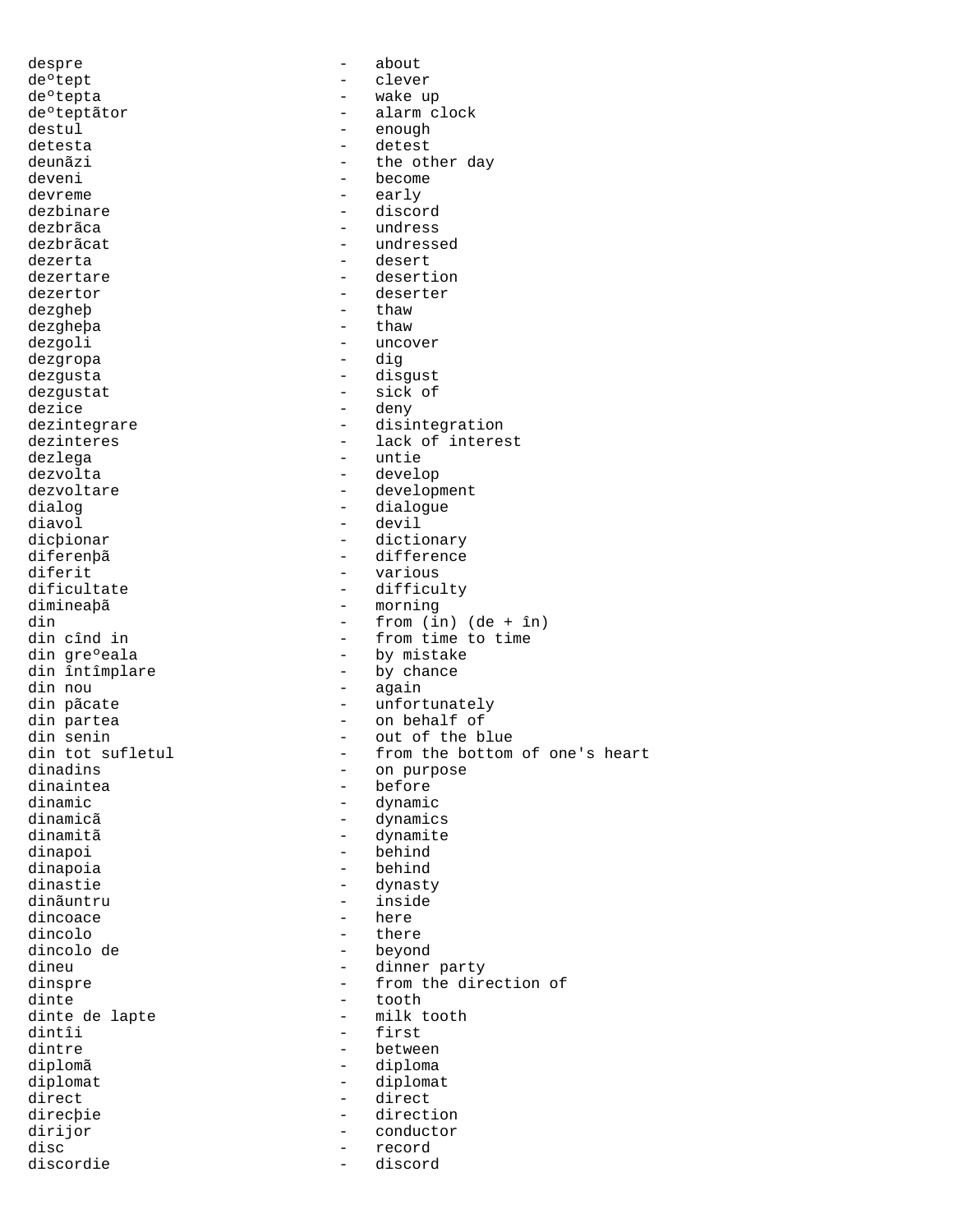despre - about de°tept - clever deºtepta - wake up de°teptãtor - alarm clock destul - enough detesta<br>detesta - detest detesta – detesta – detesta – detesta – detesta – detesta – detesta – detesta – detesta – detesta – detesta – d deunãzi - the other day<br>deveni - become devreme - early dezbinare - discord dezbrãca - undress dezbrãcat - undressed dezerta - desert dezertare - desertion dezertor - deserter dezgheþ - thaw dezgheþa - thaw dezgoli - uncover<br>dezgropa - dig dezgropa - dig dezgusta - disgust dezgustat - sick of dezice - deny<br>dezintegrare - disi dezinteres - lack of interest dezlega - untie dezvolta - develop dezvoltare  $\qquad \qquad -$  development dialog - dialogue diavol - devil dicþionar - dictionary<br>diferenhã - difference diferenþã - difference diferit - various<br>dificultate - difficu dificultate - difficulty din  $\frac{1}{\sin \theta}$  - from (in) (de + în)<br>din cînd in - from time to time din cînd in  $\frac{1}{2}$  - from time to time din gre $\frac{1}{2}$  - by mistake din greºeala - by mistake<br>din întîmplare - by chance din întîmplare  $\qquad \qquad -$  by chance din nou  $\qquad \qquad -$  again din pãcate  $\qquad \qquad -$  unfortunately din partea  $\qquad \qquad$  - on behalf of din senin  $-$  out of the blue<br>din tot sufletul  $-$  from the bottom dinadins - on purpose dinaintea - before dinamic<br>dinamicã dinamic - dynamic dinamitã - dynamite dinapoi - behind dinapoia - behind dinastie - dynasty dinãuntru - inside dincoace dincolo - there dincolo de - beyond dineu - dinner party<br>dinspre - dinner party<br>- from the dire dinte - tooth dinte de lapte - milk tooth dintre between diplomã - diploma diplomat - diplomat direct - direct direcþie - direction dirijor - conductor discordie  $-$ 

- become<br>- early - disintegration - morning - again din tot sufletul - from the bottom of one's heart<br>dinadins - on purpose - dynamics dinspre  $\qquad \qquad -$  from the direction of dinte - first - record<br>- discord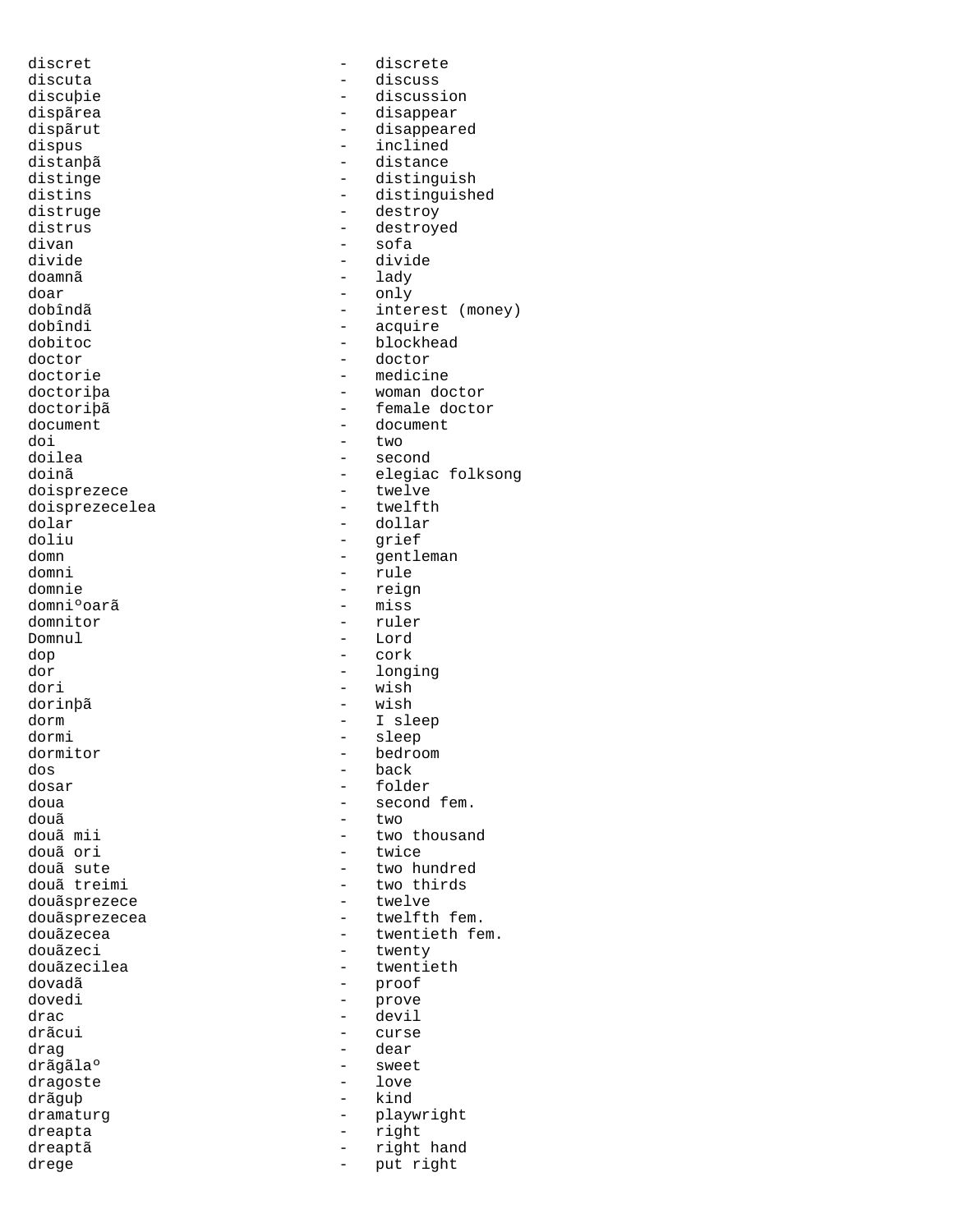discret - discrete discuta - discuss discuþie - discussion dispãrea - disappear - disappear<br>dispãrut - disappear dispãrut - disappeared<br>dispus - disappeared<br>- inclined dispus - inclined<br>distanbã - distance distanþã<br>distinge - distance<br>- distingu distinge  $\qquad \qquad \qquad -$  distinguish<br>distins  $\qquad \qquad -$  distinguish distruge - destroy distrus - destroyed<br>divan - sofa divan - sofa doamnã - lady doar - only dobîndã - only dobîndã - inte dobîndã - interest (money) dobîndi - acquire dobitoc - blockhead doctor - doctor doctorie - medicine doctoriþa - woman doctor doctoriþã<br>document - female doctor<br>document - document document - document<br>doi - two doi - two doilea - second doisprezece - twelve<br>doisprezecelea - twelfth doisprezecelea - twelfthands - twelfthands - twelfthands - twelfthands - twelfthands - twelfthands - twelfthan<br>- twelfthands - twelfthands - twelfthands - twelfthands - twelfthands - twelfthands - twelfthands - twelfthands dolar - dollar doliu - grief<br>domn - grief - grief domn - gentleman domni - rule domniºoarã<br>domnitor domnitor - ruler<br>Domnul - Lord dop - cork dori - wish dorinþã - wish dorm - I sleep dormi - sleep<br>dormitor - bedro dormitor - bedroom dos - back dosar - folder doua - second fem. douã - two - two - two - two - two - two - two - two - two - two - two - two - two - two - two - two - two - two - two - two - two - two - two - two - two - two - two - two - two - two - two - two - two - two - two - two douã mii  $\begin{array}{ccc} - & + \\ - & + \end{array}$  two thousand douã ori douã ori - twice douã treimi - two thirds<br>douãsprezece - - - twelve - - twelve douãsprezece douãsprezecea - twelfth fem.<br>douãzecea - twentieth fe douãzecea - twentieth fem.<br>douãzeci - twenty - twenty douãzeci - twenty douãzecilea - twentieth<br>dovadã - terminale - twentieth dovadã - proof dovedi - prove drac - devil drag - dear<br>drãgãlaº - dear - sweet drãgãlaº - sweet dragoste drãguþ - kind dramaturg - playwright dreapta - right dreaptã - right hand drege  $\qquad \qquad -$  put right

- distinguished divide - divide - elegiac folksong - reign<br>- miss - Lord - longing - two hundred - curse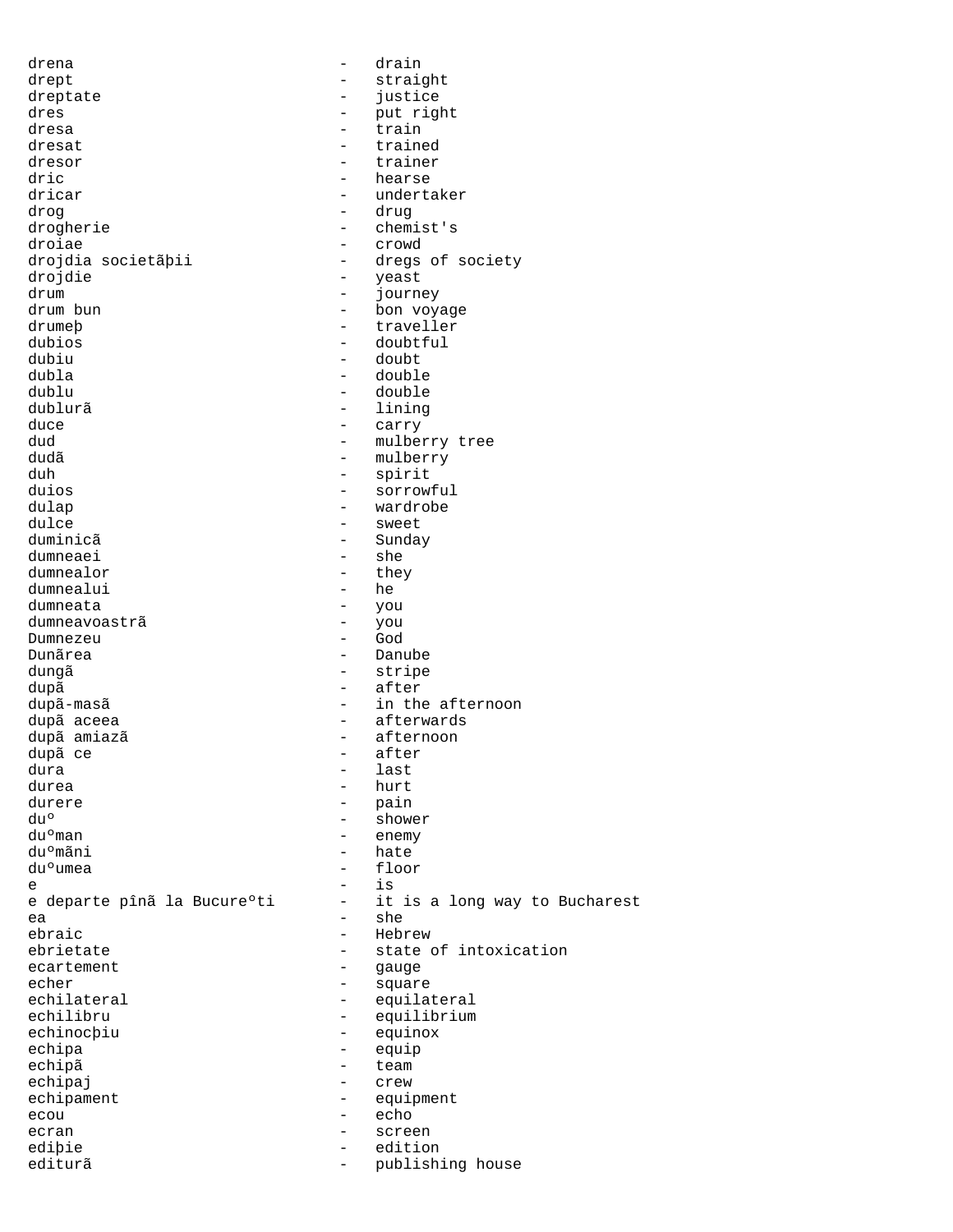drena - drain drept - straight<br>dreptate - iustice dreptate - justice - justice<br>dres - put rig dres - put right dresa - train<br>dresat - train dresat - trained<br>dresor - trainer - trainer dresor - trainer dric - hearse - hearse - hearse - hearse - hearse - hearse - hearse - hearse - hearse - hearse - hearse - hearse - hearse - hearste - hearste - hearste - hearste - hearste - hearste - hearste - hearste - hearste - hearste - undertaker drog - drug drogherie - chemist's droiae - crowd - dregs of society drojdie - yeast - yeast - yeast - yeast - year - year - year - year - year - year - year - year - year - year - year - year - year - year - year - year - year - year - year - year - year - year - year - year - year - year drum - journey - bon voyage<br>- traveller drumeþ - traveller<br>dubios - doubtful dubios - doubtful dubiu - doubt dubla - double dublu - double<br>dublurã - lining - lining duce  $-$  carry  $-$  carry  $-$  mulber dud - mulberry tree dudã – mulberry<br>duh – spirit - spirit duios - sorrowful dulap - wardrobe dulce - sweet - Sunday<br>- she dumneaei - she<br>dumnealor - they dumnealor - they dumnealui<br>dumneata dum<br>1 you<br>1 you dumneavoastrã - you Dumnezeu Dunãrea - Danube dungã - stripe dupã - after dupã-masã dupã-masã dupã-masã dupã-masã dupã-masã dupã-masã dupos dupos dupos dupos dupos dupos dupos dupos du dupã aceea - afterwards - afterwards - afterwards - afterwards - afterwards - afternoon dupã amiazã - afternoon dupã ce - after dura - last durea - hurt - hurt - hurt - hurt - hurt - hurt - hurt - hurt - hurt - hurt - hurt - hurt - hurt - hurt - hurt - hurt - hurt - hurt - hurt - hurt - hurt - hurt - hurt - hurt - hurt - hurt - hurt - hurt - hurt - hurt - hurt  $\begin{array}{ccc}\n\text{durere} & - & \text{pain} \\
\text{du}^{\circ} & - & \text{show}\n\end{array}$  $du<sup>o</sup>$  = shower du<sup>o</sup>man = shower du<sup>o</sup>man = shower  $du^{\circ}$ man - enemy  $du^{\circ}$ man - enemy - enemy duºmãni - hate - floor e - is - it is a long way to Bucharest ea - she<br>ebraic - she - she<br>- Hebr - Hebrew<br>- state ebrietate - state of intoxication<br>ecartement - state of intoxication ecartement - gauge<br>
echer - square echer - square echilateral - equilateral<br>echilibru - equilibrium - equilibrium echinocþiu - equinox echipa - equip<br>echipã - equip echipã - team echipaj - crew echipament - equipment ecou - echo ecran - screen ediþie - edition editurã - publishing house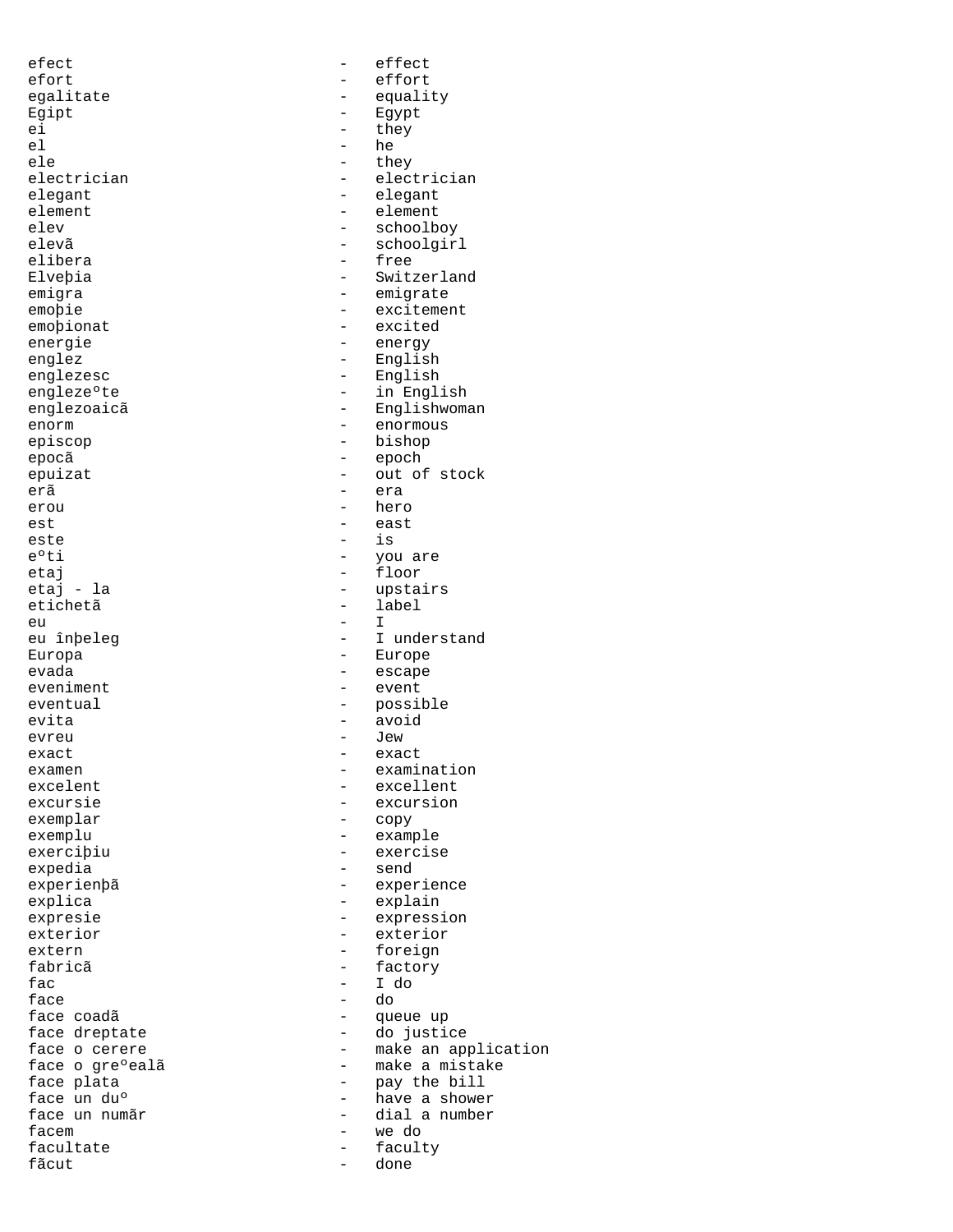efect  $-\qquad -$  effect efort - effort Egipt - Egypt ei - they - they - he el - he ele - they elegant - elegant - elegant - element - element - element - element - element - element - element - element -  $\frac{1}{2}$ element - element - element - element - element - element - element - element - element - element - element -  $\frac{1}{2}$ emoþionat - excited energie  $-$  energy englez - English englezesc - English<br>engleze°te - in Engli episcop - bishop epocã - epoch erã era erou - hero est est external extensive extensive extensive extensive extensive extensive extensive extensive extensive extensive extensive extensive extensive extensive extensive extensive extensive extensive extensive extensive exten este is a contract of  $\sim$  is  $\sim$ e<sup>o</sup>ti - you are etaj - floor eu - I Europa - Europe evada evada - escape eveniment - event evita - avoid evreu - Jew exact - exact exemplu - example - example<br>exercibiu - exercise expedia explica - explain extern - foreign<br>fabricã - factory fabricã - factory fac - I do face - do facem - we do facultate - faculty fãcut

egalitate - equality electrician - electrician<br>elegant - elegant - elegant elev - schoolboy<br>elevã - schoolgir elevã - schoolgirl<br>elibera - schoolgirl - free Elveþia - Switzerland emigra - emigrate emoþie - excitement engleze°te - in English<br>englezoaicã - Finalishwoma - Englishwoman enorm - enormous epuizat - out of stock etaj - la - upstairs - label<br>- I eu înbeleg europe europe europe europe en la angles en la provincia europe en la provincia en la provincia en eventual - possible examen - examination<br>excelent - excelent - excellent excelent - excellent - excellent - excursion excursie - excursion<br>exemplar - excursion<br>- copy - copy - exercise<br>- send experienþã - experience expresie  $\overline{\phantom{a}}$  - expression exterior - exterior - queue up face dreptate  $\begin{array}{ccc} 1 & - & - \\ - & - & \end{array}$  do justice face o cerere - make an application face o greºealã de esta constante - make a mistake face plata  $\begin{array}{ccc} - & - & - \\ - & - & \end{array}$  bave a shower have a shown in the bill - have a shower face un numãr<br>facem  $-$  dial a number<br> $-$  we do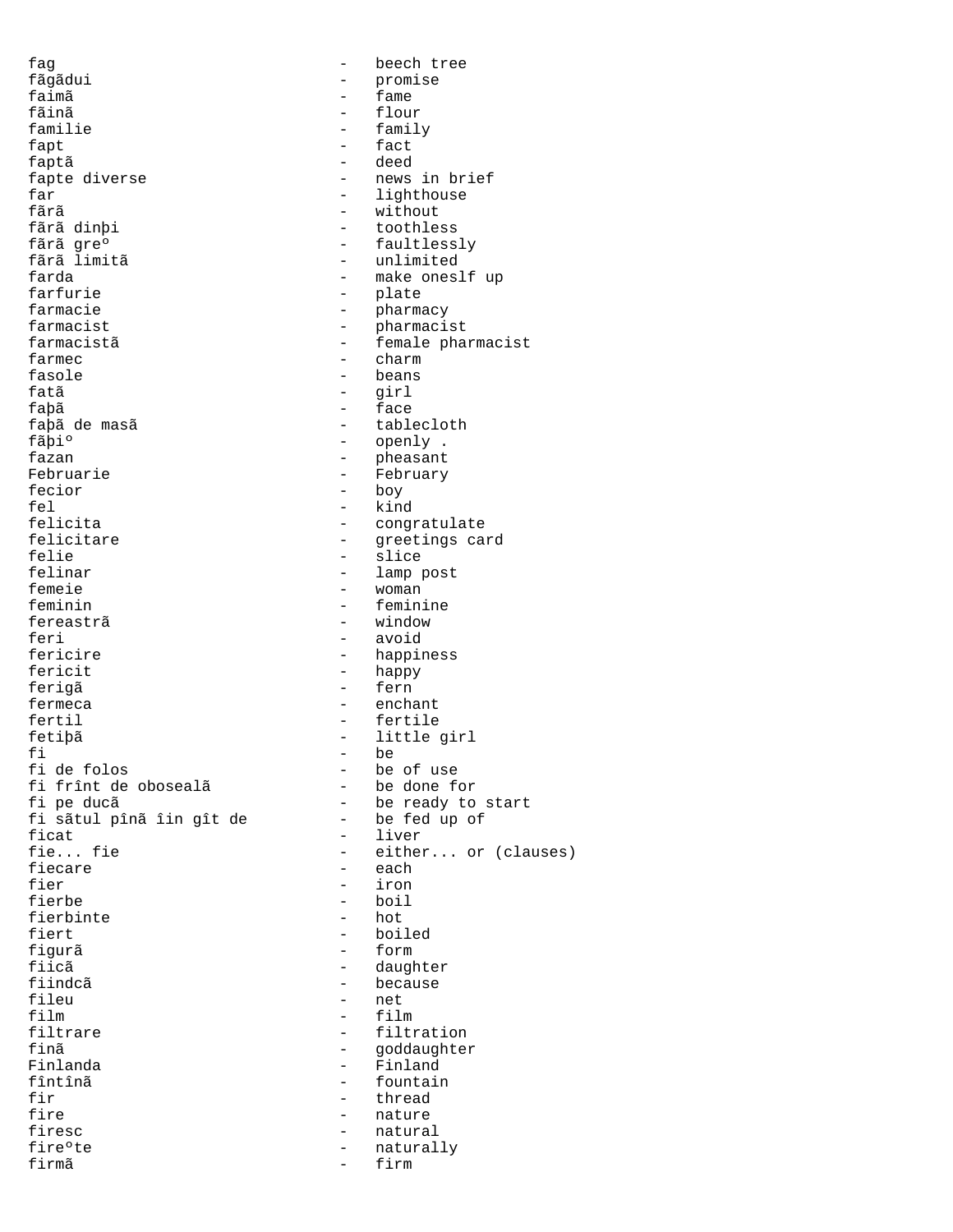fag - beech tree fãgãdui - promise<br>faimã - fame faimã - fame fãinã - flour familie - family fapt - fact<br>fantã - deed faptã - deed fapte diverse  $\begin{array}{ccc} - & \text{news in brief} \\ \text{far} & - & \text{lighthouse} \end{array}$ far - lighthouse - lighthouse - lighthouse - lighthouse - lighthouse - lighthouse - lighthouse - lighthouse fãrã - without - without - without - without - without - without - without - without - without - without - without - without - without - without - without - without - without - without - without - without - without - witho fãrã dinþi - toothless fãrã gre<sup>o</sup> - faultlessly<br>fãrã limitã - unlimited - unlimited farda - make oneslf up farfurie - plate farmacie  $-$  pharmacy farmacist - pharmacist farmacistã - female pharmacist farmec - charm - charm - charm - charm - charm - charm - charm - charm - charm - charm - charm - charm - charm - charm - charm - charm - charm - charm - charm - charm - charm - charm - charm - charm - charm - charm - charm fasole - beans fatã - girl faþã - face faþã de masã  $\begin{array}{ccc} - & table cloth \\ f\tilde{a}pi^o & - & openly \end{array}$ . fãþi<sup>o</sup> - openly .<br>fazan - oheasant. - pheasant Februarie  $-$  February fecior - boy fel - kind felicita - congratulate<br>felicitare - congratulate<br>- qreetings ca felicitare - greetings card<br>felie - greetings card felie - slice - slice<br>felinar - lamp - lamp felinar - lamp post<br>femeie - voman - voman femeie - woman<br>feminin - feminin - feminin - feminine fereastrã <br/>
- window<br/>
- window<br/>
feri - avoid - happiness fericit - happy ferigã - fern fermeca - enchant fertil - fertile fetiþã - little girl fi - be<br>fi de folos - be - be of use<br>- be done for fi frînt de obosealã<br>fi pe ducã - be ready to start<br>- be fed up of fi sãtul pînã îin gît de ficat  $\overline{\phantom{a}}$  - liver<br>fie... fie - either fie... fie - either... or (clauses)<br>fiecare - each - each fier - iron fierbe - boil fierbinte fiert - boiled<br>figurã - form - form figurã - form fiicã - daughter fiindcã - because - because - because - because - because - because - because - because - because - because fileu - net<br>film - film - film film - film - filtration finã - goddaughter<br>Finlanda - Finland Finlanda - Finland fountain fir thread  $-$  thread fire - nature firesc  $-$  natural fire°te - naturally firmã - firm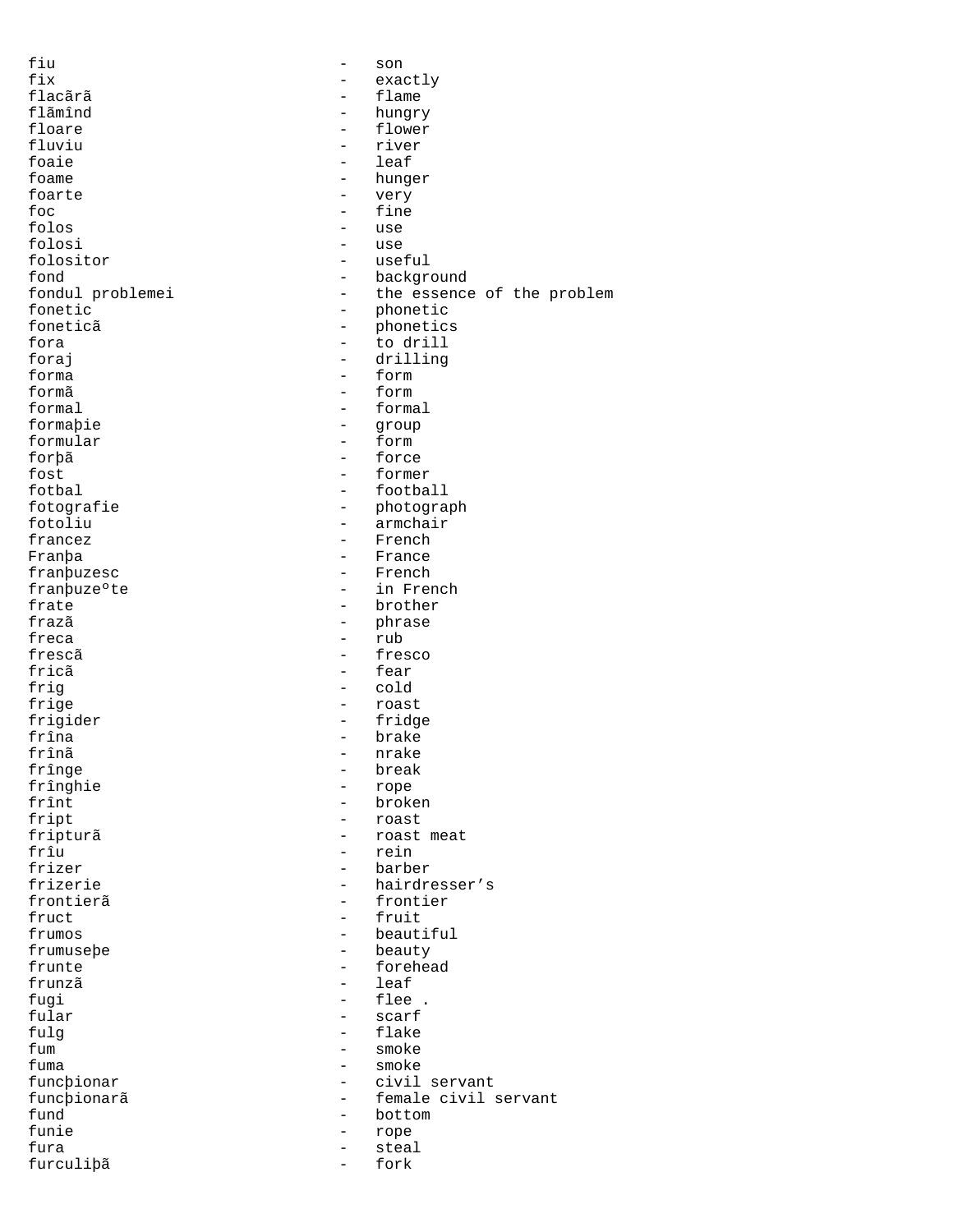| fiu              |                          | son                        |
|------------------|--------------------------|----------------------------|
| fix              |                          | exactly                    |
| flacãrã          |                          | flame                      |
| flãmînd          |                          | hungry                     |
| floare           |                          | flower                     |
| fluviu           | $\overline{\phantom{0}}$ | river                      |
| foaie            | $\overline{\phantom{0}}$ | leaf                       |
| foame            |                          | hunger                     |
| foarte           |                          | very                       |
| foc              |                          | fine                       |
| folos            |                          | use                        |
| folosi           |                          | use                        |
| folositor        |                          | useful                     |
| fond             |                          | background                 |
| fondul problemei | $\overline{\phantom{0}}$ | the essence of the problem |
| fonetic          | $\qquad \qquad$          | phonetic                   |
| foneticã         | $\overline{\phantom{0}}$ | phonetics                  |
| fora             |                          |                            |
|                  | $\overline{\phantom{a}}$ | to drill                   |
| foraj            |                          | drilling                   |
| forma            |                          | form                       |
| formã            | $\overline{\phantom{0}}$ | form                       |
| formal           |                          | formal                     |
| formabie         | $\overline{\phantom{m}}$ | group                      |
| formular         |                          | form                       |
| forþã            | $\overline{\phantom{0}}$ | force                      |
| fost             |                          | former                     |
| fotbal           | $\qquad \qquad -$        | football                   |
| fotografie       | $\qquad \qquad -$        | photograph                 |
| fotoliu          |                          | armchair                   |
| francez          |                          | French                     |
| Franþa           | $\overline{\phantom{0}}$ | France                     |
| franbuzesc       | $\overline{\phantom{0}}$ | French                     |
| franbuze°te      |                          | in French                  |
| frate            |                          | brother                    |
| frazã            |                          | phrase                     |
| freca            | $\overline{\phantom{a}}$ | rub                        |
|                  |                          |                            |
| frescã           |                          | fresco                     |
| fricã            |                          | fear                       |
| frig             | $\overline{\phantom{0}}$ | cold                       |
| frige            | $\overline{\phantom{0}}$ | roast                      |
| frigider         |                          | fridge                     |
| frîna            | $\overline{\phantom{0}}$ | brake                      |
| frînã            |                          | nrake                      |
| frînge           | $\qquad \qquad -$        | break                      |
| frînghie         |                          | rope                       |
| frînt            |                          | broken                     |
| fript            |                          | roast                      |
| fripturã         |                          | roast meat                 |
| frîu             |                          | rein                       |
| frizer           | $\qquad \qquad -$        | barber                     |
| frizerie         |                          | hairdresser's              |
| frontierã        | $\qquad \qquad -$        | frontier                   |
| fruct            |                          | fruit                      |
| frumos           |                          | beautiful                  |
| frumusebe        |                          | beauty                     |
| frunte           | $\overline{\phantom{0}}$ | forehead                   |
| frunzã           | $\overline{\phantom{0}}$ | leaf                       |
|                  |                          | flee .                     |
| fugi             |                          |                            |
| fular            |                          | scarf                      |
| fulg             |                          | flake                      |
| fum              | $\qquad \qquad -$        | smoke                      |
| fuma             |                          | smoke                      |
| funcbionar       |                          | civil servant              |
| funcþionarã      |                          | female civil servant       |
| fund             | $\overline{\phantom{0}}$ | bottom                     |
| funie            |                          | rope                       |
| fura             | $\overline{\phantom{0}}$ | steal                      |
| furculipã        | $\qquad \qquad -$        | fork                       |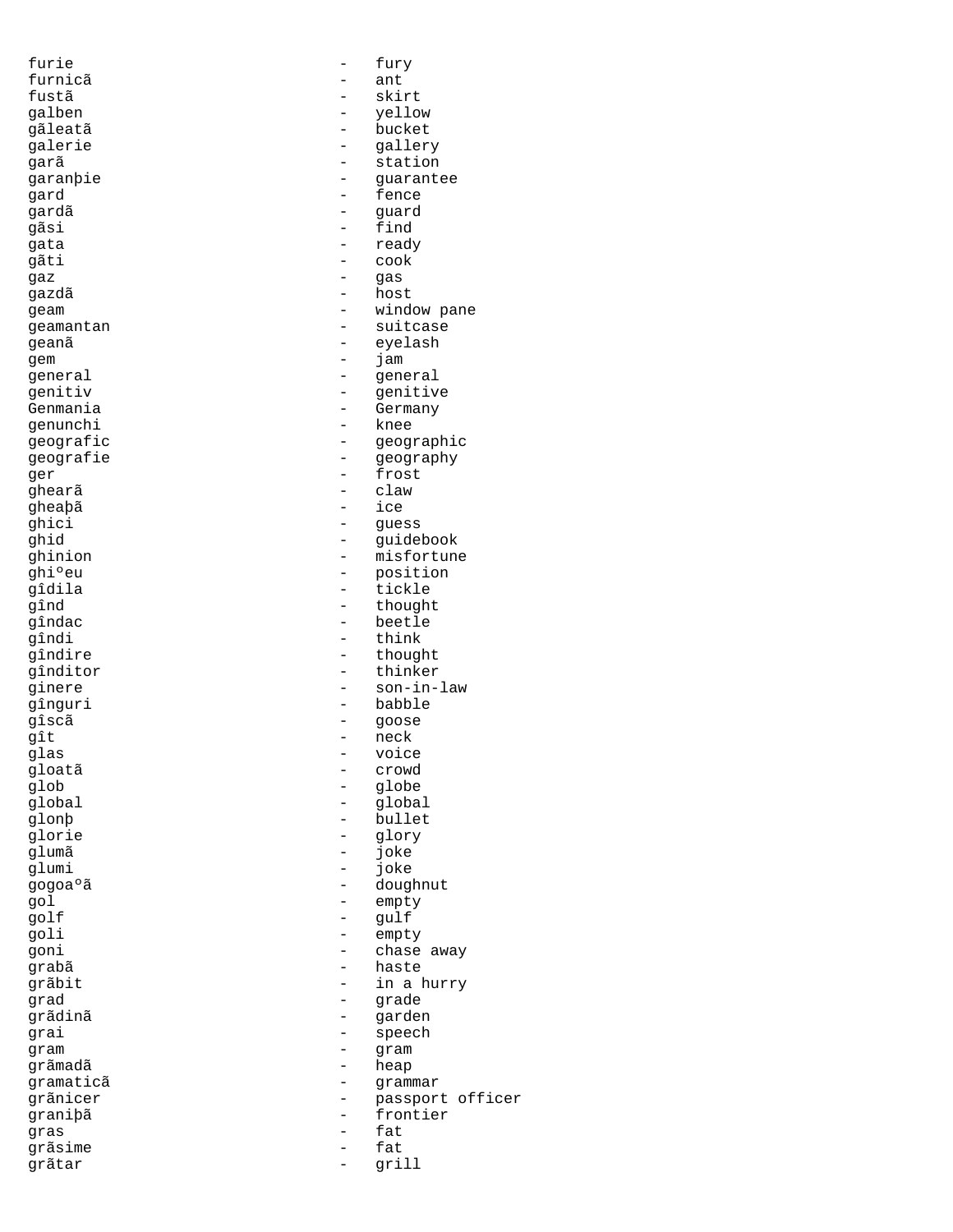gheaþã - ice grãdinã grãsime - fatisfation de la proposa de la proposa de la proposa de la proposa de la proposa de la proposa de<br>En 1980, estado de la proposa de la proposa de la proposa de la proposa de la proposa de la proposa de la propo grãtar - grill

furie  $-$  fury furnicã – ant<br>fustã – skil fustã - skirt galben - yellow gãleatã - bucket galerie - gallery garã - station garanþie - guarantee gard - fence - guard gãsi - find gata - ready gãti - cook gaz - gas gazdã - host geam  $\qquad \qquad -$  window pane<br>  $\qquad \qquad -$  suitcase geamantan - suitcase geanã - eyelash - eyelash - eyelash - eyelash - exercited and the set of the set of the set of the set of the s<br>
- iam gem - jam general - general<br>
genitiv - genitiv - genitiv genitiv - genitive - Germany genunchi - knee qeografic - geographic geografie - geography ger - frost ghearã - claw ghici - guess<br>ghid - guidel - guidel ghid - guidebook<br>ghinion - misfortune - misfortune ghiºeu - position<br>gîdila - tickle - tickle gîdila - tickle gînd - thought<br>gîndac - beetle gîndac - beetle gîndi - think<br>qîndire - though - though - thought gînditor - thinker ginere - son-in-law gînguri - babble gîscã - goose - goose - goose - goose - goose - goose - goose - goose - goose - goose - goose - goose - goose - goose - goose - goose - goose - goose - goose - goose - goose - goose - goose - goose - goose - goose - goose gît - neck<br>glas - voice glas - voice gloatã - crowd glob - globe global - global<br>glonp - bullet - bullet glorie - glory<br>glumã - glory<br>clumã - ioke glumã - joke - joke gogoaºã - doughnut gol - empty golf - gulf goli - empty goni - chase away grabã - haste grãbit  $-$  in a hurry -<br>| grad<br>| gradinã - garden grai - speech qram - gram - gram - gram - gram - gram - gram - gram - gram - gram - gram - gram - gram - gram - gram - gram - gram - gram - gram - gram - gram - gram - gram - gram - gram - gram - gram - gram - gram - gram - gram - gram qrãmadã - heap gramaticã - grammar grãnicer - passport officer<br>
granibã - frontier graniþã - frontier<br>gras - fat gras - fat<br>qrãsime - fat - fat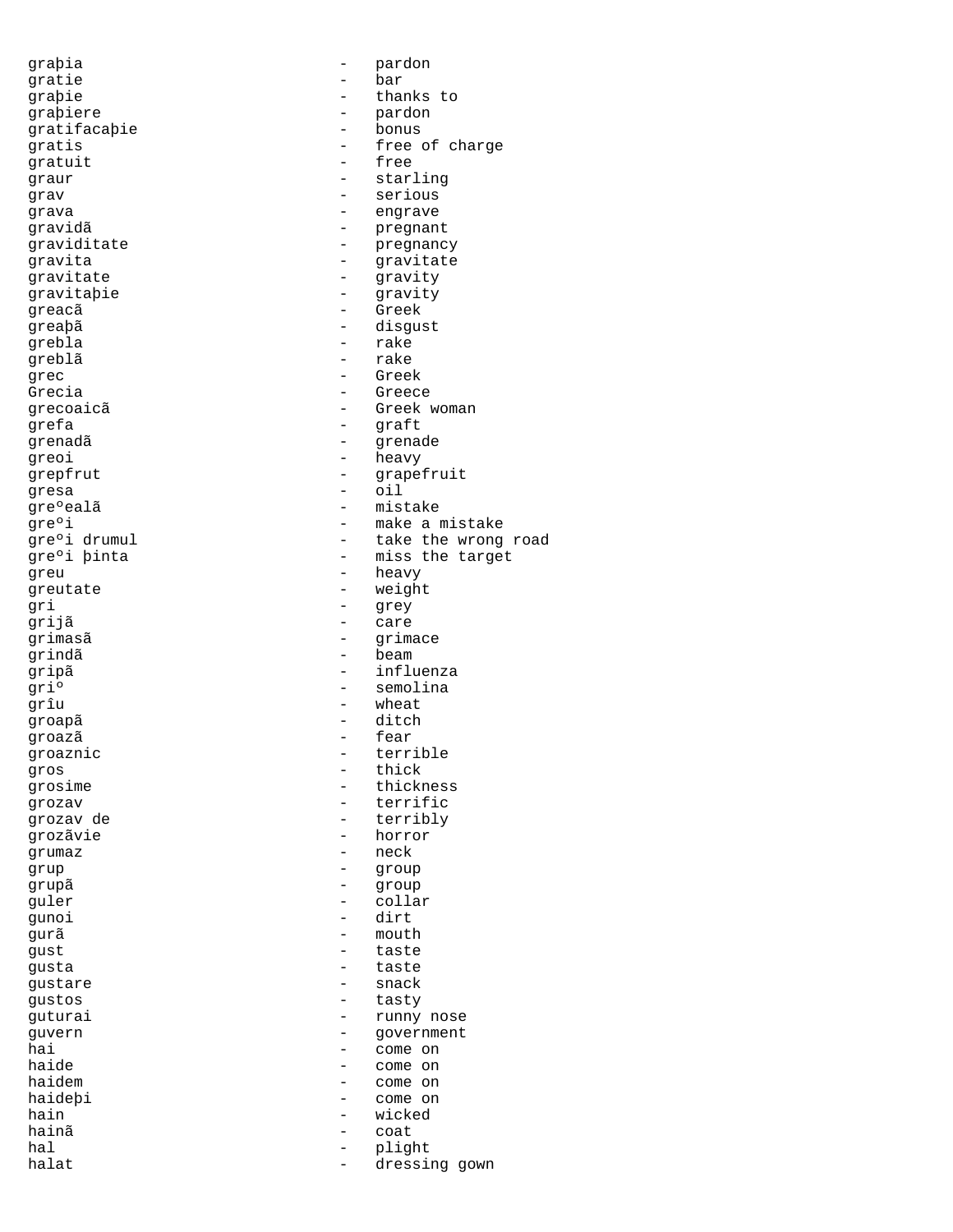gratie - bar graþiere - pardon - pardon - pardon - pardon - pardon - pardon - pardon - pardon - pardon - pardon - pardon gratifacaþie - bonus gratuit greacã - Greek grebla - rake greblã – rake de la provincia de la provincia de la provincia de la provincia de la provincia de la provincia<br>De la provincia de la provincia de la provincia de la provincia de la provincia de la provincia de la provinci grec - Greek Grecia - Greece -<br>grefa - graft - graft greoi - heavy gresa - oil greu - heavy greutate - weight gri - grey grijã - care grindã - beam grîu - wheat groapã - ditch groazã – fear – fear – fear – fear – fear – fear – fear – fear – fear – fear – fear – fear – fear – fear – fear – fear – fear – fear – fear – fear – fear – fear – fear – fear – fear – fear – fear – fear – fear – fear – fea gros - thick<br>grosime - thick<br>- thick grozãvie - horror grumaz - neck grup - group grupã - group guler - collar<br>gunoi - dirt gunoi - dirt gurã - mouth gust - taste<br>qusta - taste gusta - taste<br>qustare - taste - taste gustare - snack gustos - tasty hain - wicked hainã coata a coata a coata a coata a coata a coata a coata a coata a coata a coata a coata a coata a coata a c hal - plight

graþia - pardon graþie - thanks to gratis  $\begin{array}{ccc} - & \text{free of charge} \\ - & \text{free} \end{array}$ graur - starling grav - serious grava - engrave gravidã<br>graviditate en energies de la pregnant<br>pregnanc - pregnancy gravita - gravitate gravitate - gravity gravitaþie - gravity - greaþã<br>greaþā - disgust<br>grebla - rake grecoaicã entre entre de la Greek woman grenadã e contra de la presencia de la presencia de la presencia de la presencia de la presencia de la presenc grepfrut - grapefruit gre°ealã - mistake gre°i  $\begin{array}{ccc} - & \text{make a mistake} \\ \text{gre}^{\circ} & \text{drumul} \\ \end{array}$  - take the wrong gre°i drumul - take the wrong road<br>gre°i binta - miss the target - miss the target qrimasã entre entre entre entre entre entre entre entre entre entre entre entre entre entre entre entre entre gripã - influenza griº - semolina groaznic - terrible<br>gros - thick<br>- thick grosime - thickness grozav - terrific - terribly guturai - runny nose guvern - government<br>hai - government<br>- come on hai - come on<br>haide - come on - come on<br>- come on haidem  $-$  come on haideþi - come on

dressing gown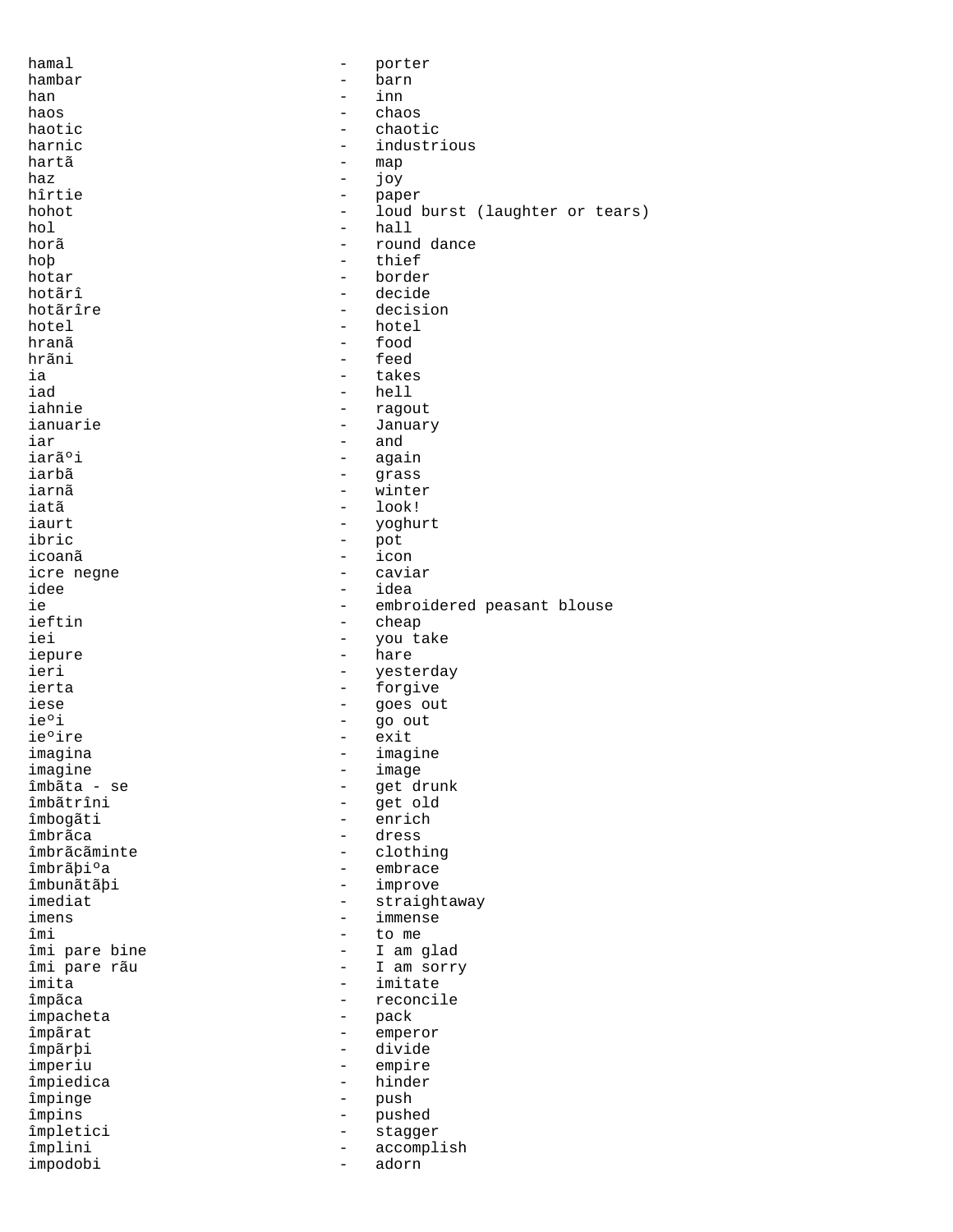| hamal         |                          | porter                         |
|---------------|--------------------------|--------------------------------|
| hambar        | $\qquad \qquad$          | barn                           |
| han           |                          | inn                            |
| haos          | $\overline{\phantom{0}}$ | chaos                          |
|               | $\equiv$                 | chaotic                        |
| haotic        |                          |                                |
| harnic        | $-$                      | industrious                    |
| hartã         | -                        | map                            |
| haz           | $\qquad \qquad -$        | joy                            |
| hîrtie        | $\overline{\phantom{m}}$ | paper                          |
| hohot         | $\overline{\phantom{0}}$ | loud burst (laughter or tears) |
| hol           | $-$                      | hall                           |
| horã          | $\qquad \qquad -$        | round dance                    |
|               |                          |                                |
| hop           |                          | thief                          |
| hotar         | $\overline{\phantom{0}}$ | border                         |
| hotãrî        | -                        | decide                         |
| hotãrîre      | $\overline{\phantom{0}}$ | decision                       |
| hotel         |                          | hotel                          |
| hranã         | $-$                      | food                           |
|               |                          |                                |
| hrãni         | $-$                      | feed                           |
| ia            | $\overline{\phantom{0}}$ | takes                          |
| iad           | $-$                      | hell                           |
| iahnie        | $-$                      | ragout                         |
| ianuarie      | $\qquad \qquad -$        | January                        |
| iar           | $\overline{\phantom{0}}$ | and                            |
| iarãºi        |                          |                                |
|               | $\overline{\phantom{0}}$ | again                          |
| iarbã         | $\overline{\phantom{0}}$ | grass                          |
| iarnã         | $\overline{\phantom{0}}$ | winter                         |
| iatã          | $\qquad \qquad -$        | look!                          |
| iaurt         | $\qquad \qquad -$        | yoghurt                        |
| ibric         | $\qquad \qquad -$        | pot                            |
| icoanã        | $\overline{\phantom{0}}$ | icon                           |
|               |                          |                                |
| icre negne    | $\overline{\phantom{0}}$ | caviar                         |
| idee          | $\overline{\phantom{0}}$ | idea                           |
| ie            | $\overline{\phantom{0}}$ | embroidered peasant blouse     |
| ieftin        | $\qquad \qquad -$        | cheap                          |
| iei           | $-$                      | you take                       |
| iepure        | $ -$                     | hare                           |
| ieri          | $-$                      | yesterday                      |
|               |                          |                                |
| ierta         | $-$                      | forgive                        |
| iese          | $\qquad \qquad -$        | goes out                       |
| ie°i          | -                        | go out                         |
| ieºire        | $\qquad \qquad -$        | exit                           |
| imagina       |                          | imagine                        |
| imagine       | -                        | image                          |
|               |                          |                                |
| îmbãta - se   |                          | get drunk                      |
| îmbãtrîni     |                          | get old                        |
| îmbogãti      | $\overline{\phantom{0}}$ | enrich                         |
| îmbrãca       | $\overline{\phantom{0}}$ | dress                          |
| îmbrãcãminte  | -                        | clothing                       |
| îmbrãþi°a     | $\overline{\phantom{0}}$ | embrace                        |
| îmbunãtãþi    | $\overline{\phantom{0}}$ | improve                        |
|               |                          |                                |
| imediat       | $\qquad \qquad -$        | straightaway                   |
| imens         | $\qquad \qquad -$        | immense                        |
| îmi           | $\overline{\phantom{0}}$ | to me                          |
| îmi pare bine | $\overline{\phantom{0}}$ | I am glad                      |
| îmi pare rãu  | $\overline{\phantom{0}}$ | I am sorry                     |
| imita         | $\qquad \qquad -$        | imitate                        |
|               | $\overline{\phantom{0}}$ | reconcile                      |
| împãca        |                          |                                |
| impacheta     | $\qquad \qquad -$        | pack                           |
| împãrat       | -                        | emperor                        |
| împãrþi       | Ξ.                       | divide                         |
| imperiu       | -                        | empire                         |
| împiedica     |                          | hinder                         |
|               |                          |                                |
| împinge       | $\qquad \qquad -$        | push                           |
| împins        | -                        | pushed                         |
| împletici     | $\qquad \qquad -$        | stagger                        |
| împlini       | $\qquad \qquad -$        | accomplish                     |
| impodobi      | $\overline{\phantom{0}}$ | adorn                          |
|               |                          |                                |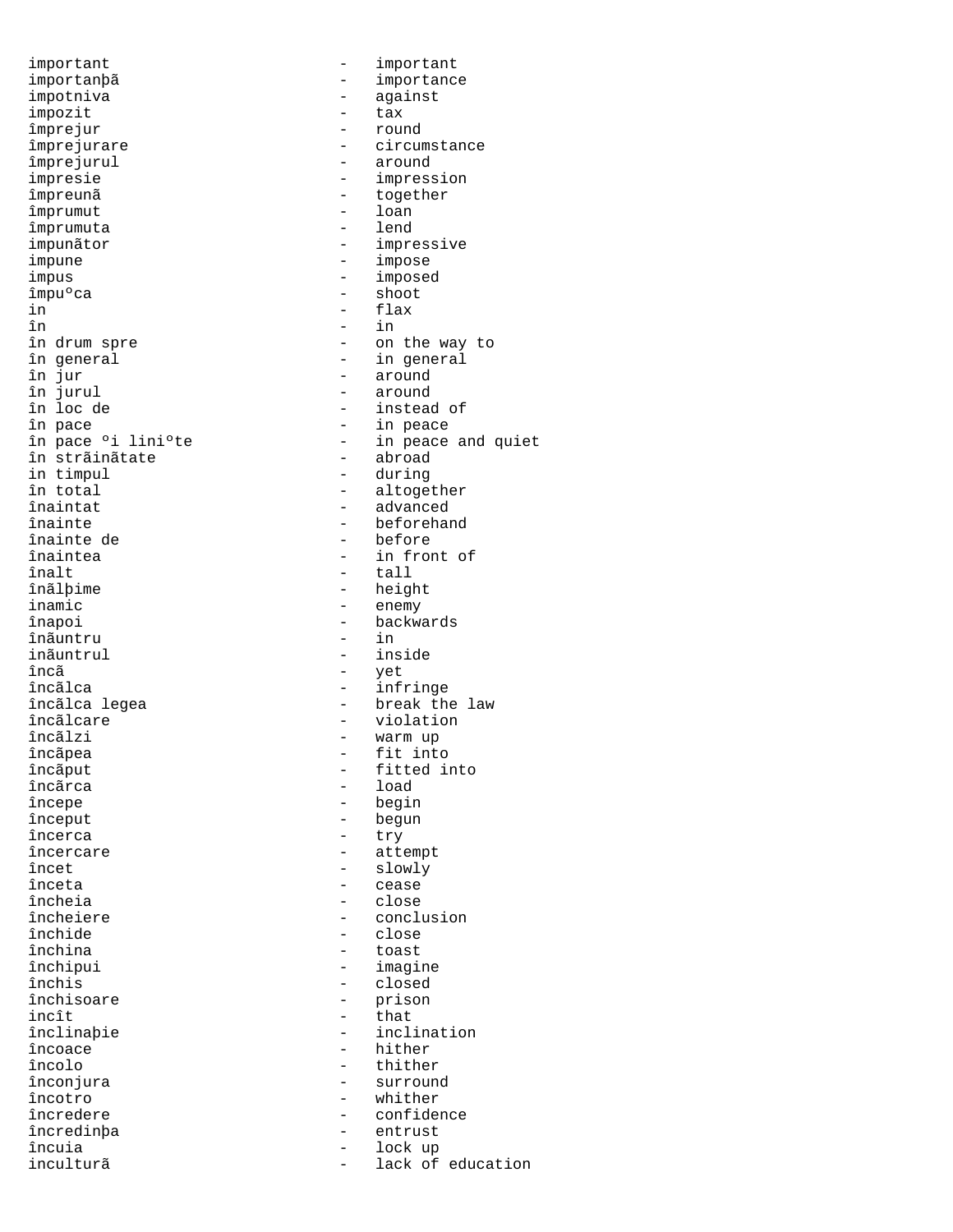important  $\qquad \qquad - \qquad \text{important}$ importanþã<br>impotniva - importance<br>against impotniva - against impozit - tax împrejur - round - round - round - round - round - round - round - round - round - round - round - round - round împrejurare - circumstance - circumstance - circumstance - circumstance - circumstance - circumstance - circumstance - circumstance - circumstance - circumstance - circumstance - circumstance - circumstance - circumstance împrejurul - around impresie - impression<br>
1 impreună - impression<br>
2 impreună - together împrumut - loan împrumuta impunãtor - impressive impune - impose impus - imposed împuºca - shoot in - flax în - in în drum spre  $\begin{array}{ccc} \text{in} & \text{in} & \text{in} \\ \text{in} & \text{in} & \text{in} \\ \text{in} & \text{in} & \text{in} \\ \end{array}$ în general  $\begin{array}{ccc} \text{in general} \\ \text{in our} \end{array}$  -  $\begin{array}{ccc} \text{in general} \\ \text{in our} \end{array}$ în jur - around în jurul - around în pace - in peace în strãinãtate  $\begin{array}{ccc} - & abroad \\ \text{in } \text{timoul} \end{array}$  - abroad in timpul în total - altogether înainte - beforehand înainte de - before înaintea - in front of înalt - tall - tall<br>înãlþime - heigl înãlþime - height<br>inamic - enemy înapoi - backwards<br>înãuntru - - - - - - - - - - - in înãuntru<br>inãuntrul inãuntrul - inside<br>încã - vet încãlca - infringe încãlca legea - - break the law<br>încãlcare - - - - - - - violation încãlcare - violation<br>încãlzi - varm up încãlzi - warm up<br>încãpea - - - - - - - - - - - - - fit inte încãput - fitted into încãrca - load - load - load - load - load - load - load - load - load - load - load - load - load - load - lo începe - begin încerca - try încercare  $\begin{array}{ccc} \text{î} & - & \text{attempt} \\ \text{î} & - & \text{slowly} \end{array}$ înceta - cease încheia - close încheiere - conclusion - conclusion<br>închide - close - close închide - close - close - close - close - close - close - close - close - close - close - close - close - clos închina - toastal - toastal - toastal - toastal - toastal - toastal - toastal - toastal - toastal - toastal - <br>Închinui închipui - imagine închis - closed incît<br>înclinabie încoace - hither încolo - thither înconjura - surround încotro - whither<br>încredere - confider încredere - confidence încredinþa - entrust încuia - lock up

- together - instead of - in peace and quiet<br>- abroad - advanced - enemy - yet fit into - begun - slowly - prison<br>- that - inclination lack of education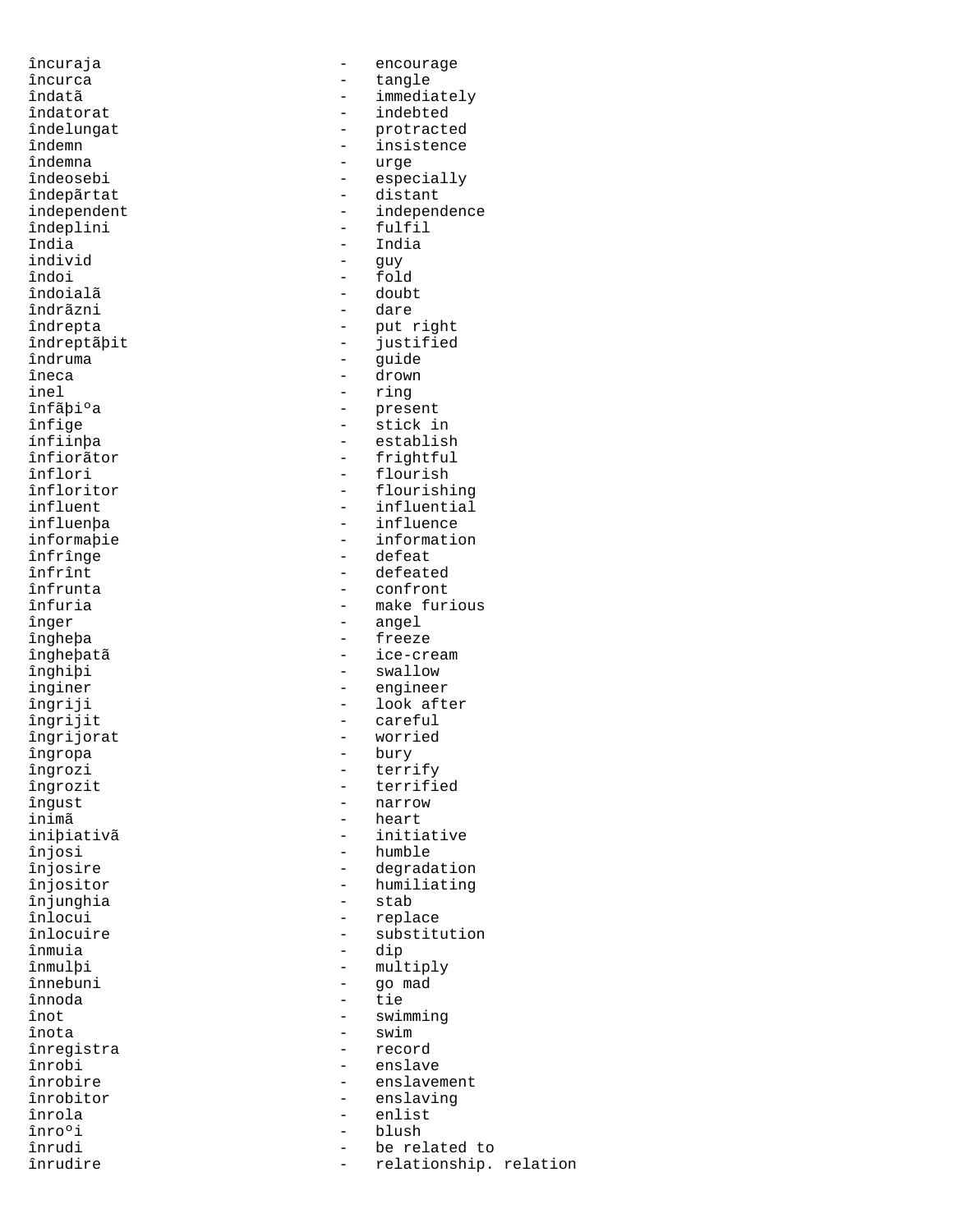îndemna - urge îndeplini<br>India India - India îndoi - fold îndoialã - doubt îndrãzni îndruma - guide - guide - guide - guide - guide - guide - guide - guide - guide - guide - guide - guide - guide - guide - guide - guide - guide - guide - guide - guide - guide - guide - guide - guide - guide - guide - guid îneca - drown - drown<br>inel - ring inel - ring îngrijorat - worried - worried - worried - worried - worried - worried - worried - worried - worried - worried<br>Alleger - wordt - worried - worried - worried - worried - worried - worried - worried - worried - worried - wo<br> îngropa - burya - burya - burya - burya - burya - burya - burya - burya - burya - burya - burya - burya - burya - burya - burya - burya - burya - burya - burya - burya - burya - burya - burya - burya - burya - burya - bury inimã - heart înjunghia înmuia din din 1988 în 1988 în 1988 în 1988 în 1988 în 1988 în 1988 în 1988 în 1988 în 1988 în 1988 în 1988 în<br>Astronomia înnebuni - go mada - go mada - go mada - die - go mada - go mada - go mada - go mada - go mada - go mada - go <br>Aliyê - die - die - die - die - die - die - die - die - die - die - die - die - die - die - die - die - die înnoda din din serie din serie din serie din serie din serie din serie din serie din serie din serie din serie <br>Tiera din serie din serie din serie din serie din serie din serie din serie din serie din serie din serie din înregistra<br>înrobi

încuraja - encourage încurca - tangle - immediately îndatorat - indebted îndelungat - protracted îndemn - insistence<br>îndemna - insistence<br>- urge îndeosebi - especially<br>îndepărtat - especially - especially - distant independent - independence<br>
indeplini - fulfil - guy îndrepta - put right îndreptãþit - justified înfãþiºa - present<br>înfige - stick i înfige - stick in ínfiinþa - establish înfiorãtor - frightful - frightful - flourish - flourish înfloritor - flourishing influent - influential - influence<br>- informatio informaþie - information<br>înfrînge - - - defeat înfrînge - defeat înfrînt - defeated înfrunta - confront înfuria - make furious - angel îngheþa - freeze îngheþatã - ice-cream înghiþi - swallow inginer - engineer îngriji - look after<br>îngrijit - look after<br>- careful - careful<br>- worried îngrozi - terrify<br>îngrozit - terrifi îngrozit - terrified îngust - narrow - initiative înjosi - humble înjosire - degradation înjositor - humiliating înlocui - replace - substitution<br>- dip - multiply<br>- go mad înot - swimming<br>înota - swim - swim<br>- record înrobi - enslave - enslavement înrobitor - enslaving<br>înrola - enlist<br>- enlist înrola - enlist înro°i - blush - blush - be rel înrudi - be related to relationship. relation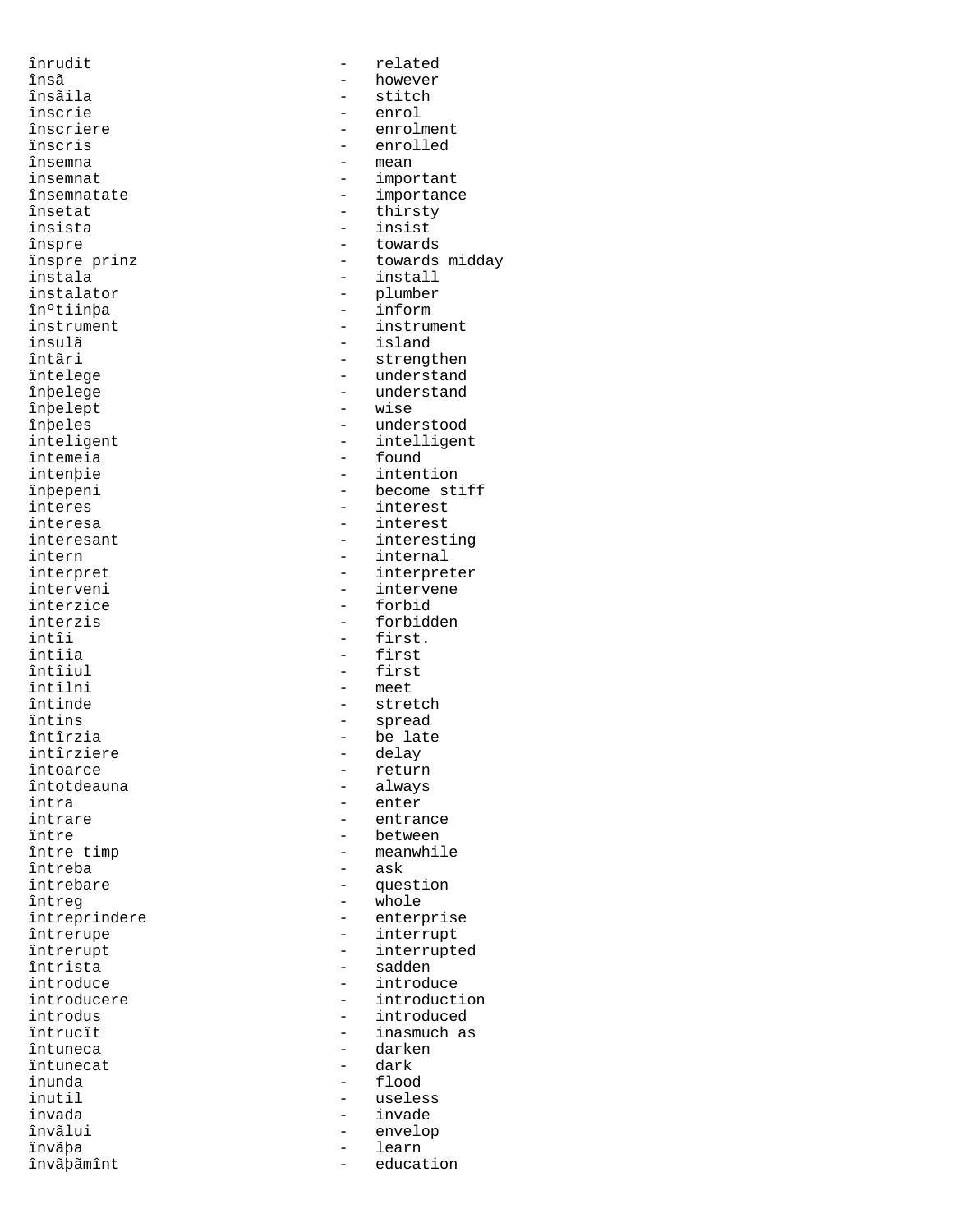însãila - stitch înscrie - enrol însemna<br>insemnat insista - insist înºtiinþa - inform insulã - island înþelept intîi - first.<br>întîia - first - first întîia - first - first<br>întîiul - first - first întîiul - first - first - first - first - first - first - first - first - first - first - first - first - first - first - first - first - first - first - first - first - first - first - first - first - first - first - firs întins - spread intîrziere - delay întoarce<br>întotdeauna întotdeauna - always intra - enter întreba întreg - whole<br>
întreprindere - enter întrista – sadden en sadden en sadden en sadden en sadden en sadden en sadden en sadden en sadden en sadden en<br>En sadden en sadden en sadden en sadden en sadden en sadden en sadden en sadden en sadden en sadden en sadden întuneca - darken<br>întunecat - dark întunecat animala din animala din animala din animala din animala din animala din animala din animala din anim<br>Altre din animala din animala din animala din animala din animala din animala din animala din animala din anim inunda - flood invada - invade învãþãmînt - education -

înrudit - related însã - however <sup>-</sup> however<br>Însãila - however - stitch înscriere - enrolment<br>înscris - enrolled - enrolled - enrolled<br>- mean insemnat - important - importance însetat - thirsty înspre - towards - towards midday instala - install instalator - plumber instrument - instrument întãri - strengthen<br>1999 - Strengthen<br>1999 - Strengthenderstand întelege - understand - understand<br>- wise înþeles - understood inteligent - intelligent<br>
întemeia - found - found intenþie - intention înþepeni - become stiff interes - interest interesa - interest interesant  $\begin{array}{ccc} - & interes\\ - & interes\\ \end{array}$ intern<br>interpret internal<br>interpret - interpret interpret - interpreter interveni - intervene - forbid interzis - forbidden<br>
intîi - first<br>
- first - meet întinde - stretch - be late<br>- delay entrance între  $\frac{1}{2}$  intre  $\frac{1}{2}$   $\frac{1}{2}$   $\frac{1}{2}$   $\frac{1}{2}$   $\frac{1}{2}$   $\frac{1}{2}$   $\frac{1}{2}$   $\frac{1}{2}$   $\frac{1}{2}$   $\frac{1}{2}$   $\frac{1}{2}$   $\frac{1}{2}$   $\frac{1}{2}$   $\frac{1}{2}$   $\frac{1}{2}$   $\frac{1}{2}$   $\frac{1}{2}$   $\frac{1}{2}$   $\frac{1}{2}$   $\frac{1}{2}$  - meanwhile<br>- ask întrebare  $-$  question - enterprise întrerupe - interrupt - interrupted<br>- sadden introduce - introduce introducere - introduction introdus - introduced - inasmuch as inutil - useless învãlui - envelop învãþa - learn - learn - learn - learn - learn - learn - learn - learn - learn - learn - learn - learn - learn<br>Învãþãmînt - learn - learn - learn - learn - learn - learn - learn - learn - learn - learn - learn - learn - l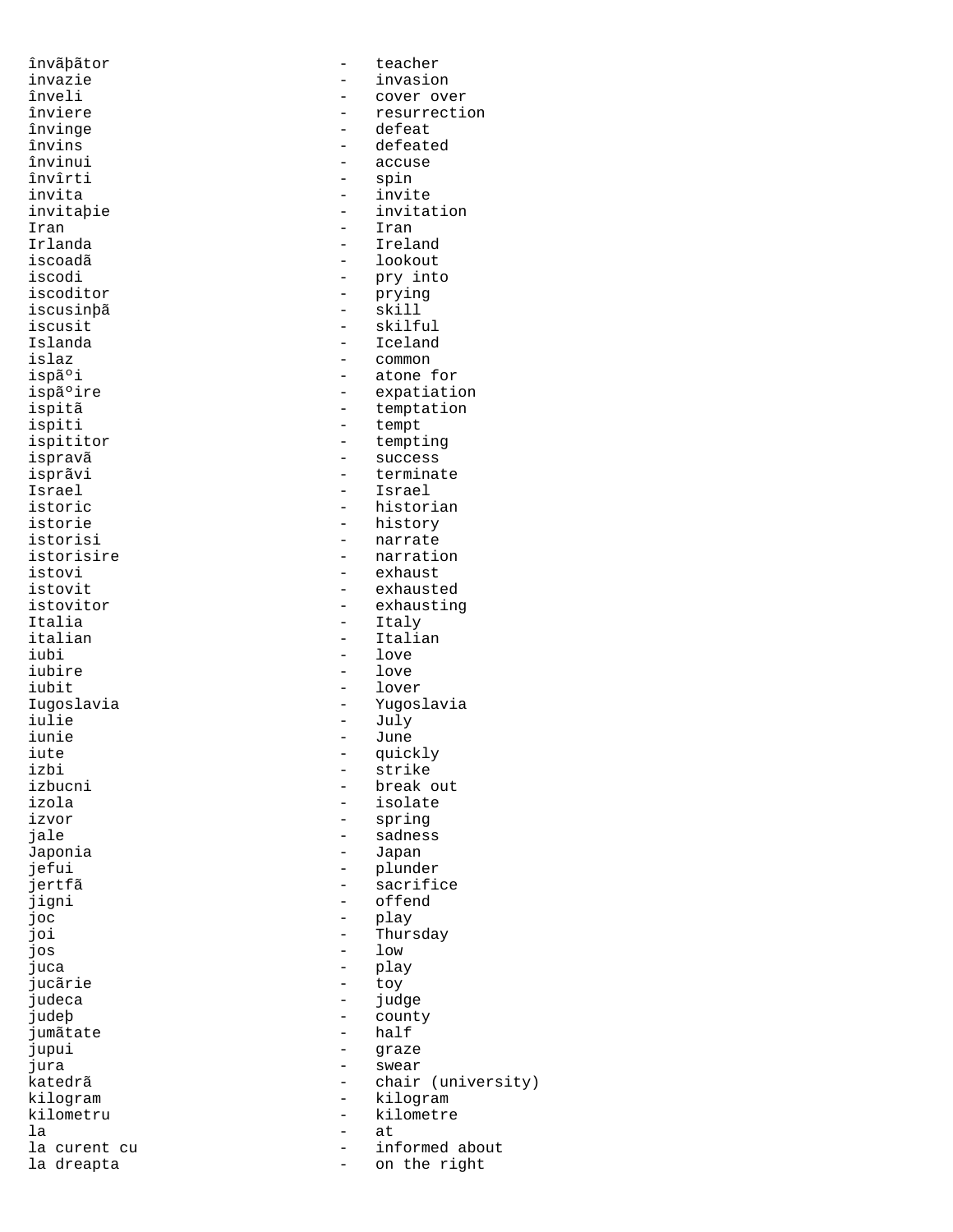jumãtate la - at

învãþãtor - teacher invazie - invasion înveli - cover over inversion din termine din termine din termine din termine din termine din termine din term<br>The cover of the cover of the cover of the cover of the cover of the cover of the cover of the cover of the co înviere  $\qquad \qquad -$  resurrection<br>învinge  $\qquad \qquad -$  defeat învinge - defeat învins - defeated învinui - accuse - accuse - accuse - accuse - accuse - accuse - accuse - accuse - accuse - accuse - accuse - accuse - accuse - accuse - accuse - accuse - accuse - accuse - accuse - accuse - accuse - accuse - accuse - accus învîrti - spin invita - invite invitaþie - invitation Iran - Iran - Iran - Iran - Iran - Iran - Iran - Iran - Iran - Iran - Iran - Iran - Iran - Iran - Iran - Iran - Iran - Iran - Iran - Iran - Iran - Iran - Iran - Iran - Iran - Iran - Iran - Iran - Iran - Iran - Iran - Iran Irlanda - Ireland - lookout iscodi<br>iscoditor - pry into<br>iscoditor - prying iscoditor - prying iscusinþã<br>iscusinþã - skill iscusit - skilful Islanda - Iceland islaz - common ispãºi - atone for<br>ispãºire - expatiati - expatiati ispãºire - expatiation<br>ispitã - expatiation - expatiation ispitã - temptation<br>ispiti - tempt ispiti - tempt - tempting ispravã - success isprãvi - terminate Israel - Israel istoric - historian istorie - history - history<br>istorisi - narrate istorisi - narrate<br>istorisire - narration - narration istorisire - narration istovi - exhaust istovit - exhausted - exhausting Italia - Italy - Italy - Italy - Italy - Italy - Italy - Italy - Italy - Italy - Italy - Italy - Italy - Italy italian - Italian - Italian - Italian - Italian - Italian - Italian - Italian - Italian - Italian - Italian iubi - love<br>iubire - love<br>- love - love iubit - lover Iugoslavia - Yugoslavia iulie - July - July - July - July - July - July - July - July - July - July - July - July - July - July - July iunie - June iute - quickly<br>izbi - quickly - quickly izbi - strike - strike - strike - strike - strike - strike - strike - strike - strike - strike - strike - strike - strike - strike - strike - strike - strike - strike - strike - strike - strike - strike - strike - strike izbucni - break out izola - isolate izvor - spring jale - sadness - sadness - sadness - sadness - sadness - sadness - sadness - sadness - sadness - sadness - sadness - sadness - sadness - sadness - sadness - sadness - sadness - sadness - sadness - sadness - sadness - sadne -<br>Japonia - Japan - Japan<br>jefui - plunde - plunder jertfã - sacrifice jigni - offend joc - play joi - Thursday jos - low juca - play jucãrie - toy judeca - judge - county<br>- half jupui - graze jura - swear - chair (university) kilogram - kilogram - kilogram - kilometru kilometru - kilometre la curent cu  $\qquad \qquad -$  informed about<br>la dreapta on the right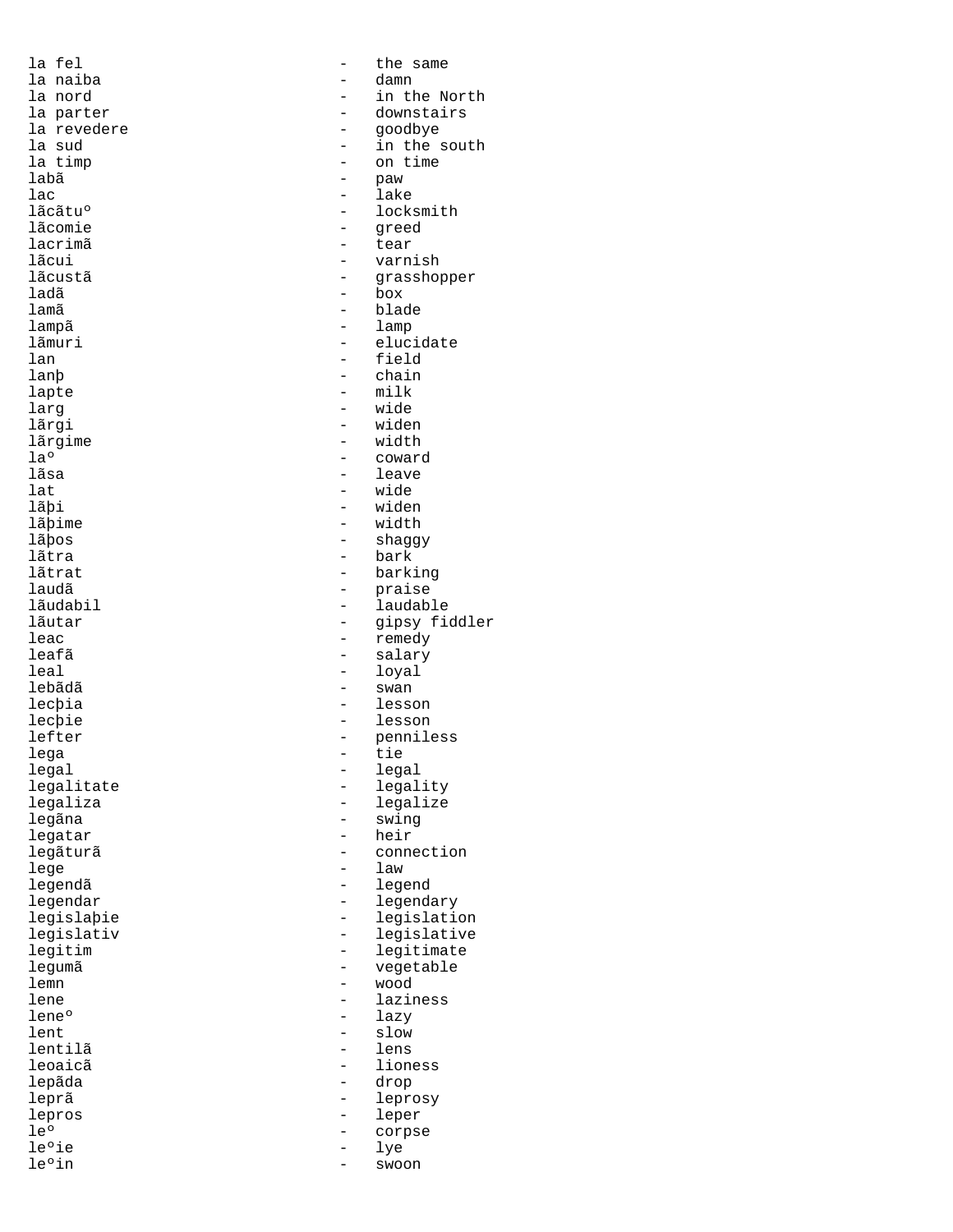labã - paw ladã - box lega - tie lege - law

la fel  $-$  the same la naiba - damn la nord - in the North la parter  $\begin{array}{ccc} & - & \text{downstairs} \\ \text{la revedere} & - & \text{qoodbye} \end{array}$ la revedere entry the state of the goodbye la sud<br>
a sud the state of the state in the s la sud - in the south la timp  $\begin{array}{ccc} - & \text{on time} \\ - & \text{paw} \end{array}$ lac - lake lãcãtu<sup>o</sup> - locksmith<br>lãcomie - served lãcomie - greed lacrimã - tear - varnish<br>- grasshop lãcustã - grasshopper lamã - blade lampã - lamp lãmuri - elucidate<br>lan - field lan - field lanþ - chain<br>lapte - milk lapte - milk<br>larg - milk<br>- wide larg - wide lãrgi - widen<br>lãrgime - width - width lãrgime - width - width - width - coward laº - coward - coward<br>lãsa - leave - leave lat - wide lãþi - widen<br>lãþime - width - width lãþime - width<br>lãþos - shagg lãþos - shaggy lãtra - bark lãtrat - barking laudã - praise lãudabil - laudable lãutar - gipsy fiddler leac - remedy leafã - salary - loyal<br>- swan lebãdã - swan lecþia - lesson lecþie - lesson - lesson - lesson - lesson - lesson - lesson - lesson - lesson - lesson - lesson - lesson - le<br>
- lefter - lesson - lesson - lesson - lesson - lesson - lesson - lesson - lesson - lesson - lesson - lesson lefter - penniless<br>lega - tie - tie legal - legal legalitate - legality legaliza - legalize legãna - swing - swing<br>legatar - heir - heir legatar - heir - connection legendã <br/>
- legend legendar - legendary - legislation legislativ - legislative<br>legitim - legitimate legitim - legitimate legumã - vegetable lemn - wood lene - laziness<br>lene<sup>o</sup> - laziness<br>- lazy lene<sup>o</sup> - lazy<br>lent - slow lent - slow<br>lentilã - lens lentilã - lens leoaicã - lioness<br>lepãda - lioness - lepãda - drop<br>- lepro leprã - leprosy lepros - leper - corpse<br>- lye le°ie - lye<br>le°in - swoo swoon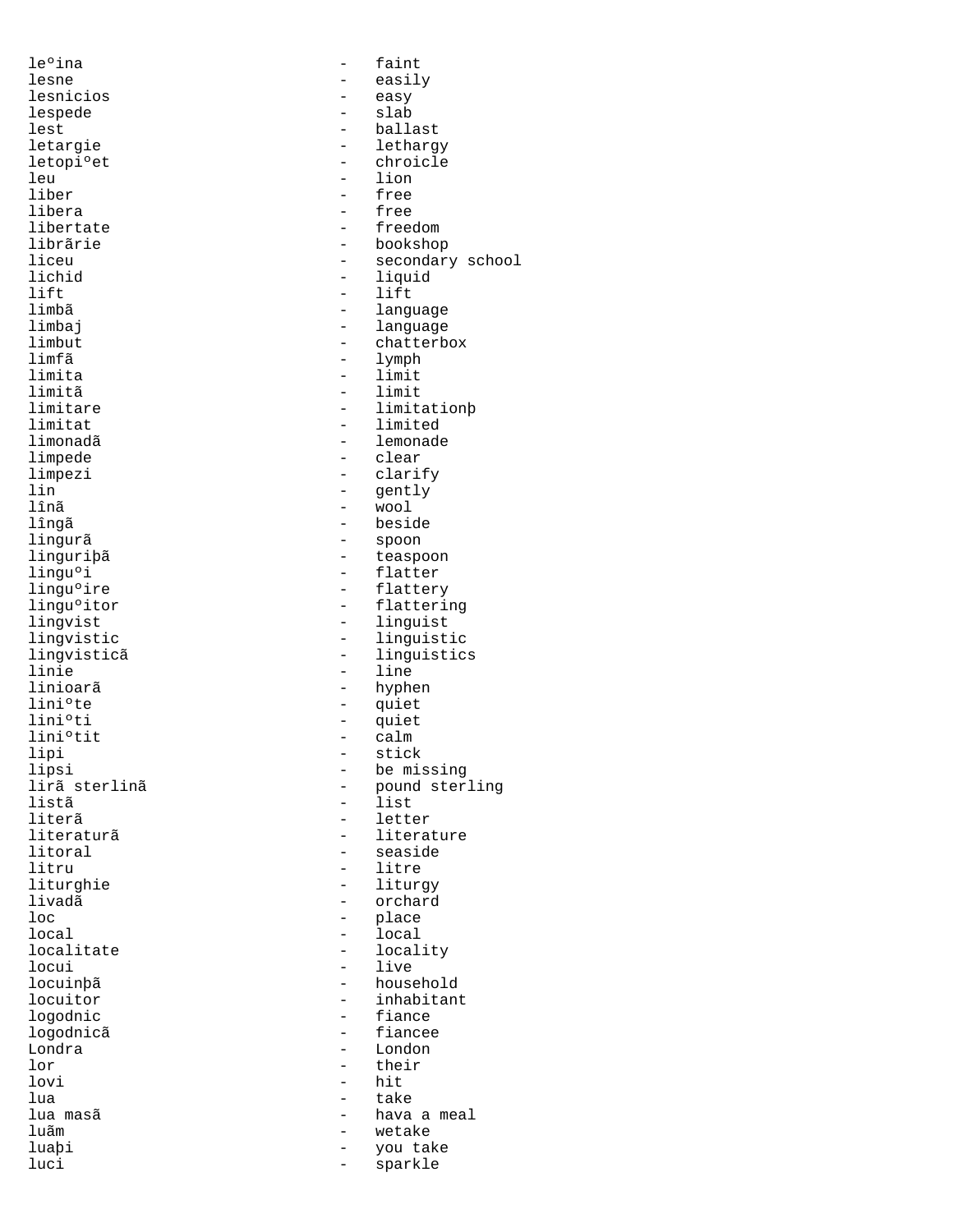le<sup>o</sup>ina - faint lesnicios lespede - slab leu - lion<br>liber - free - free liber - free<br>libera - free libera - free lift - lift<br>limbã - limbã - langu limfã - lymph limita - limit limitã - limit limpede - clear lînã - wool lingurã - spoon lini°te - quiet<br>lini°ti - quiet lini°ti - quiet<br>lini°tit - calm lini°tit - calm<br>lipi - stick<br>- stick lipi - stick<br>lipsi - stick<br>- be mis listã - list loc - place  $\begin{tabular}{ccc} local & & & & & - & local \\ local & & & & - & local \\ local & & & - & local \\ \end{tabular}$ locui - live lor - their<br>lovi - their<br>- hit lovi - hit<br>lua - take - take lua - take

lesne - easily<br>lesnicios - easy lest - ballast<br>letargie - ballast<br>- letharg letargie - lethargy<br>letopi°et - chroicle letopiºet - chroicle<br>leu - lion - lion libertate  $\qquad \qquad -$  freedom<br>librãrie - bookshow librãrie - bookshop - bookshop<br>liceu - - secondar liceu - secondary school<br>lichid - liquid - liquid - liquid limbã - language limbaj - language - language - language - language - language - language - language - language - language - language - language - language - language - language - language - language - language - language - language - lang limbut - chatterbox<br>limfã - lymph - lymph limitare - limitationþ limitat - limited limonadã - lemonade - clarify lin - gently lîngã - beside linguriþã<br>lingu°i - teaspoon<br>- flatter lingu<sup>o</sup>i - flatter<br>lingu<sup>o</sup>ire - flatter lingu<sup>o</sup>ire - flattery<br>lingu<sup>o</sup>itor - flatteri lingu°itor - flattering<br>lingvist - linguist - linguist lingvist - linguist lingvistic - linguistic - linguistic - linguistic - linguistic - linguistic - linguistic - linguistic - linguistic - linguistic - linguistic - linguistic - linguistic - linguistic - linguistic - linguistic - linguistic - l lingvisticã - linguistics<br>linie - line - line - line linioarã - hyphen lipsi - be missing lirã sterlinã - pound sterling<br>listã - list literã - letter literaturã - literature - literature - literature - literature - literature - literature - literature - literature - literature - literature - literature - literature - literature - literature - literature - literature - l litoral - seaside<br>
litru - litre - litre - litre liturghie - liturgy livadã - orchard - orchard - orchard - orchard - orchard - orchard - orchard - orchard - orchard - orchard - orchard - orchard - orchard - orchard - orchard - orchard - orchard - orchard - orchard - orchard - orchard - orc localitate - locality locuinþã - household locuitor - inhabitant<br>logodnic - fiance - fiance logodnicã - fiancee Londra - London lua masã  $\qquad \qquad -$  hava a meal<br>luãm  $\qquad \qquad -$  wetake luãm - wetake luaþi - you take sparkle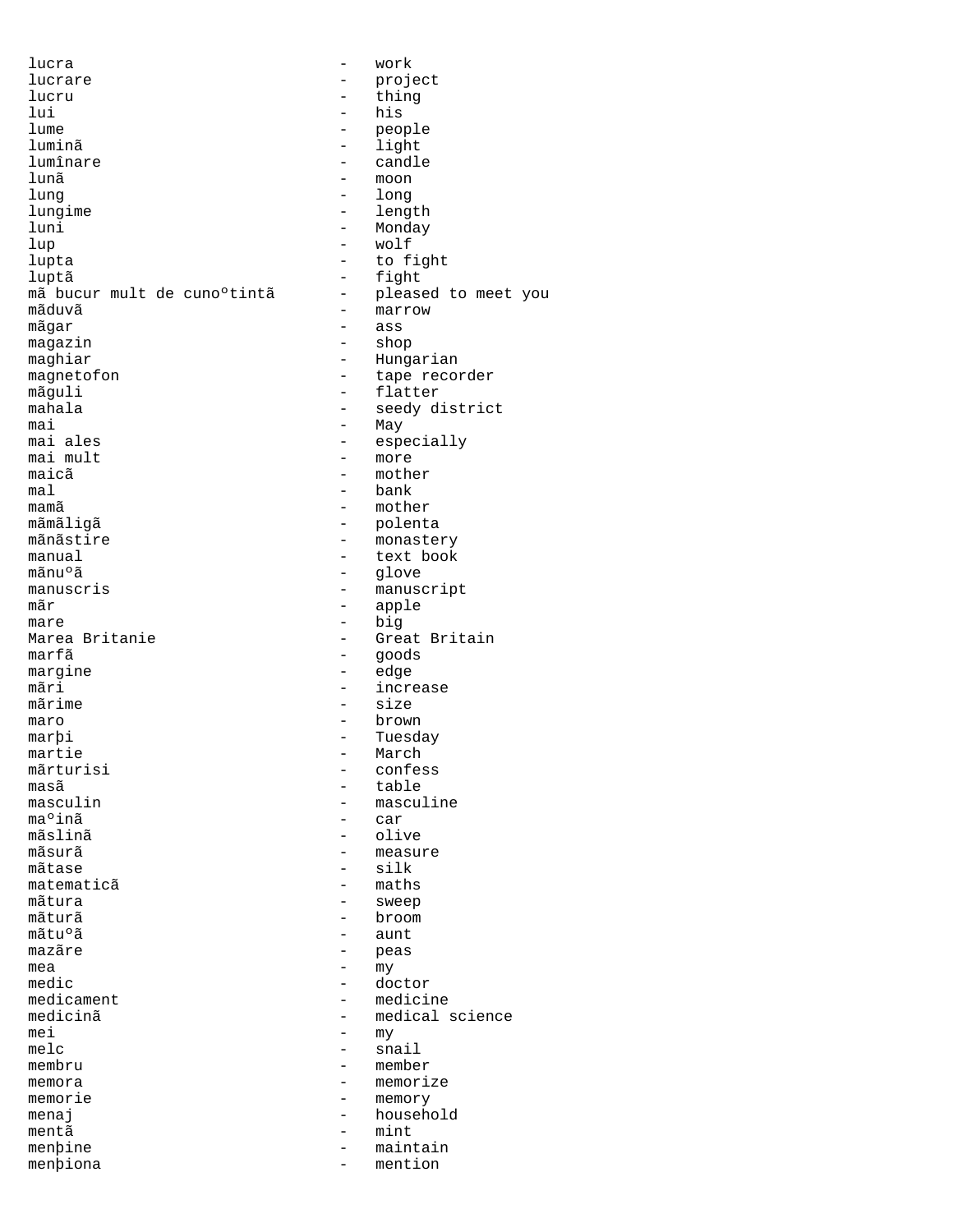lucra - work lucrare - project<br>lucru - hing lucru - thing lui - his lume - people luminã - light lumînare - candle lunã - moon lung - long lungime - length<br>luni - Mondav luni - Monday lup - wolf luptã - fight mã bucur mult de cuno°tintã -<br>mãduvã  $m\tilde{a}$ gar - ass<br>magazin - ass - ass - ass magazin - shop maghiar - Hungarian<br>magnetofon - tape recomments magnetofon - tape recorder<br>mãguli - flatter mãguli - flatter<br>mahala - seedyd: mahala - seedy district<br>mai - May - May mai - May<br>maiales - Source - May  $\text{maj mult}$   $\text{maj}$   $\text{mi}$   $\text{mi}$   $\text{mi}$   $\text{mi}$   $\text{mi}$   $\text{mi}$   $\text{mi}$   $\text{mi}$   $\text{mi}$   $\text{mi}$   $\text{mi}$   $\text{mi}$   $\text{mi}$   $\text{mi}$   $\text{mi}$   $\text{mi}$   $\text{mi}$   $\text{mi}$   $\text{mi}$   $\text{mi}$   $\text{mi}$   $\text{mi}$   $\text{mi}$   $\text{mi}$   $\text{mi}$   $\text{$ mal - bank mãmãligã - polenta<br>mãnãstire - polenta mãnãstire - monastery<br>manual - text book manual - text book mãnuºã - glove<br>manuscris - manuscris manuscris - manuscript mare - big Marea Britanie - Great Britain<br>marfã - Goods marfã - goods mãri - increase mãrime - size<br>maro - hrown - brown maro - brown marþi - Tuesday martie - Harch - Tuesday martie mãrturisi - confessor e confessor e confessor e confessor e confessor e confessor e confessor e confessor e co<br>Confessor e confessor e confessor e confessor e confessor e confessor e confessor e confessor e confessor e co masã - table - table - table - table - table - table - table - table - table - table - table - table - table ma°inã<br>mãslinã mãslinã - olive mãtase  $-$  silkase  $$ matematicã - maths mãtura - sweep<br>mãturã - broom - broom mãtuºã - aunt<br>mazãre - peas mazãre - peas mea - my medic - doctor<br>medicament - medicine medicament - medicine medicinã – medical science<br>mei – mv mei - my - my - my melc - snail membru - member memora - memorize memorie – memory<br>menai – househ menaj  $-$  household mentã - mint menþine - maintain menþiona - mention

to fight - marrow<br>- ass - especially<br>- more mother - mother<br>- polent apple - edge - March<br>- confess - masculine<br>- car - measure<br>- silk - broom<br>- aunt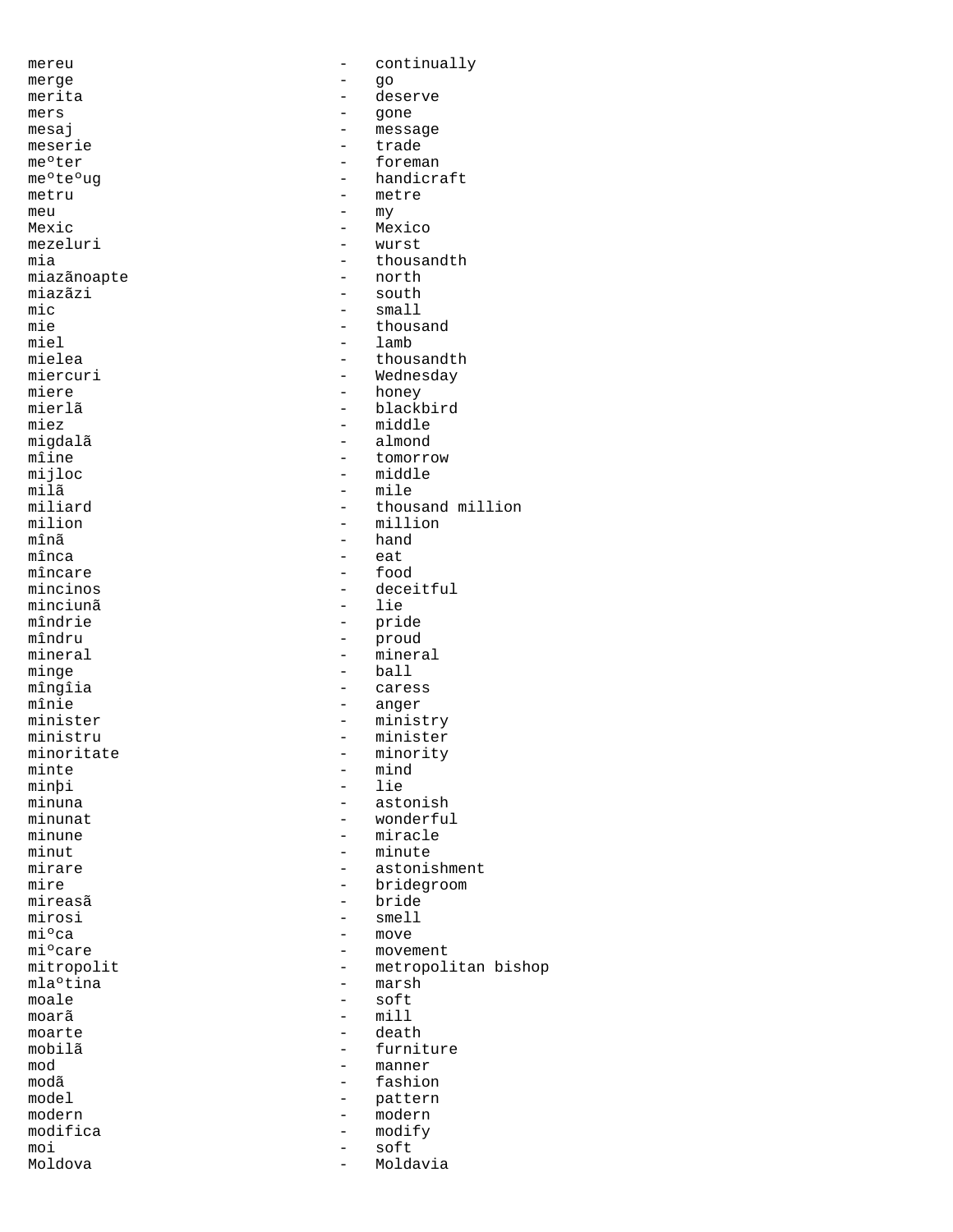mereu - continually merge - go<br>merita - des merita - deserve<br>mers - deserve mers - gone<br>mesaj - messa - message<br>- trade meserie - ter - ter - ter - ter - ter - ter - ter - ter - ter - ter - ter - ter - ter - ter - ter - ter - ter - ter - ter - ter - ter - ter - ter - ter - ter - ter - ter - ter - ter - ter - ter - ter - ter - ter - ter - te me°ter - foreman<br>me°te°ug - handicra me<sup>o</sup>te<sup>o</sup>ug - handicraft<br>metru - metre - metre - metre meu  $-\frac{m\gamma}{1-\gamma}$ Mexic - Mexico<br>mezeluri - Mexico<br>- wurst mezeluri - wurst<br>mia - thousa - thousandth<br>- north miazãnoapte miazãzi - south<br>mic - small - small mic – small<br>mie – thous. mie - thousand miel - lamb mielea - thousandth<br>miercuri - thousandth<br>- Wednesday miercuri - Wednesday<br>miere - honey miere - honey<br>mierlã - honey - honey mierlã - blackbird<br>miez - middle miez - middle migdalã - almond<br>mîine - tomorre mîine - tomorrow - tomorrow<br>miiloc - middle mijloc – middle – middle – middle – middle – middle – middle – middle – middle – middle – middle – middle – middle – middle – middle – middle – middle – middle – middle – middle – middle – middle – middle – middle – middle milã - mile miliard - thousand million<br>milion - million<br>- million milion - million mînã  $\begin{array}{ccc} \text{min}\ \text{a} & \text{b} & \text{c} \\ \text{min}\ \text{a} & \text{d} & \text{d} \\ \text{m} & \text{d} & \text{e} \end{array}$ mînca - eat mîncare - food - deceitful<br>- lie minciunã<br>mîndrie mîndrie - pride<br>mîndru - proud mîndru - proud<br>mineral - mineral - mineral mineral - mineral<br>
minge - ball<br>
- ball - ball mîngîia - caress mînie - anger minister - ministry<br>ministru - minister - minister ministru - minister<br>minoritate - minority minoritate - minority - mind<br>- lie minþi<br>minuna minuna - astonish - astonish - minunat - astonish - minunat - astonish - minunat - minunat - minunat - minunat minunat - wonderful<br>minune - miracle minune - miracle<br>minut - minute minut - minute - minute - minute - minute - minute - minute - minute - minute - minute - minute - minute - minute - minute - minute - minute - minute - minute - minute - minute - minute - minute - minute - minute - minute mirare - astonishment<br>mire - bridegroom - bridegroom - bridegroom mireasã - bride<br>mirosi - smell - smell mirosi - smell<br>mi°ca - move miºca - move<br>miºcare - movem mi°care - movement<br>mitropolit - metropoli - metropolitan bishop<br>- marsh mlaºtina - mode moale - soft mill moarte - death<br>mobilã - furni mobilã - furniture<br>mod - manner mod - manner modã - fashion model - pattern - modern<br>- modify modifica - modify moi - soft Moldova - Moldavia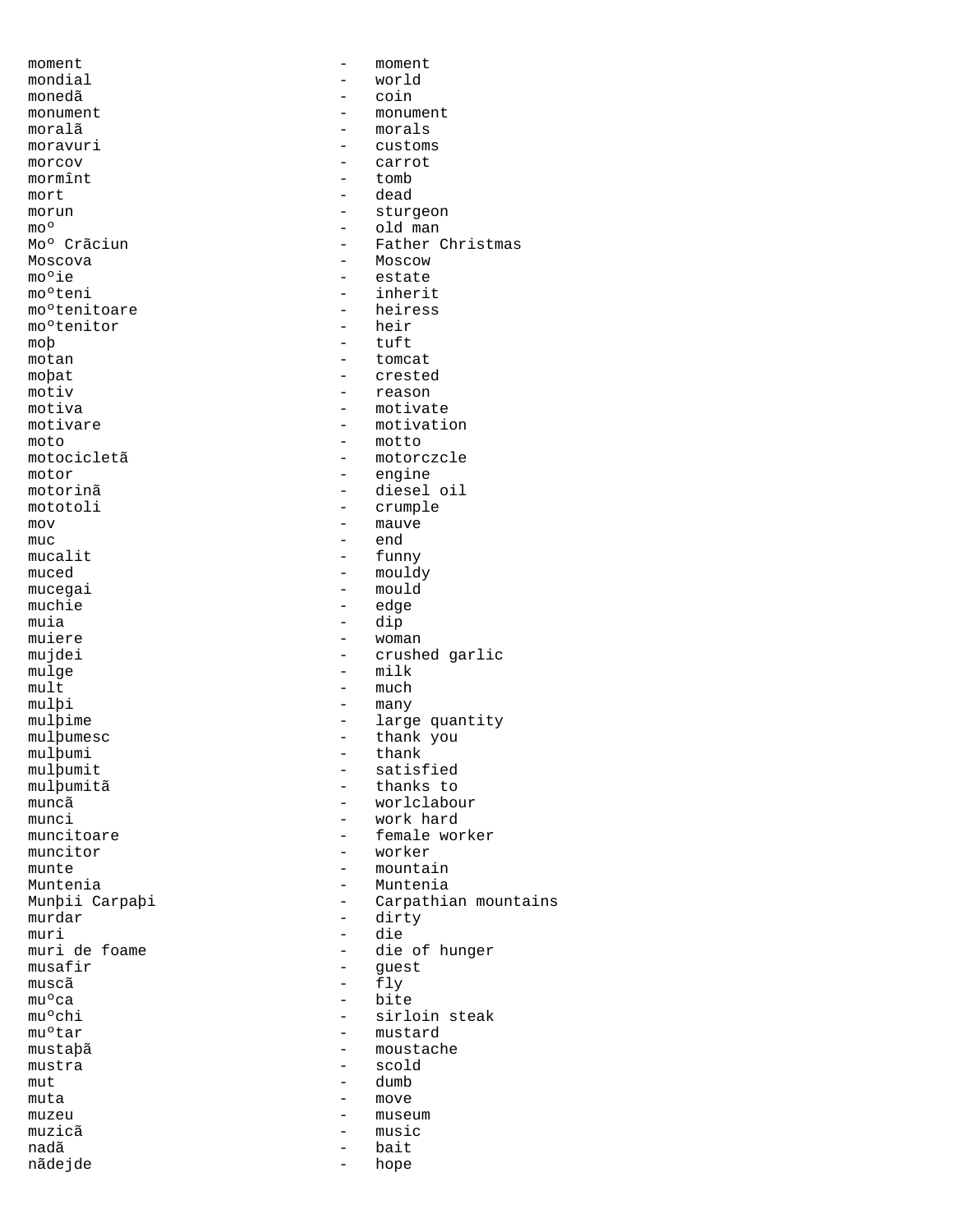moment. The moment of the moment of the moment of the moment of the moment of the moment of the moment of the  $$ mondial - world monedã monument - monument moralã - morals<br>moravuri - custome moravuri - customs<br>morcov - carrot morcov  $\overline{\text{morm}}$  - carrot  $\overline{\text{morm}}$ mormînt mort - dead morun - sturgeon - sturgeon - sturgeon - sturgeon - sturgeon - sturgeon - sturgeon - sturgeon - sturgeon - sturgeon - sturgeon - sturgeon - sturgeon - sturgeon - sturgeon - sturgeon - sturgeon - sturgeon - sturgeon - sturg moº - old man<br>Moº Crãciun - Father ( - Father Christmas Moscova - Moscow mo<sup>o</sup>ie - estate mo°teni - inherit<br>mo°tenitoare - heiress mo<sup>o</sup>tenitoare - heire<br>mo<sup>o</sup>tenitor - heir moºtenitor - heir - heir - heir - heir - heir - heir - heir - heir - heir - heir - heir - heir - heir - heir - heir - heir - heir - heir - heir - heir - heir - heir - heir - heir - heir - heir - heir - heir - heir - heir moþ – tuft – tuft – tuft – tuft – tuft – tender – tender – tender – tender – tender – tender – tender – tender – tender – tender – tender – tender – tender – tender – tender – tender – tender – tender – tender – tender – t motan - tomcat<br>mobat - crested moþat - crested<br>motiv - reason - reason motiv - reason motiva - motivate<br>motivare - motivatie - motivation moto<br>motocicletã - motor - motor motocicletã - motorczcle<br>motor - engine - engine motorinã - diesel oil mototoli - crumple mov – mauve – mauve – mauve – mauve – mauve – mauve – mauve – mauve – mauve – mauve – mauve – mauve – mauve – mauve – mauve – mauve – mauve – mauve – mauve – mauve – mauve – mauve – mauve – mauve – mauve – mauve – mauve – muc - end mucalit - funny muced - funny muced - funny muced - funny - funny muced - funny muced - funny muced - funny muced - funny muced - funny muced - funny muced - funny muced - funny muced - funny muced - funny muced - funny mu muced – mouldy<br>muceqai – mould - mould<br>- edge muchie - edge - edge - edge - edge - edge - edge - edge - edge - edge - edge - edge - edge - edge - edge - edge - edge - edge - edge - edge - edge - edge - edge - edge - edge - edge - edge - edge - edge - edge - edge - edg muia - dip muiere - woman - woman - woman - woman - crushe mujdei - crushed garlic<br>mulge - milk - milk - milk  $\begin{array}{cccc} \text{mult} \end{array} \qquad \qquad \text{mult} \qquad \qquad \text{mult}$ mulþi - many mulþime - large quantity - thank you<br>- thank mulþumi - thanks thanks that the set of the set of the set of the set of the set of the set of the set of the set of the set of the set of the set of the set of the set of the set of the set of the set of the set of the se mulþumit - satisfied<br>mulþumitã - thanks to mulþumitã - thanks to muncã - worlclabour munci - work hard muncitoare  $\begin{array}{ccc}\n & - & \text{female worker} \\
 & - & \text{worker} \\
\end{array}$ - worker munte  $-$  mountain Muntenia  $-$  Muntenia Munþii Carpaþi - Carpathian mountains<br>murdar - dirty - dirty murdar - dirty muri - die<br>muri de foame - - die - - die muri de foame  $-$  die of hunger<br>musafir  $-$  quest musafir - guest muscã $-$  fly muºca - bite<br>muºchi - sirl muºchi - sirloin steak<br>muºtar - mustard - mustard - mustard mustaþã - moustache mustra - scold  $mut$  - dumb  $m$ uta  $-mv$ e move  $mv$ e muzeu muzeu  $-$  museum  $-$  museum  $-$  music muzicã - music<br>nadã - music - bait nadã - bait nãdejde - hope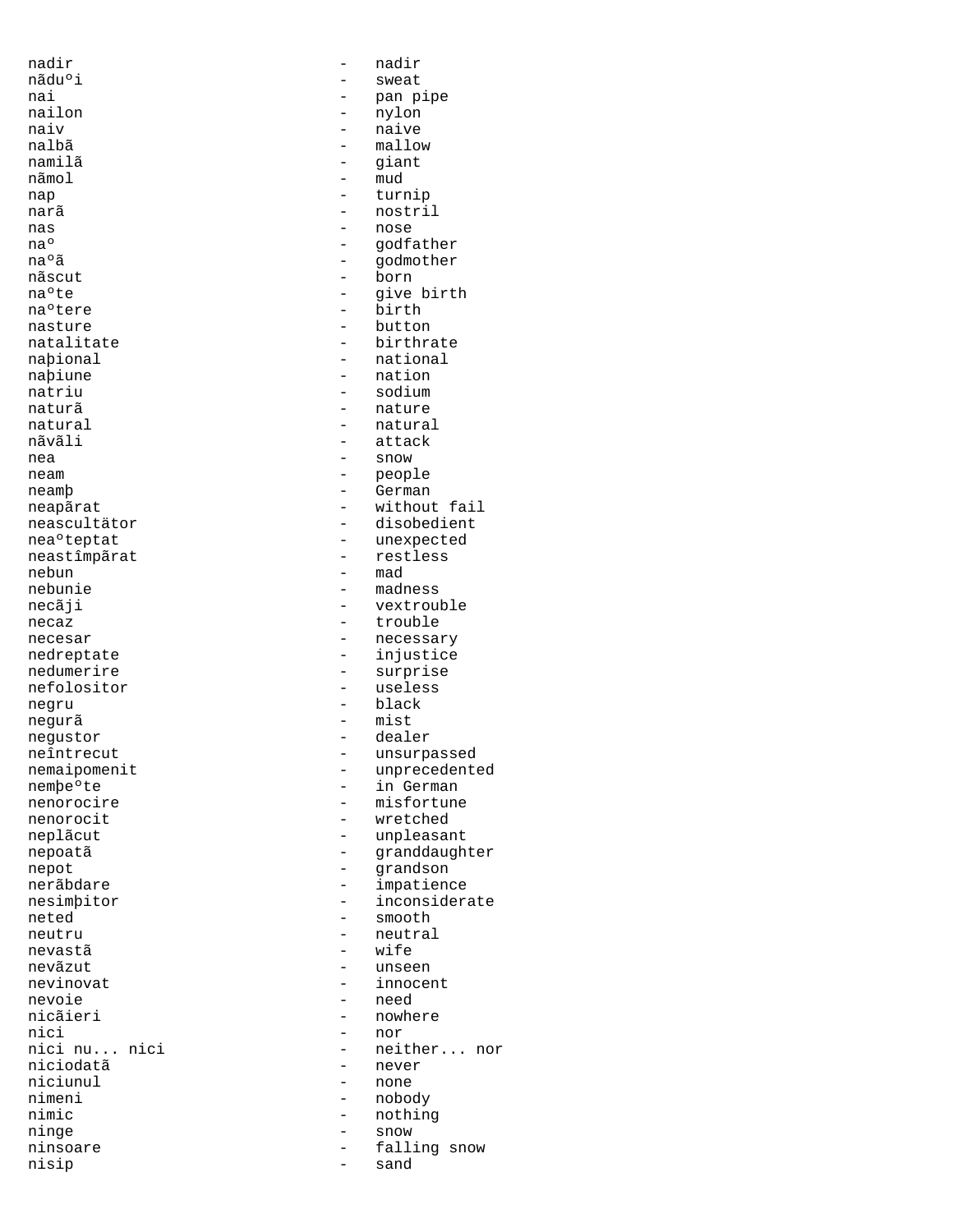nadir - nadir nãduºi - sweat<br>nai - sweat<br>- pan p namilã - giant nãmol – mud<br>nap – turi nas  $\begin{array}{ccc} - & \text{nose} \\ - & \text{nose} \end{array}$ nãscut - born nea - snow - snow - snow nebun - mad<br>nebunie - mad<br>- madr negurã - mist nevastã extreme extreme extreme extreme extreme extreme extreme extreme extreme extreme extreme extreme extreme extreme extreme extreme extreme extreme extreme extreme extreme extreme extreme extreme extreme extreme extrem nevoie - need<br>nicãieri - nowhe nici - nor<br>nici nu... nici - neit ninge - snow nisip

nai - pan pipe nailon - nylon naiv - naive nalbã - mallow - turnip narã - nostril naº - godfather<br>naºã - godfather<br>- godmother - godmother na°te - give birth - give birth - give birth - birth - birth - birth - birth - birth - birth - birth - birth - birth - birth - birth - birth - birth - birth - birth - birth - birth - birth - birth - birth - birth - birth -- birth<br>- button nasture - button - birthrate<br>- national naþional - national - national - national - national - national - national - national - national - national - national - national - national - national - national - national - national - national - national - national - na naþiune - nation - nation<br>natriu - sodium - sodium natriu - sodium - nature natural - natural - natural - natural - natural - natural - natural - natural - natural - natural - natural - - attack neam - people neamþ - German neapãrat - without fail neascultätor - disobedient ea<br/>^- disobedient - disobedient - disobedient - disobedient - disobedient - diso<br/>  $\,$  - disobedient - disobedient - disobedient - disobedient - disobedient - disobedient - disobedient neaºteptat - unexpected<br>neastîmpãrat - restless neastîmpãrat - restless ebun - restless nebunie - madness<br>necãji - vextrou - vextrouble necaz - trouble necesar - necessary<br>
nedreptate - neuron - injustice nedreptate - injustice - surprise nefolositor - useless negru - black - black negustor - dealer neîntrecut - unsurpassed<br>
nemaipomenit<br>
- unprecedent nemaipomenit - unprecedented<br>nembeºte - in German nemþe<sup>o</sup>te - in German nenorocire - in German - in German - in German - in German - in German - in German - in German - in German - in German - in German - in German - in German - in German - in German - in German - in Ger nenorocire - misfortune - wretched neplãcut - unpleasant nepoatã entre entre entre entre entre entre entre entre entre entre entre entre entre entre entre entre entre e nepot - grandson nerãbdare  $-$  impatience nesimþitor - inconsiderate<br>neted - smooth neted - smooth<br>neutru - neutru - neutral neutru - neutral nevãzut - unseen nevinovat - innocent nicãieri - nowhere nici - nowhere nici - nor nici nu... nici - neither... nor<br>niciodată - never niciodatã - never<br>niciunul - none - none nimeni - nobody nimic - nothing - nothing ninsoare - falling snow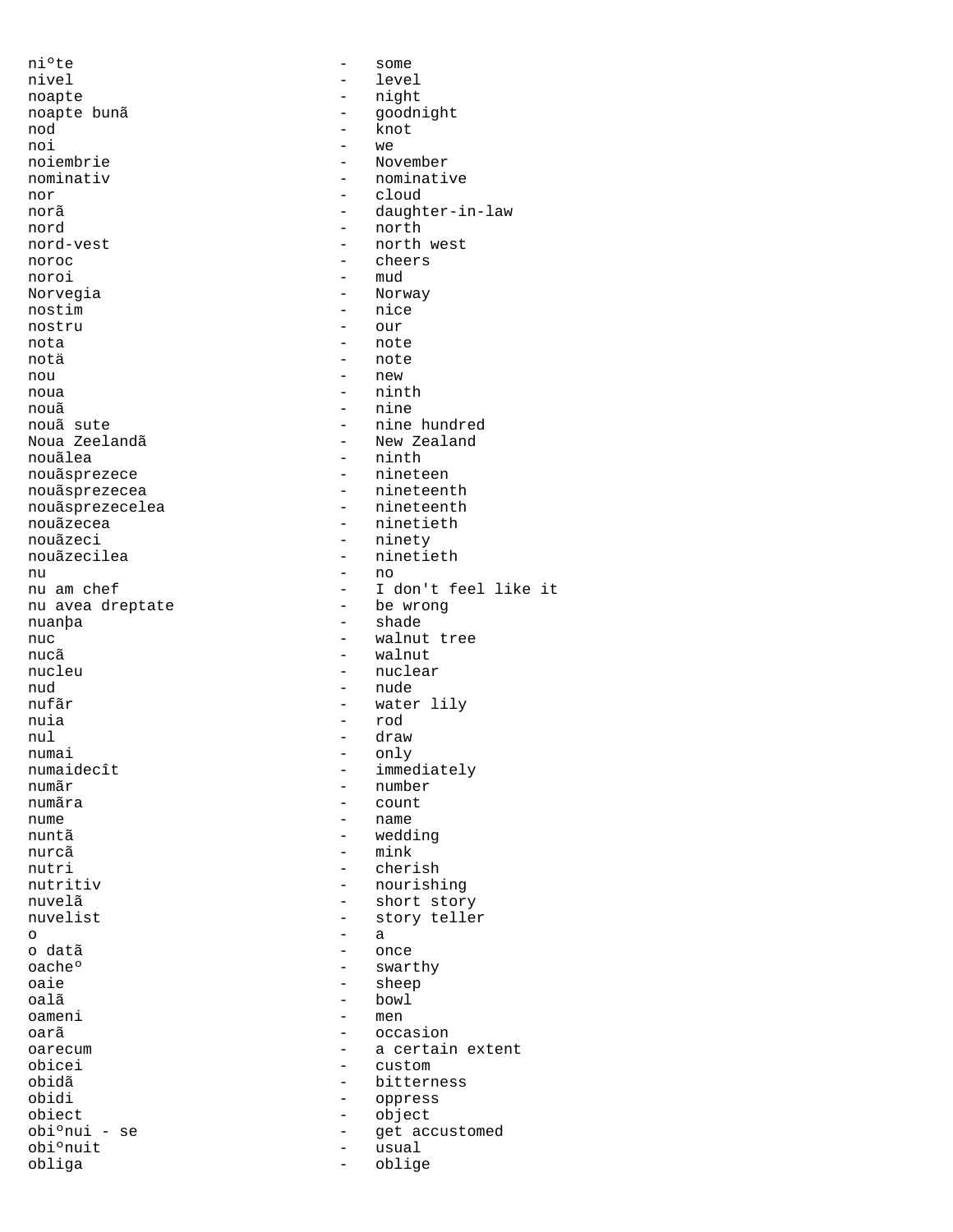ni°te - some nivel - level noapte - night<br>noapte bunã - qoodn nod - knot noi - we nor - cloud nord - north noroc - cheers noroi - mud Norvegia - Norway<br>nostim - nice nostru - our<br>nota - our<br>- not nota - note notä - note nou - new noua - ninth nouã - nine nouãsprezece nouãzeci - ninety<br>nouãzecilea - ninetie nu - no nu avea dreptate nuanþa - shade - shade nucã - walnut nud - nude nuia - rod nul - draw numai - only<br>numaidecît - imme numãr - number numãra - count nuntã - wedding nurcã – mink<br>nutri – cheri o - a o datã de la concelation de la concelation de la concelation de la concelation de la concelation de la concela<br>De la concelation de la concelation de la concelation de la concelation de la concelation de la concelation de oache<sup>o</sup> - swarthy<br>
oaie - sheep<br>
- sheep oaie - sheep<br>
oalã - sheep<br>
- bowl oalã - bowl<br>oameni - men obicei - custom - custom - custom - custom - custom - custom - custom - custom - custom - custom - custom - custom - custom - custom - custom - custom - custom - custom - custom - custom - custom - custom - custom - custom obidi - oppress - object - object - object - object - object - object - object - object - object - object - object - object - object - object - object - object - object - object - object - object - object - object - object obiect - object obiºnuit - usual<br>obliga - chliqa obliga - oblige

noapte bunã chrístal de la proposabilidad de la proposabilidad de la proposabilidad de la proposabilidad de la noiembrie - November<br>nominativ - nominativ - nominative norã - daughter-in-law - north west - nice nouã sute<br>Noua Zeelandã de contra de la provincia de la provincia de la provincia de la provincia de la provincia de la<br>New Zealand Noua Zeelandã - New Zealand - ninth<br>- nineteen nouãsprezecea - nineteenth nouãsprezecelea - nineteenth nouãzecea - ninetieth - ninetieth<br>nouãzeci - ninety - ninety - ninetieth - I don't feel like it<br>- be wrong nuc - walnut tree - nuclear nufãr - water lily numaidecît - immediately<br>
număr - number - name - cherish nutritiv - nourishing nuvelã<br>
nuvelist
- short story<br>
- story telle - story teller<br>- a - men oarã - occasion - occasion<br>
oarecum - - a certair oarecum - a certain extent<br>
obicei - custom - custom - bitterness get accustomed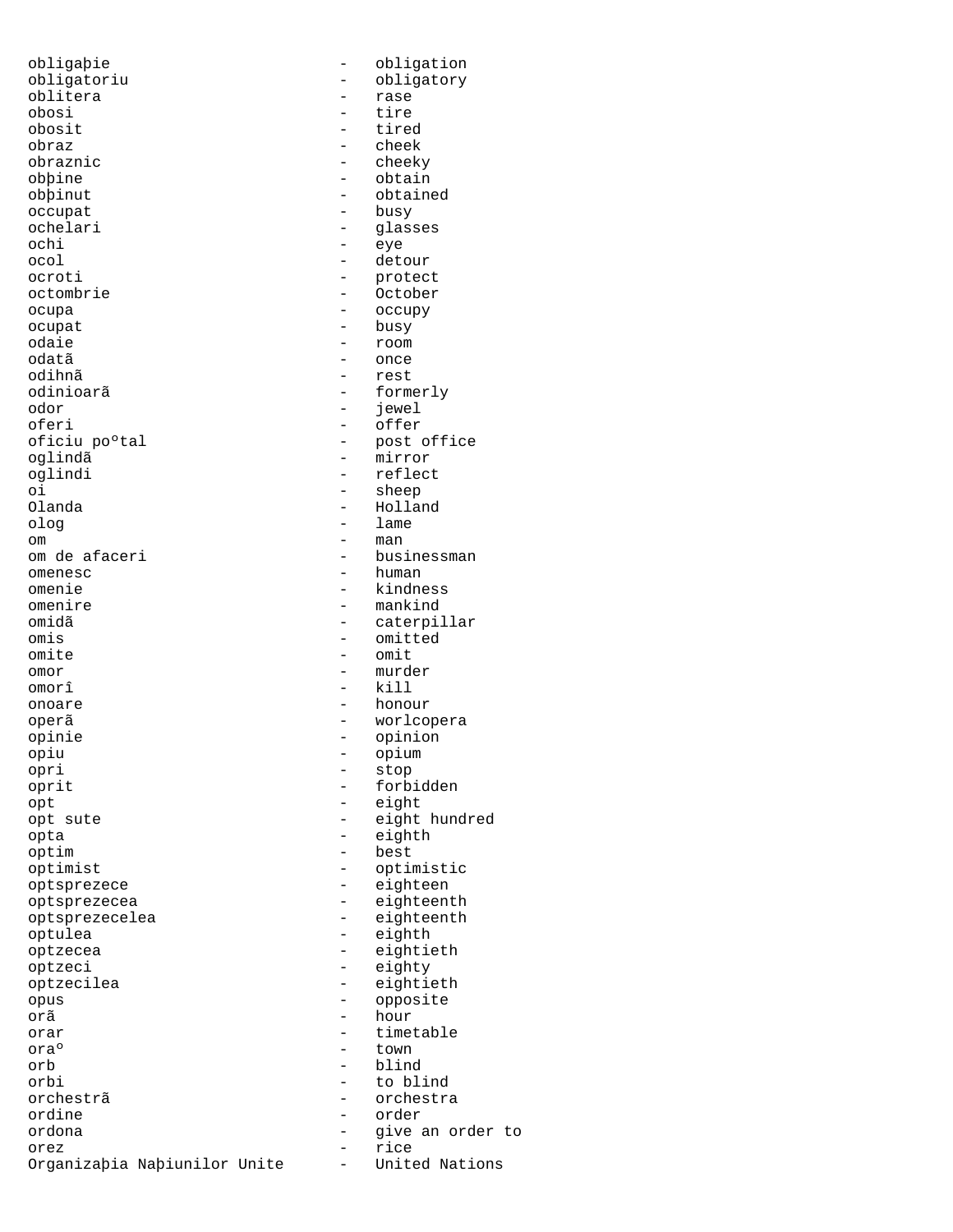obligaþie - obligation obligatoriu - obligatory - obligatory - obligatory - obligatory - change obligatory - rase oblitera - rase obosi - tire obosit - tired<br>obraz - cheek<br>- cheek obraznic<br>obpine obþine - obtain<br>obþinut - obtain occupat - busy<br>ochelari - qlass ochelari - glasses<br>ochi - geve ochi - eye<br>ocol - deta ocroti - protect octombrie - October ocupa - occupy ocupat - busy<br>odaie - room - room odaie - room odatã composition de la conce odihnã - rest odinioarã - formerly odor - jewel oferi - offer<br>oficiu po°tal - post c oficiu po°tal - post office<br>
oqlindã - mirror oglindã - mirror oi - sheep<br>Olanda - sheep - sheep - sheep - sheep - sheep - sheep - sheep - sheep - sheep - sheep - sheep - sheep - sheep olog - lame om de la component de la component de la component de la component de la component de la component de la compo<br>De la component de la component de la component de la component de la component de la component de la componen om de afaceri - businessman - businessman - businessman - businessman - businessman - businessman - businessman - businessman - businessman - businessman - businessman - businessman - businessman - businessman - businessma omenesc - human - human - human - human - human - human - human - human - human - human - human - human - human - human - human - human - human - human - human - human - human - human - human - human - human - human - huma omenie - kindness - kindness - kindness - kindness - kindness - kindness - kindness - kindness - kindness - kindness - kindness - kindness - kindness - kindness - kindness - kindness - kindness - kindness - kindness - kind omidã - caterpillar omis - omitted - omitted - omitted - omitted - omitted - omitted - omitted - omitted - omitted - omitted - omitted - omitted - omitted - omitted - omitted - omitted - omitted - omitted - omitted - omitted - omitted - omitt omor - murder omorî - kill onoare - honour operã - worlcopera opinie - opinion - opinion<br>
opinie - opinion - opinion<br>
- opium opiu - opium opri - stop oprit - forbidden opt - eight opta - eighth optimist - optimistic optsprezece - eighteen optsprezecea - eighteenth optsprezecelea - eighteenth optulea - eighth optzecea - eightieth<br>optzeci - eighty - eighty optzeci - eighty optzecilea - eightieth opus - opposite orar  $-$  timetable oraº - town<br>orb - hling orb - blind<br>
orbi - to bl orchestrã - orchestra<br>
ordine - order ordine - order ordona  $\qquad \qquad -$  give an order to orez - rice Organizaþia Naþiunilor Unite - United Nations

- cheek<br>- cheeky - obtained - detour - reflect - Holland<br>- lame - mankind  $-$  omit - eight hundred - best - hour<br>- timet to blind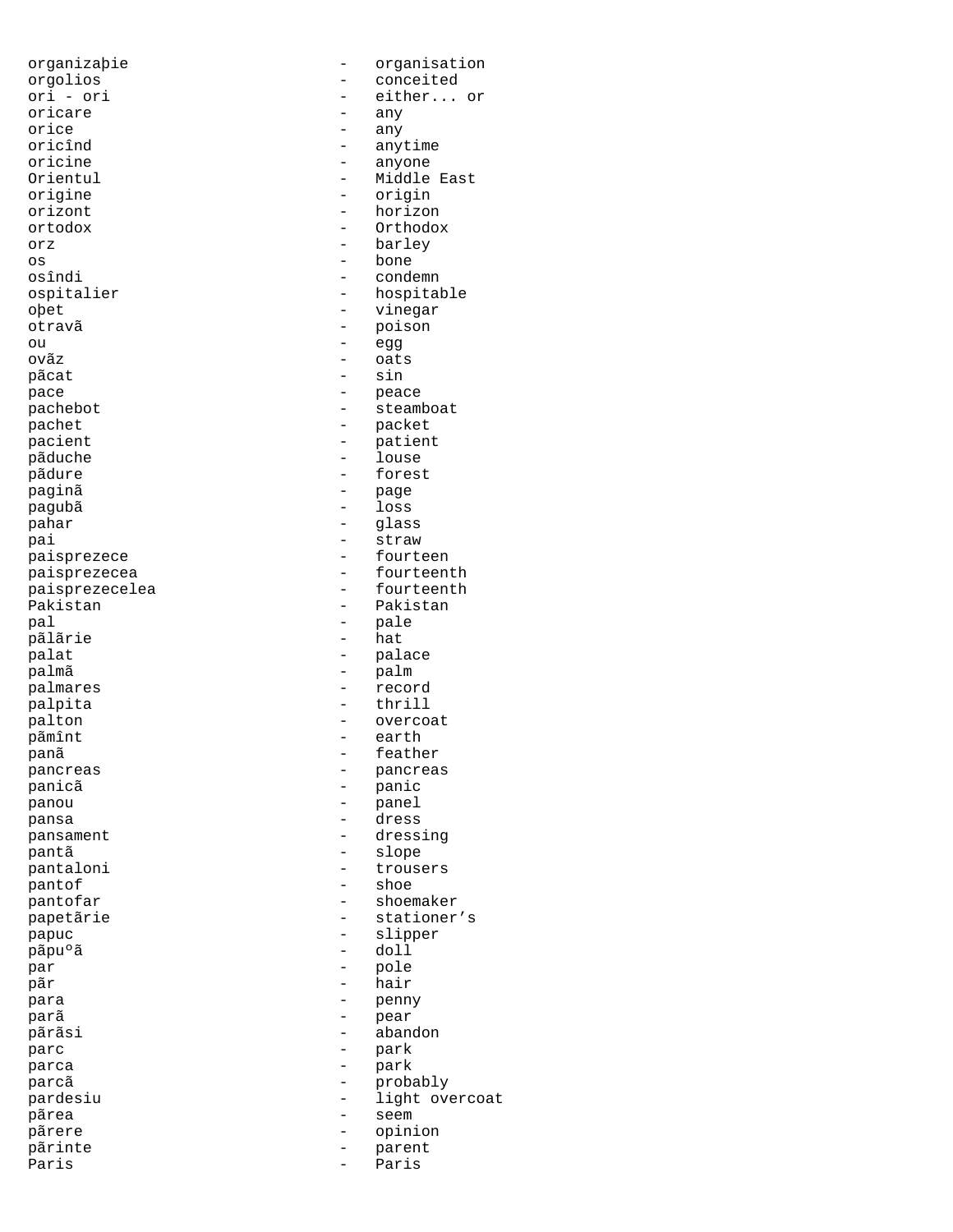oricare<br>orice orice - any oricînd - anytime<br>oricine - anyone - anyone oricine - anyone orizont - horizon orz - barley os - bone osîndi - condemn oþet - vinegar otravã - poison ou - egg ovãz - oats pãcat pace - peace pachet  $\qquad -$  packet pacient - patient pãduche - louse paginã  $-$  page pagubã - loss pahar - glass pai - straw - straw pal - pale palat - palace palmares - record palpita - thrill<br>palton - overco pãmînt - earth panã component de la component de la component de la component de la component de la component de la component panicã resultador - panic panou - panel pansa - dress pantã - slope pantof - shoe - papuc - slipper - slipper - slipper - slipper - slipper - slipper - slipper - slipper - slipper - slipper - <br>papu<sup>o</sup> a - slipper - slipper - slipper - slipper - slipper - slipper - slipper - slipper - slipper - slipper pãpuºã - doll<br>par - pole par - pole para - penny parã internacional de la peara de la peara de la peara de la peara de la peara de la peara de la peara de la p -<br>pãrãsi - abandon parc - park - park parca - park pãrea - seem - seem - seem - seem - seem - seem - seem - seem - seem - seem - seem - seem - seem - seem - seem pãrere - opinion - opinion<br>
pãrinte - opinion - parent pãrinte - parent Paris **Paris** - Paris

organizaþie - organisation orgolios - conceited - either... or<br>- any Orientul - Middle East - origin ortodox - Orthodox ospitalier - hospitable - steamboat - forest paisprezece - fourteen paisprezecea - fourteenth -<br>
Paisprezecelea - Fourteenth<br>
Pakistan - Pakistan Pakistan - Pakistan - hat - palm palton - overcoat pancreas - pancreas pansament  $\qquad -$  dressing pantaloni - trousers pantofar - shoemaker papetãrie  $-$  stationer's hair parcã - probably pardesiu - light overcoat<br>
pardesiu - light overcoat<br>
- seem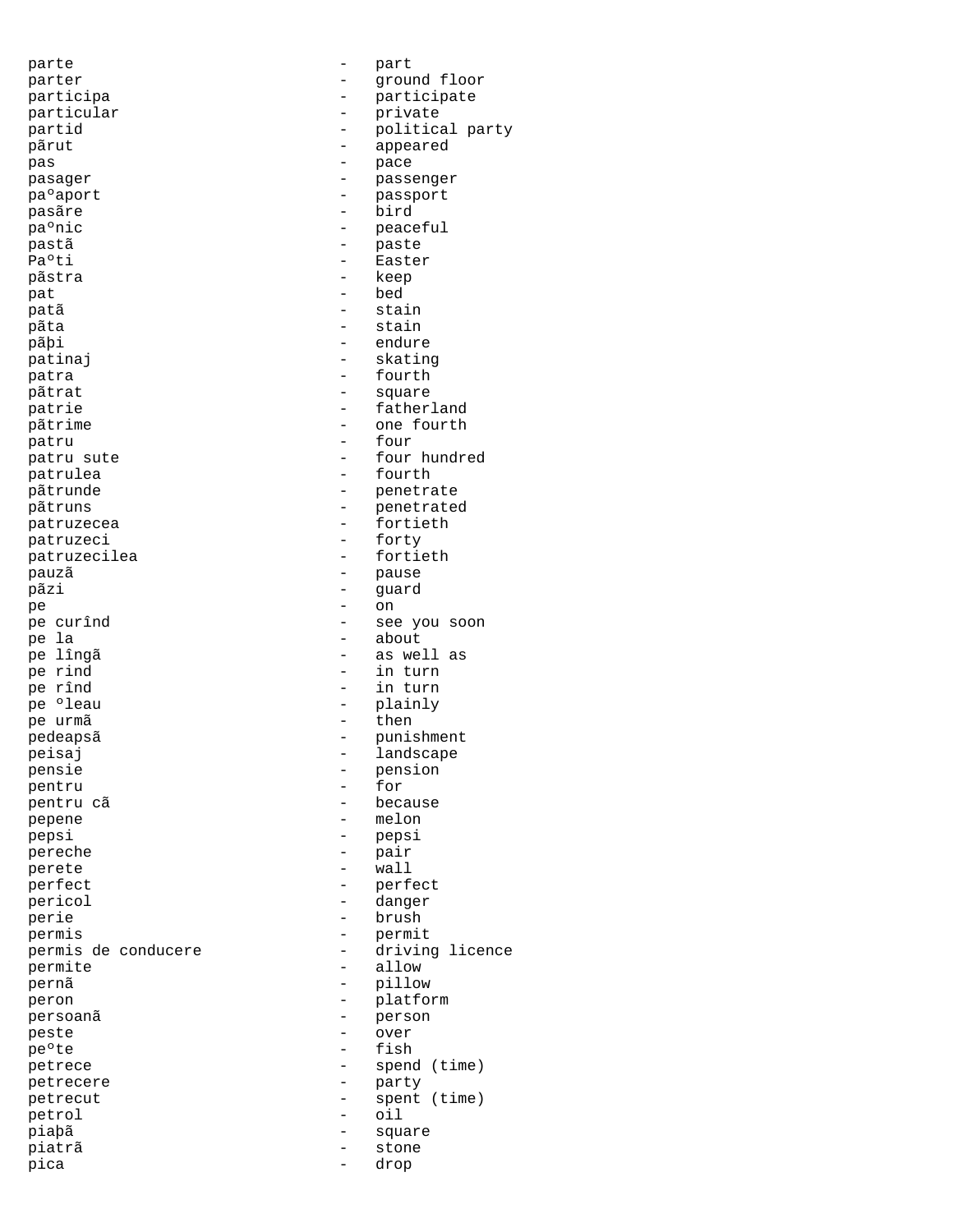parte - part parter - ground floor participa - participate<br>particular - private - private particular - private pãrut - appeared pas - pace pasager - passenger pa°aport - passport pasãre - bird pa°nic - peaceful pastã e paste Pa°ti - Easter pãstra - keep pat - bed patã - stain pãta - stain pãþi - endure - endure - endure - endure - endure - endure - endure - endure - endure - endure - endure - endure - endure - endure - endure - endure - endure - endure - endure - endure - endure - endure - endure - endure patinaj – skating – skating – skating – skating – skating – skating – skating – skating – skating – skating – skating – skating – skating – skating – skating – skating – skating – skating – skating – skating – skating – s patra  $-$  fourth pãtrat - square patrie  $-$  fatherland pãtrime - one fourth patru - four patru sute  $\qquad \qquad -$  four hundred patrulea - fourth pãtrunde - penetrate pãtruns - penetrated patruzecea - fortieth<br>patruzeci - forty - forty patruzeci - forty - forty<br>patruzecilea - fortieth patruzecilea pauzã - pause pãzi - guard pe - on pe curînd - see you soon pe la - about pe lîngã - as well as pe rind - in turn pe rînd - in turn pe 'leau - plainly pe urmã - then pedeapsã - punishment peisaj - landscape<br>nensie - landscape - nension pensie – pension – pension – pension – pension – pension – pension – pension – pension – pension – pension – pension – pension – pension – pension – pension – pension – pension – pension – pension – pension – pension – pen pentru - for -<br>pentru cã - because pepene - melon pepsi - pepsi pereche  $-$  pair perete - wall perfect - perfect pericol - danger perie - brush permis de conducere - driving licence - driving licence - driving licence - driving licence - driving licence permite - allow<br>pernã - pillow<br>- pillow pernã - pillow peron - platform persoanã de la person de la person de la person de la person de la person de la person de la person de la pers<br>De la personalité de la personalité de la personalité de la personalité de la personalité de la personalité de peste - over pe<sup>o</sup>te - fish petrece - spend (time) petrecere - party petrecut - spent (time) petrol - oil piaþã - square piatrã - stone

partid  $\overline{p}$  - political party  $\overline{p}$ permis - permit pica - drop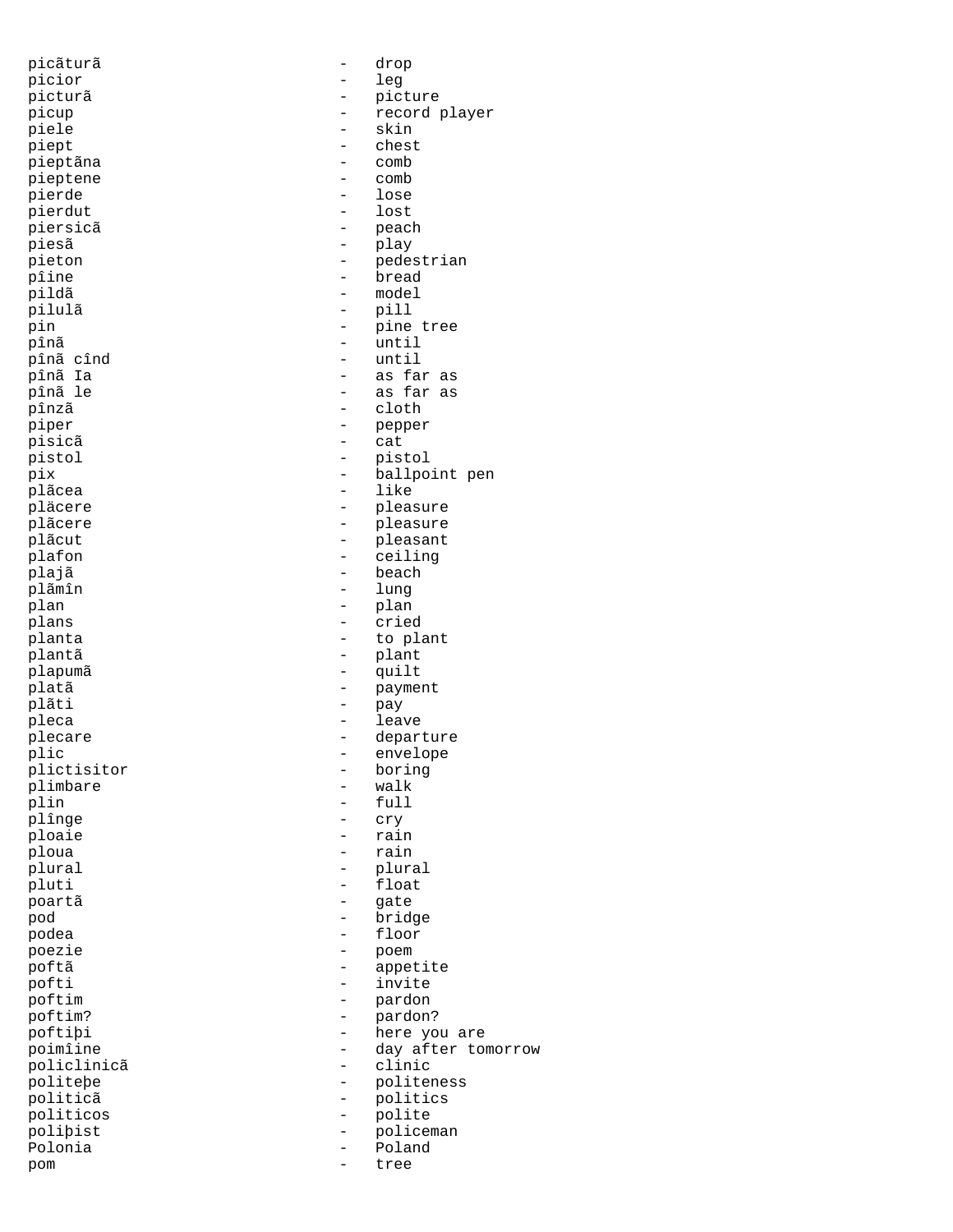| picãturã    | $\qquad \qquad -$        | drop               |
|-------------|--------------------------|--------------------|
| picior      | $\qquad \qquad -$        | leg                |
| picturã     |                          | picture            |
|             |                          |                    |
| picup       | $\qquad \qquad -$        | record player      |
| piele       | $\qquad \qquad -$        | skin               |
| piept       | $\qquad \qquad -$        | chest              |
| pieptãna    | $\overline{\phantom{0}}$ | comb               |
| pieptene    | $\overline{\phantom{a}}$ | comb               |
| pierde      | $\qquad \qquad -$        |                    |
|             |                          | lose               |
| pierdut     | $\qquad \qquad -$        | lost               |
| piersicã    | $\qquad \qquad -$        | peach              |
| piesã       | $\qquad \qquad -$        | play               |
| pieton      | $\qquad \qquad -$        | pedestrian         |
|             |                          |                    |
| pîine       | $\qquad \qquad -$        | bread              |
| pildã       | -                        | model              |
| pilulã      | $\overline{\phantom{a}}$ | pill               |
| pin         | $\overline{\phantom{a}}$ | pine tree          |
| pînã        | $\overline{\phantom{a}}$ | until              |
|             |                          |                    |
| pînã cînd   |                          | until              |
| pînã Ia     | $\overline{\phantom{a}}$ | as far as          |
| pînã le     | $\overline{\phantom{m}}$ | as far as          |
| pînzã       | $\overline{\phantom{a}}$ | cloth              |
| piper       | $\qquad \qquad -$        | pepper             |
|             |                          |                    |
| pisicã      | $\qquad \qquad -$        | cat                |
| pistol      | $\qquad \qquad -$        | pistol             |
| pix         | $\qquad \qquad -$        | ballpoint pen      |
| plãcea      | $\qquad \qquad -$        | like               |
| pläcere     | $\overline{\phantom{0}}$ | pleasure           |
|             |                          |                    |
| plãcere     | $\qquad \qquad -$        | pleasure           |
| plãcut      | $\qquad \qquad -$        | pleasant           |
| plafon      | $\qquad \qquad -$        | ceiling            |
| plajã       |                          | beach              |
| plãmîn      | $\qquad \qquad -$        |                    |
|             |                          | lung               |
| plan        | $\qquad \qquad -$        | plan               |
| plans       | $\qquad \qquad -$        | cried              |
| planta      | -                        | to plant           |
| plantã      | $\qquad \qquad -$        | plant              |
|             |                          |                    |
| plapumã     | $\qquad \qquad -$        | quilt              |
| platã       | $\qquad \qquad -$        | payment            |
| plãti       | $\overline{\phantom{a}}$ | pay                |
| pleca       | $\overline{\phantom{a}}$ | leave              |
| plecare     | $\qquad \qquad =$        | departure          |
|             |                          |                    |
| plic        | $\overline{\phantom{0}}$ | envelope           |
| plictisitor |                          | boring             |
| plimbare    |                          | walk               |
| plin        | $\overline{\phantom{0}}$ | full               |
| plînge      |                          | cry                |
|             |                          |                    |
| ploaie      |                          | rain               |
| ploua       | $\overline{a}$           | rain               |
| plural      | -                        | plural             |
| pluti       | $\qquad \qquad -$        | float              |
| poartã      |                          | gate               |
|             | $\qquad \qquad -$        |                    |
| pod         |                          | bridge             |
| podea       | $\qquad \qquad -$        | floor              |
| poezie      | $\qquad \qquad -$        | poem               |
| poftã       |                          | appetite           |
| pofti       |                          | invite             |
|             |                          |                    |
| poftim      | $\qquad \qquad -$        | pardon             |
| poftim?     | -                        | pardon?            |
| poftibi     | $\qquad \qquad -$        | here you are       |
| poimîine    | -                        | day after tomorrow |
| policlinicã | $\qquad \qquad -$        | clinic             |
|             |                          |                    |
| politebe    | $\qquad \qquad =$        | politeness         |
| politicã    | $\qquad \qquad -$        | politics           |
| politicos   | $\qquad \qquad -$        | polite             |
| polibist    | $\qquad \qquad -$        | policeman          |
| Polonia     | $\overline{\phantom{0}}$ | Poland             |
|             |                          |                    |
| pom         |                          | tree               |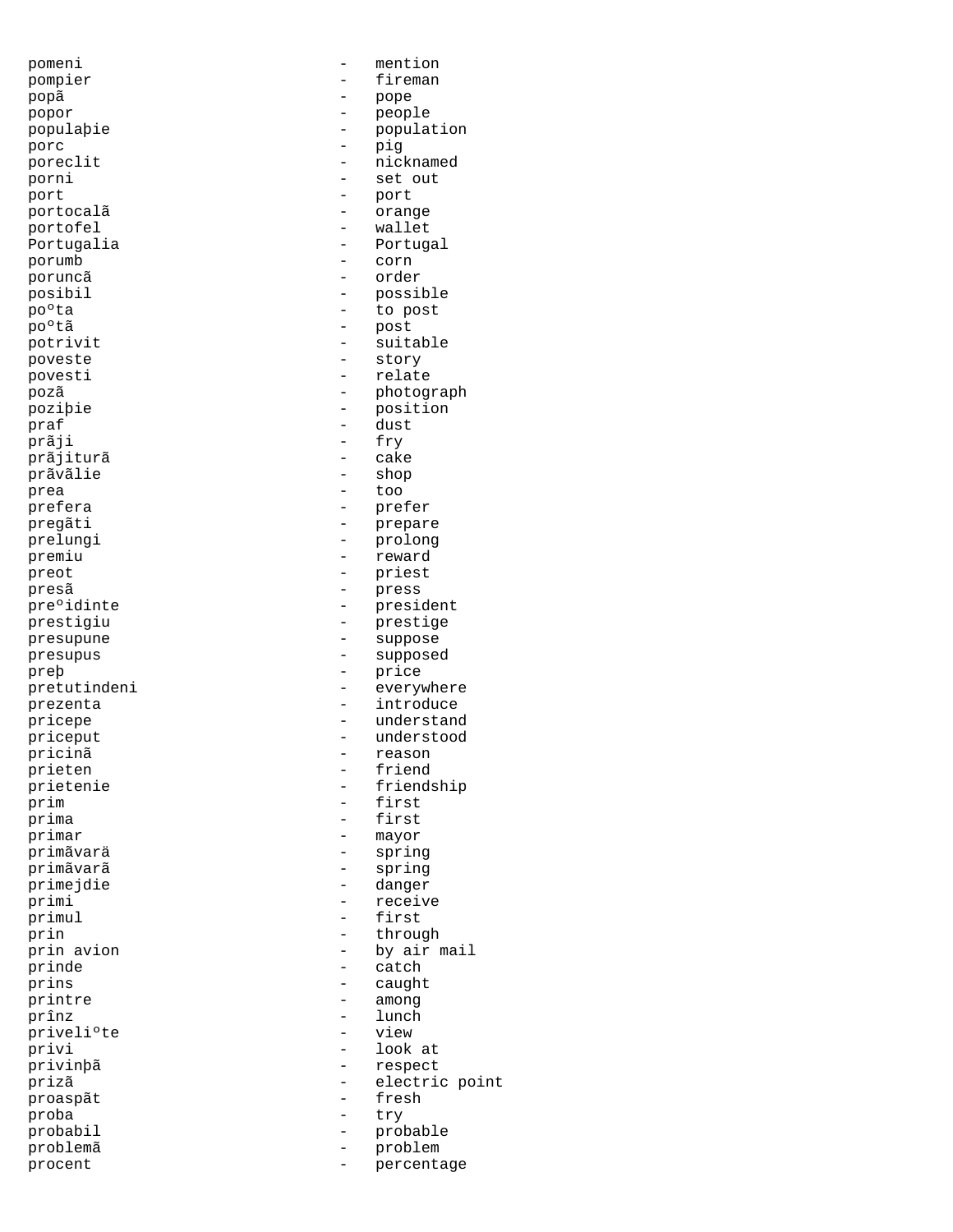popã - pope popor - people porc - pig port - port portocalã e contra la contra de la contra de contra la contra la contra de la contra de la contra de la contra<br>La contra de la contra de la contra de la contra de la contra de la contra de la contra de la contra de la con portofel - wallet porumb - corn poruncã - order -<br>
po<sup>o</sup>tã - post<br>
potrivit - suit poveste  $-$  story povesti  $-$  relate praf - dust prãji - fry - fry - fry - fry - fry - cake prãjiturã prãvãlie - shop prea - too prefera - prefer premiu - reward preot - priest -<br>presã - press preþ - price pricinã - reason prieten – friedrik († 1858)<br>18 april - friedrik († 1808)<br>18 april - friedrik († 1808) prim - first primar - mayor - mayor primãvarä - spring primãvarã - spring primejdie - danger primul - first<br>prin - throu prinde  $\overline{\phantom{a}}$  - catch<br>prins - caught prins - caught<br>printre - among printre among among prînz - lunch<br>priveli°te - lunch<br>- view - view priveli°te proaspãt - fresh proba - try

pomeni - mention pompier - fireman<br>popă - pope populaþie - population<br>porc - piq poreclit  $\qquad \qquad -$  nicknamed porni - set out Portugalia  $\overline{P}$  - Portugal posibil - possible poºta - to post potrivit - suitable<br>
poveste - story<br>
- story -<br>pozã - photograph poziþie - position pregãti - prepare prelungi - prolong pre°idinte - president prestigiu - prestige presupune - suppose presupus - supposed pretutindeni - everywhere prezenta  $\overline{p}$  - introduce pricepe - understand priceput - understood<br>
pricinã - reason<br>
- reason prietenie - friendship - first primi - receive<br>primul - first prin - through prin avion  $\begin{array}{ccc} - & - & \text{by air mail} \\ - & \text{catch} \end{array}$ privi - look at privinþã - respect prizã - electric point probabil - probable problemã - problem procent  $\qquad$  - percentage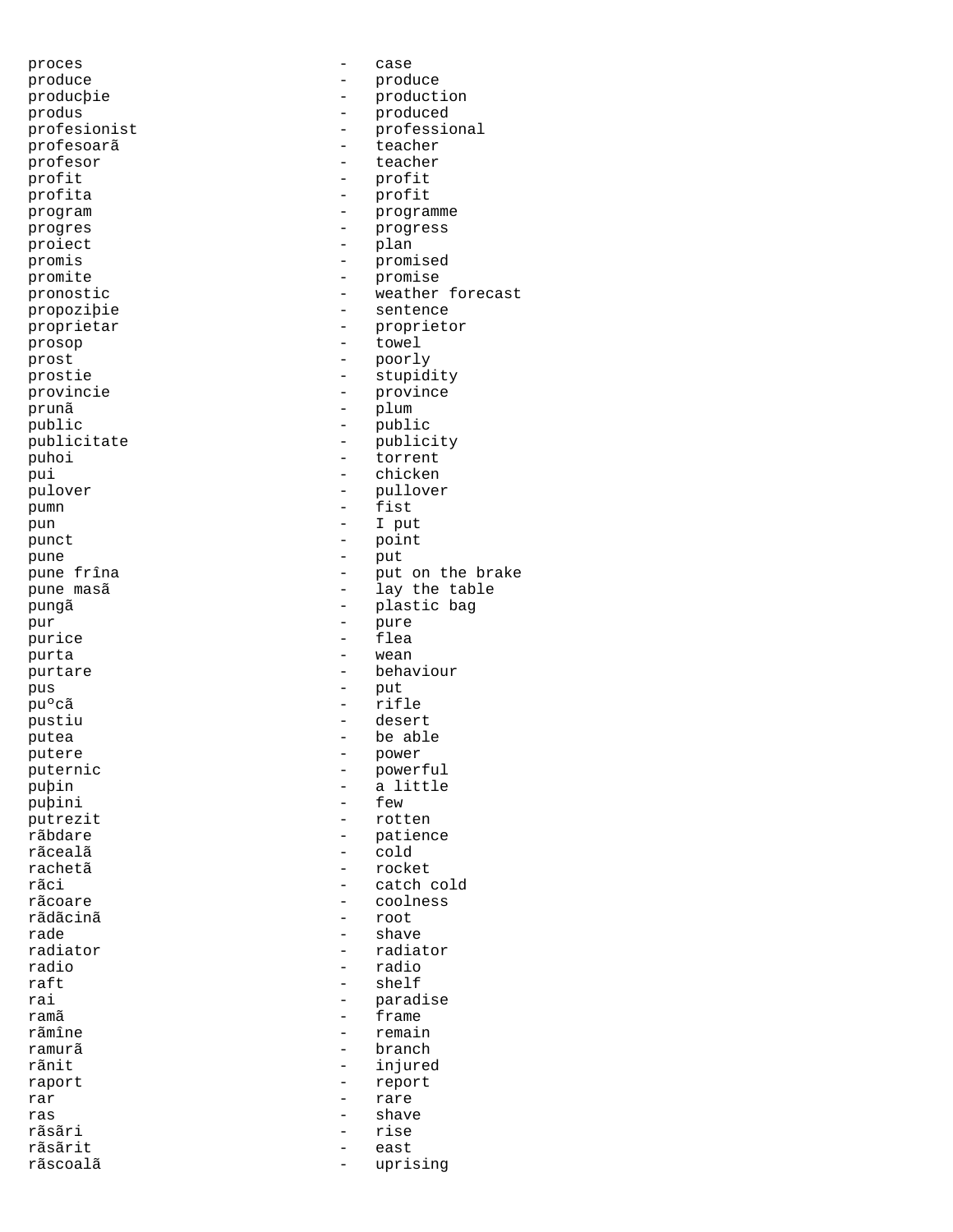proces - case produce - produce producþie - production produs - produced profesoarã - teacher profesor - teacher<br>profit - profit profit - profit -<br>program - programme progres - progress proiect - plan promis - promised promite - promise<br>pronostic - weather propoziþie - sentence proprietar - proprietor prosop - towel prost - poorly prostie - stupidity provincie  $\qquad \qquad -$  province prunã - plum public - public - public publicitate - publicity puhoi - torrent pui - chicken pulover - pullover pumn - fist pun - I put<br>punct - point - point punct - point<br>
pune - pune - punt pune - put -<br>pungã - plastic bag pur  $-$  pure -<br>
purice - flea<br>
purta - wean purta - wean purtare  $-$  behaviour pus - put puºcã - rifle pustiu  $\qquad -$  desert putea - be able putere - power puternic - powerful - puþin - a little<br>puþini - few - few - few - few - few - few - few - few - few - few - few - few - few - few - few - few - fem - fem - fem - fem - fem - fem - fem - fem - fem - fem - fem - fem - fem - fem - fem - fem - fe puþini - few - few - few - few - few - few - few - few - few - few - few - few - few - few - few - few - few - few - few - few - few - few - few - few - few - few - few - few - few - few - few - few - few - few - few - few rãbdare - patience rãcealã - cold rachetã - rocket rãci - catch cold rãcoare - coolness rãdãcinã rade - shave - shave - shave - shave - shave - shave - shave - shave - shave - shave - shave - shave - shave - shave - shave - shave - shave - shave - shave - shave - shave - shave - shave - shave - shave - shave - shave radiator  $\overline{r}$  radiator  $\overline{r}$  radiator  $\overline{r}$ radio - radio raft - shelf<br>rai - shelf - shelf rai - paradise rãmîne  $-$  remain ramurã - branch rãnit - injured raport - report rar - rare ras - shave rãsãri - rise rãsãrit - east<br>rãscoalã - east rãscoalã - uprising

profesionist - professional<br>profesoarã - teacher - profit pronostic  $\qquad \qquad -$  weather forecast pune frîna  $-$  put on the brake pune masã de contraste de la contraste de la pune masã de la contraste de la contraste de la contraste de la c - rotten - frame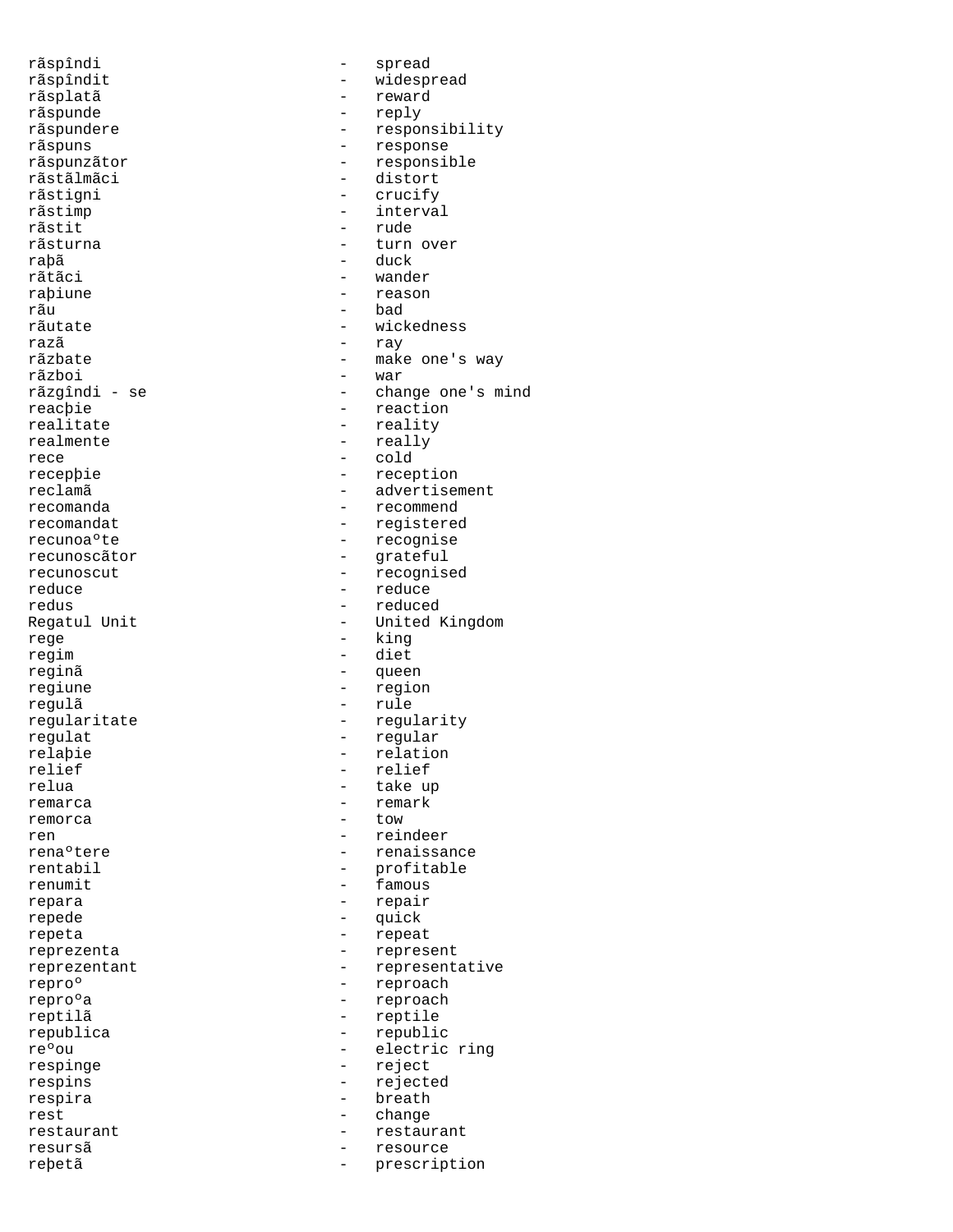rãspîndi - spread rãsplatã - reward rãspunde - reply rãspuns - response rãstãlmãci - distort<br>rãstigni - crucify - crucify rãstigni - crucify<br>
rãstimp - interva rãstimp - interval<br>rãstit - rude - rude rãstit - rude raþã - duck rãtãci - wander raþiune - reason rãu - bad razã - ray rãzboi - war<br>rãzgîndi - se - - - - - - - - - - - - - char reacþie - reaction realitate - reality realmente - really rece - cold recunoscãtor - grateful reduce - reduce rege  $-$  king regim - diet reginã - queen regiune - region regulã - rule regulat - regular relaþie - relation<br>relief - relief - relief relief - relief remarca - remark remorca - tow ren 1980 - reindeer en alleer en alleer en alleer en alleer en alleer en alleer en alleer en alleer en alleer<br>1980 - renaissance en alleer en alleer en alleer en alleer en alleer en alleer en alleer en alleer en alleer e renumit - famous repara - repair repede  $-$  quick repeta - repeat reproº - reproach reptilã - reptile republica - republic respinge - reject respins - rejected respira - breath - breath - breath - breath - breath - change rest - change resursã - resource

rãspîndit - widespread rãspundere entre estable entre responsibility rãspunzãtor - responsible - turn over rãutate - wickedness rãzbate - make one's way - change one's mind recepþie - reception reclamã entre entre entre entre entre entre entre entre entre entre entre entre entre entre entre entre entre e recomanda entre entre entre entre entre entre entre entre entre entre entre entre entre entre entre entre entre e recomandat extensive registered recunoaºte - recognise recunoscut - recognised - reduced Regatul Unit **1988** - United Kingdom regularitate - regularity take up - renaissance rentabil - profitable reprezenta  $\overline{r}$  - represent reprezentant - representative<br>repro $^{\circ}$  - reproach - reproach reºou - electric ring restaurant - restaurant - restaurant - restaurant - restaurant - restaurant - resource reþetã - prescription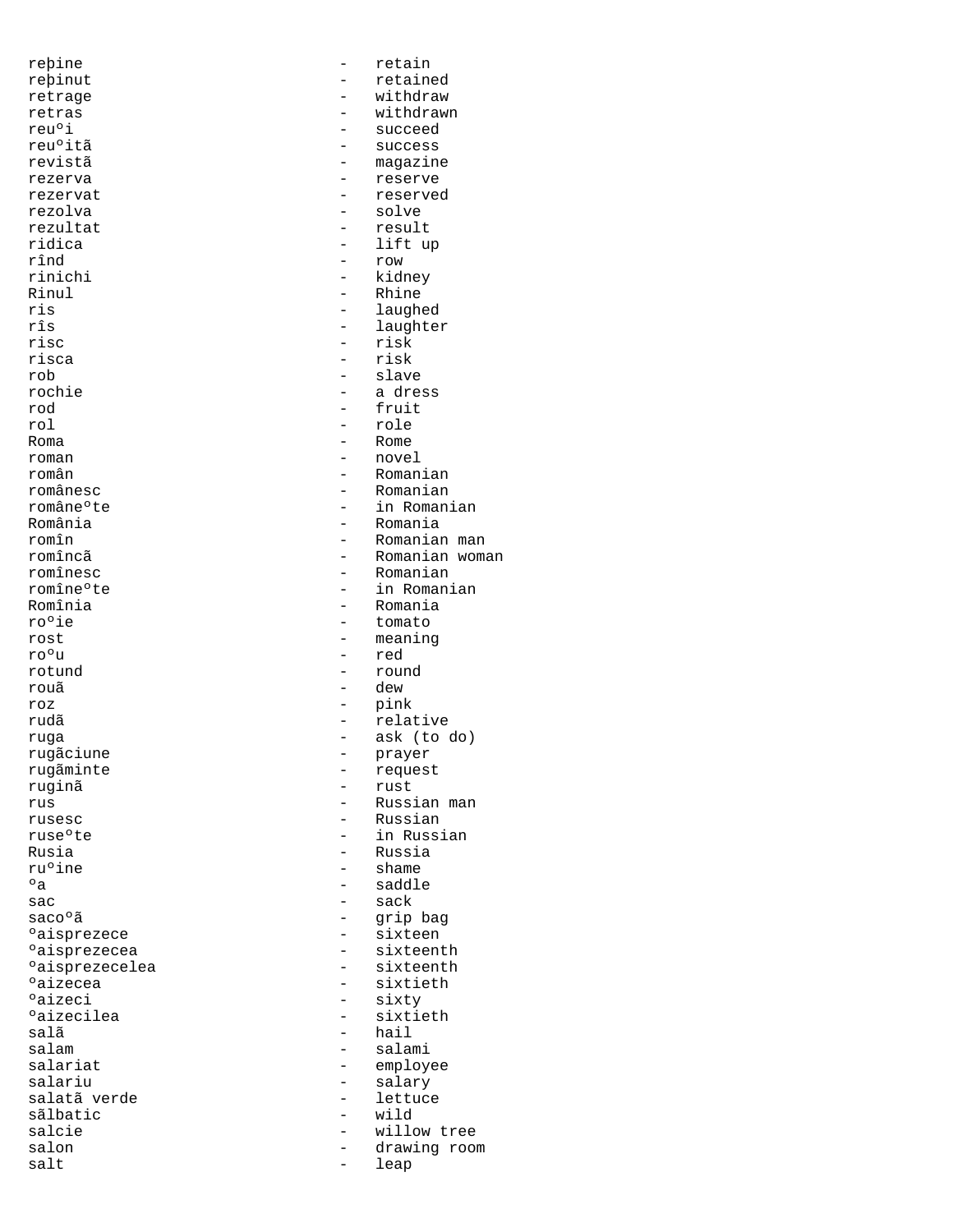reþine - retain rezolva - solve rezultat - result rinichi - kidney Rinul - Rhine - Rhine - Rhine - Rhine - Rhine - Rhine - Rhine - Rhine - Rhine - Rhine - Rhine - Rhine - Rhine - Rhine - Rhine - Rhine - Rhine - Rhine - Rhine - Rhine - Rhine - Rhine - Rhine - Rhine - Rhine - Rhine - Rhine risc - risk risca - risk - risk<br>rob - slave rob - slave<br>rochie - slave - slave rod - fruit<br>rol - role rol - role<br>Roma - Rome Roma - Rome<br>
roman - nove roman - novel - novel - novel - novel - novel - novel - novel - novel - novel - novel - novel - novel - novel - novel - novel - novel - novel - novel - novel - novel - novel - novel - novel - novel - novel - novel - novel ro<sup>o</sup>ie - tomato<br>rost - meaning ro<sup>o</sup>u - red<br>rotund - rou rouã roum - dew roz - pink rugãciune - provincia de la provincia de la provincia de la provincia de la provincia de la provincia de la pr<br>Prayer de la provincia de la provincia de la provincia de la provincia de la provincia de la provincia de la p ruginã<br>rus  $^{\circ}$ a - saddle - saddle sac - sack - sack - sack - sack - sack - sack - sack - sack - sack - sack - sack - sack - sack - sack - sack -°aisprezecelea - sixteenthe - sixteenthe - sixteenthe - sixteenthe - sixteenthe - sixteenthe - sixteenthe - si<br>Paizecea odizeci - sixty - sixty - sixty - sixty - sixtisalã - hail<br>salam - salam - salam salam - salami sãlbatic - wild salt - leap

reþinut - retained<br>retrage - - vithdraw retrage  $-$  withdraw retras - withdrawn<br>reu<sup>o</sup>i - withdrawn<br>- succeed reu<sup>o</sup>i - succeed<br>reu<sup>o</sup>itã - success - success reu°itã - success<br>revistã - success magazine rezerva - reserve rezervat - reserved ridica - lift up<br>rînd - lift up - row - row ris - laughed rîs - laughter - laughter<br>risc - risk - risk rochie - a dress <br/>  $\qquad \qquad$  - a dress  $\qquad \qquad \text{r}$ - Romanian românesc - Romanian - Romanian - Romanian - Romanian - Romanian - Romanian - Romanian - Romanian - Romanian româneºte - in Romanian România - Romania romîn - Romanian man romîncã - Romanian woman romînesc - Romanian<br>
romîneºte - American - In Romani romîneºte - in Romanian Romînia - Romania - Romania<br>ro<sup>o</sup>ie - tomato rost  $-$  meaning  $-$  meaning  $-$  red rotund - round rudã rudã e contra e contra e relative ruga - ask (to do)<br>rugãciune - - - - - - - - - - - prayer rugãminte - request<br>ruginã - request rus - Russian man<br>
rusesc - Alexandrus - Russian rusesc - Russian - Russian<br>ruse<sup>o</sup>te - in Russi ruseºte - in Russian<br>Rusia - in Russia Rusia - Russia - Russia<br>ru<sup>o</sup>ine - Shame - Shame - shame sacoºã - grip bag<br>ºaisprezece - component - sixteen - sixteen<br>- sixteenth %%"<br/>  $\circ$ aisprezecea - sixteenth<br>
- sixteenth<br>
- sixteenth estantial and the sixtieth of the sixtieth of the sixt of the sixt of the sixt of the sixt of the sixt of the sixt of the sixt of the sixt of the sixt of the sixt of the sixt of the sixt of the sixt of the sixt of the sixt - sixtieth salariat - employee<br>salariu - salarv - salarv - salary<br>- lettuce salatã verde  $\overline{\phantom{a}}$  - lettuce sãlbatic salcie - willow tree salon - drawing room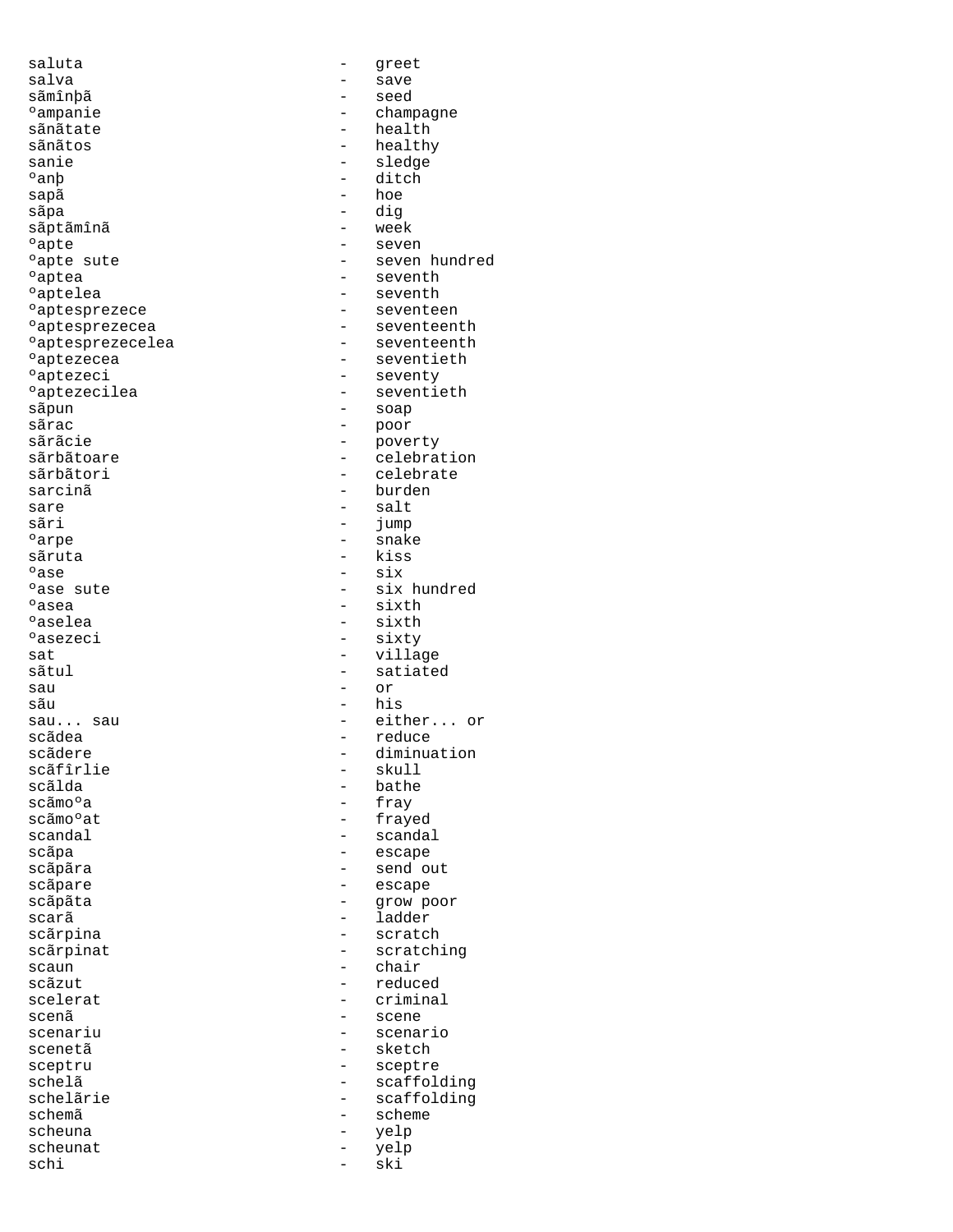saluta - greet salva - save sãmînþã e ampanie and the champagne of the champagne of the champagne of the champagne of the champagne of the champagne<br>  $\frac{1}{2}$  and the calculation of the champagne of the champagne of the champagne of the champagne of the cha sãnãtate - health sãnãtos - healthy - healthy<br>sanie - healthy - sledge sanie - sledge<br>
san<br>
Pan<br>
Political - ditch °anþ - ditch<br>sapã - hoe sãpa - dig<br>sãptãmînã - extra - week sãptãmînã ºapte - seven ºaptea - seventh ontelea - seventh - seventh - seventh - sevente - sevente - sevente - sevente - sevente - sevente - sevente om variation aptesprezece and the seventeen of the seventeen seventeen seventeen seventeen seventeen seventeen °aptesprezecelea<br>°aptezecea °aptezecea - seventieth<br>°aptezeci - seventy external contracts and the seventy<br>  $\circ$ aptezecilea - seventi $\circ$ °aptezecilea - seventieth<br>sãpun - soap - soap  $s\bar{a}$ pun - soap - soap - soap - soap - soap - soap - soap - soap - soap - soap - soap - soap - soap - soap - soap - soap - soap - soap - soap - soap - soap - soap - soap - soap - soap - soap - soap - soap - soap - soap sãrac - poor sãrãcie - poverty<br>sãrbãtoare - poverty - poverty sãrbãtoare - celebration<br>sãrbãtori - celebrate sarcinã de la contra de la contra de la contra de la contra de la contra de la contra de la contra de la contr sare salt = salt = salt<br>sãri = jump sãri - jump <sup>o</sup>arpe - snake sãruta - kiss<br>°ase - cix  $^{\circ}$ ase  $^{\circ}$ ase sute  $^{\circ}$  ase sute  $^{\circ}$  = six  $^{\circ}$  = six external of the six hundred passes of the six sixth sixth  $\frac{1}{2}$  and  $\frac{1}{2}$  sixth sixth external contracts and the set of the set of the set of the set of the set of the set of the set of the set of<br>Paselea - sixth set of the set of the set of the set of the set of the set of the set of the set of the set of external contract the set of the sixth sixth sixth sixth sixth sixth sixth sixth sixth sixth sixth sixth sixth sixth sixth sixth sixth sixth sixth sixth sixth sixth sixth sixth sixth sixth sixth sixth sixth sixth sixth six sat - village sau - or sãu - his sau... sau - either... or scãdea - reduce scãdere - diminuation scãfîrlie - skull - skull<br>scãlda - scãlda - scãlda - skull - skull scãlda - bathe - bathe - bathe - bathe - bathe - bathe - bathe - bathe - bathe - bathe - bathe - bathe - bathe scãmoºa - fray<br>scãmoºat - frav scandal - scandal - scandal scãpa - escape scãpãra - send out scãpare - escape scãpãta - grow poor scarã i ladder - ladder scãrpina - scratch - scratch - scratch - scratch - scratch - scratch - scratch - scratch - scratch scaun - chair scãzut - reduced scelerat - criminal scenariu - scenario scenetã - sketch sceptru - sceptre schelã - scaffolding schelãrie - scaffolding<br>schemã - schemã schemã - scheme - scheme - scheme - scheme - scheme - scheme - scheme - scheme - scheme - scheme - scheme - scheme - scheme - scheme - scheme - scheme - scheme - scheme - scheme - scheme - scheme - scheme - scheme - scheme scheuna - yelp scheunat - yelp<br>schi - ski - ski schi - ski

- hoe - seven hundred - seventeenth<br>- seventeenth - celebrate - sixty - satiated - frayed - scratching<br>- chair scenã - scene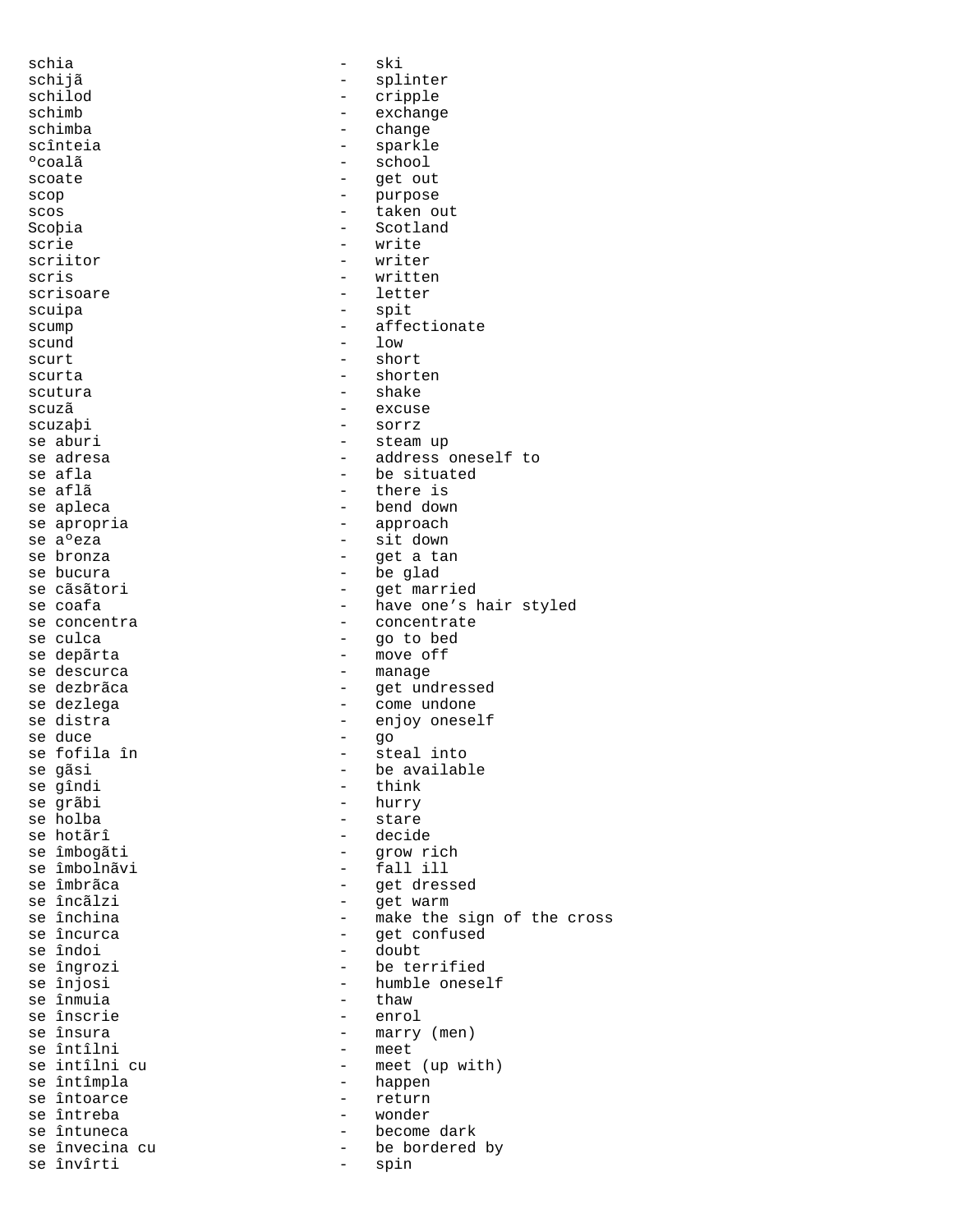schia - ski schijã - splinter<br>schilod - cripple - cripple schimb - exchange schimba - change scînteia - sparkle - school scoate - get out scop - purpose scos - taken out Scoþia - Scotland scrie - write scriitor - writer scris - written scrisoare - letter scuipa - spit scump  $\qquad \qquad -$  affectionate  $\begin{array}{ccc}\n\text{scund} & - & \text{low} \\
\text{scurt} & - & \text{show}\n\end{array}$  ${scurt} \quad - \quad {\rm short} \quad$ scurta - shorten scutura - shake scuzã excuse scuzaþi - sorrz se aburi - steam up se adresa - address oneself to<br>se afla - and - be situated - be situated se aflã  $-$  there is se apleca - bend down se apropria  $\overline{\phantom{a}}$  - approach se a<sup>o</sup>eza - sit down<br>se bronza - sit down<br>- qet a tai - get a tan se bucura<br>se cãsãtori de la partida de cãsãtori de la partida de la partida de la partida de la partida de la partida de<br>de la partida de la partida de la partida de la partida de la partida de la partida de la partida de se cãsãtori e married e se coafa e se coafa e married e married e se coafa e married e married e married e mar<br>
se coafa e married e married e married e married e married e married e married e married e married e married se coafa - have one's hair styled<br>se concentra - concentrate - concentrate - concentrate se culca  $-$  go to bed se depãrta  $-$  move off se descurca en el est el escurca en el escurca en el escurca en el escurso en el escurso en el escurso en el e se dezbrãca - get undressed se dezlega - come undone se distra - enjoy oneself se duce - go se fofila în se gãsi  $-$  be available se gîndi se gîndi - think se grãbi - hurry - stare se hotãrî decide se îmbogãti  $-$  grow rich se îmbolnãvi - fall ill se îmbrãca de contrastes de la contraste de contraste de contraste de contraste de contraste de contraste de c<br>Se incâliste de contraste de contraste de contraste de contraste de contraste de contraste de contraste de con se încãlzi  $\begin{array}{ccc} - & - & - \\ - & \end{array}$  warm se închina se închina - make the sign of the cross - get confused se îndoi - doubt se îngrozi - be terrified - humble oneself<br>- thaw se înmuia<br>se înscrie se înscrie - enrol - marry (men)<br>- meet se întîlni<br>se intîlni cu - meet (up with) se întîmpla - happen se întoarce se întreba - wonder se întuneca - become dark - be bordered by se învîrti  $-$  spin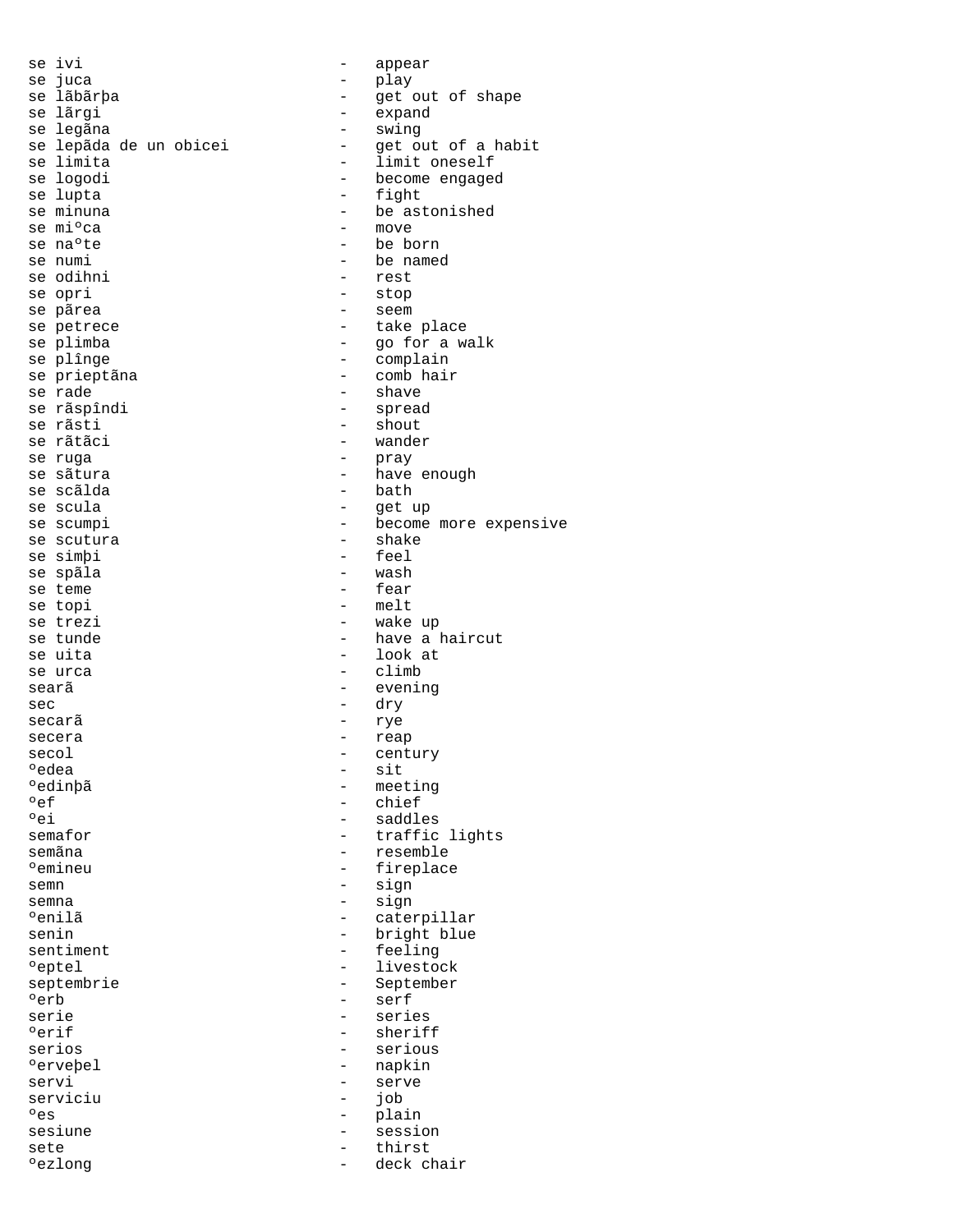se ivi - appear se juca<br>se lãbãrþa - play - play - et e se lãbãrþa - set out of shape se lãrgi - get out of shape set lãrgi - set out of shape set lãngular set out of shape set lãngular set out of shape set lãngular set out of shape set out of shape set out of shape set out of se lãrgi<br>se legãna de lega de legãna de legãna de legãna de lega de lega de lega de lega de la providade de la provida<br>de legãna de la provida de la provida de la provida de la provida de la provida de la provida de la pro - swing<br>- get out of a habit se lepãda de un obicei<br>se limita se limita<br>se logodi - limit oneself<br>discussed become engage se logodi - become engaged<br>se lupta - fight - fight se minuna  $\begin{array}{ccc} - & - & \text{be astonished} \\ - & \text{move} \end{array}$  $\text{se}$  m<sup>3</sup> ca  $\text{se}$  move  $\text{se}$  and  $\text{se}$  move  $\text{se}$  he be be be an  $\text{se}$  he be be an  $\text{se}$  he be be an  $\text{se}$  he be an  $\text{se}$  he be an  $\text{se}$  he be an  $\text{se}$  he be an  $\text{se}$  he be an  $\text{se}$  he be an  $\$ se naºte  $\begin{array}{ccc} - & - & - \end{array}$  be born se numi - be named<br>- rest se odihni se opri - stop se pãrea  $-$  seem se petrece en take place se plimba<br>se plînge die se plînge die se plînge die se plînge die se plînge die se plînge die se plînge die se plînge di<br>se plînge die se plînge die se plînge die se plînge die se plînge die se plînge die se plînge die se - complain se prieptãna  $-$  comb hair<br>se rade  $-$  shave se rade - shave - shave - shave - shave - shave - shave - shave - shave - shave - shave - shave - sh - spread se rãsti - shout - wander se ruga  $-$  pray se sãtura  $-$  have enough se scãlda<br>se scula - bath - bath - et u se scula en el est up de la partida de la contradición de la contradición de la contradición de la contradició<br>Del entre de la contradición de la contradición de la contradición de la contradición de la contradición de la se scumpi - become more expensive - become more expensive - shake se scutura - shake se simþi - feel se spãla<br>se teme se teme  $\begin{array}{ccc} - & \text{fear} \\ - & \text{melt} \end{array}$ se topi - melt se trezi  $-$  wake up<br>se tunde  $-$  have a l se tunde  $\begin{array}{ccc} - & - & \text{have a haircut} \\ - & - & \text{look at} \end{array}$ se uita  $\begin{array}{ccc} - & \text{look at} \\ - & \text{climb} \end{array}$ - climb searã - evening sec - dry secarã - rye secera - reap secol - century - century - century - century - century - century - century - century - century - century - century - century - century - century - century - century - century - century - century - century - century - cent %edea - sit<br>%edinbã - sit<br>"edinbã - meet" edinþã - meeting - meeting - meeting - meeting - meeting - meeting - meeting - meeting - meeting - meeting - me<br>Peeting - meeting - meeting - meeting - meeting - meeting - meeting - meeting - meeting - meeting - meeting ef - chief - chief - chief - chief - chief - chief - chief - chief - chief - chief - chief - chief - chief - chief - chief - chief - chief - chief - chief - chief - chief - chief - chief - chief - chief - chief - chief - c - saddles semafor  $-$  traffic lights semãna - resemble ºemineu - fireplace semn - sign semna - sign ºenilã - caterpillar senin - bright blue<br>sentiment - feeling sentiment - feelings and the feeling of the feeling of  $\sim$ eptel - livestock eptembrie - livestock - livestock eptember septembrie - September<br>
- September<br>
- serf erb - serf - serie - serie - serie - serie - serie - serie - serie - serie - serie - serie - serie - serie - serie - serie - serie - serie - serie - serie - serie - serie - serie - serie - serie - serie - serie - serie - s serie - series erif - sheriff - sheriff - sheriff - sheriff - sheriff - sheriff - sheriff - sheriff - sheriff - sheriff - sheriff - sheriff - sheriff - sheriff - sheriff - sheriff - sheriff - sheriff - sheriff - sheriff - sheriff - sheri - serious ºerveþel - napkin servi - serve serviciu - job<br>
°es - pla: es estimates and the contract of the plain of the plain of the plain of the plain of the plain of the contract of the plain of the plain of the plain of the plain of the plain of the plain of the plain of the plain of the sesiune - session sete - thirst °ezlong - deck chair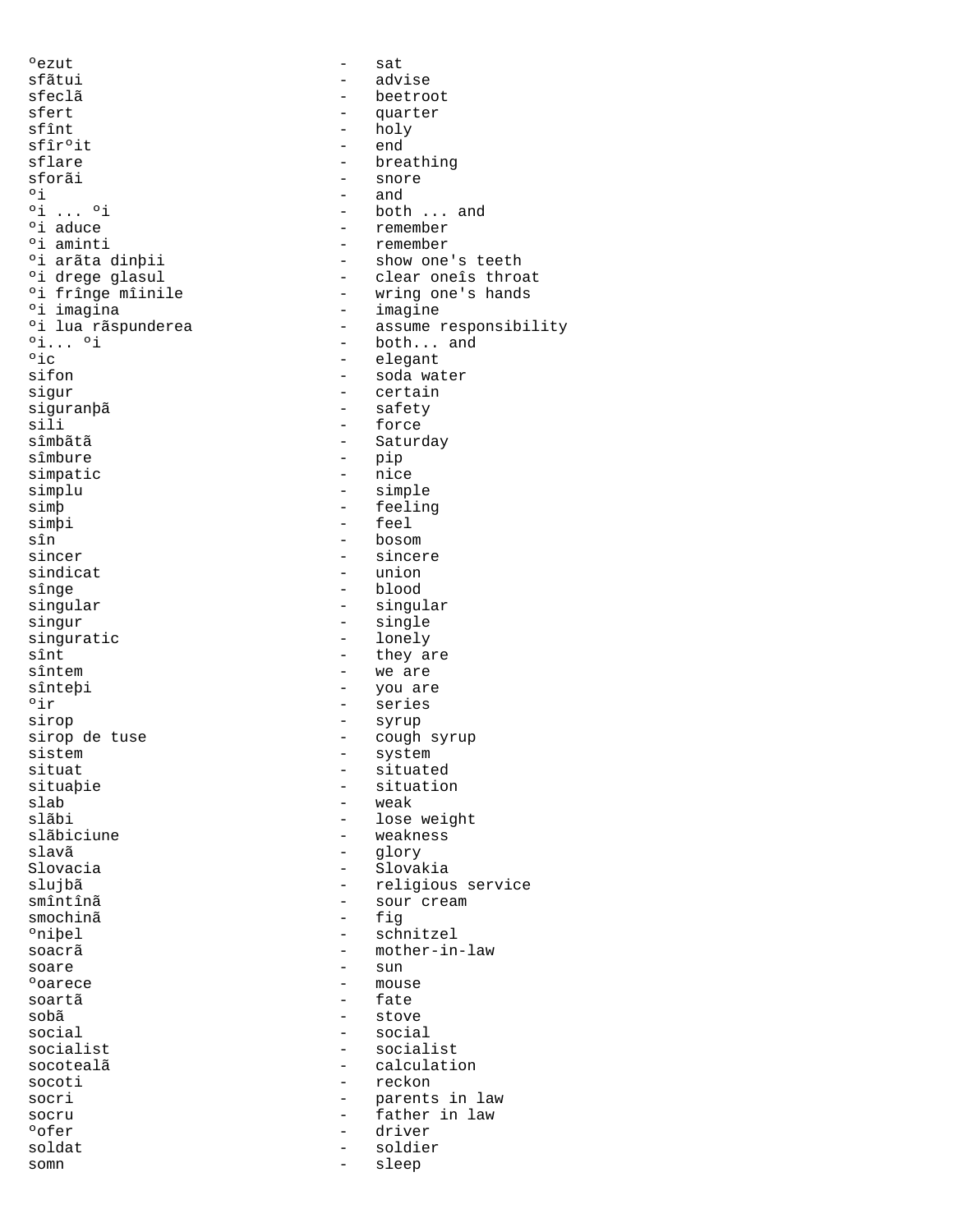°ezut - sat sfãtui - advise sfeclã<br>sfert - beetroot<br>- quarter sfert - quarter sfîr°it -<br>sflare - endbouwer sflare - breathing  $\frac{1}{\sqrt{3}}$  sforãi - snore<br>  $\frac{1}{\sqrt{3}}$  - and  $\begin{array}{ccc} \circ i & & - & \text{and} \\ \circ i & \ldots & \circ i & & - & \text{both} \end{array}$  $\begin{array}{ccc} \circ i & \dots & \circ i \\ \circ i & \text{aduce} \\ \end{array}$  - both ... and <sup>o</sup>i aduce  $\frac{1}{2}$  and  $\frac{1}{2}$  remember  $\frac{1}{2}$  remember ºi aminti - remember oi arãta dinþii - show one's teethologies - show one's teethologies in the show one's throw one show one show  $\frac{1}{2}$  - clear one is throw % of the drege glasul - clear one is throat<br>\*i fringe miinile - wring one's hands °i frînge mîinile - wring one's hands<br>°i imagina - imagine ºi imagina - imagine °i lua rãspunderea - assume responsibility<br>°i... °i - both... and  $\begin{array}{ccc} \circ \text{i} \dots & \circ \text{i} \end{array}$  - both... and  $\circ \text{i} \text{c}$  - elegant oic of the contract of the contract of the elegant of the elegant of the elegant of the elegant of the element<br>Separate of the elegant of the elegant of the elegant of the elegant of the elegant of the elegant of the elega sifon - soda water<br>sigur - - soda water<br>- certain sigur - certain siguranþã<br>sili - safety<br>sili - force sili - force<br>sîmbătă - Sature sîmbãtã - Saturday simpatic simplu - simple simp<br>simpi - feeling<br>- feel simþi - feel<br>sîn - boson sîn - bosom - bosom - bosom - bosom - bosom - bosom - bosom - bosom - bosom - bosom - bosom - bosom - bosom sincer - sincere sindicat - union<br>sînge - blood - blood sînge - blood<br>singular - blood - blood<br>- singular - singular singur - single  $\begin{array}{ccc}\n\text{singularatic} & - & \text{long } \\ \n\text{sint} & - & \text{they} \\ \n\end{array}$ sînt<br>sîntem - they are<br>- we are sînteþi - you are °ir - series sirop - syrup sirop de tuse  $-$  cough syrup sistem  $-$  system  $-$  system  $$ sistem - system - system - system - system - situate situat - situated situaþie - situation<br>slab - weak - weak slab - weak<br>slãbi - lose slãbi - lose weight<br>slãbiciune - weakness slãbiciune - weakness<br>slavã - dorv slavã - glory slujbã - religious service smîntînã - sour cream smochinã – figures de la proposa de la proposa de la proposa de la proposa de la proposa de la proposa de la p<br>En el proposa de la proposa de la proposa de la proposa de la proposa de la proposa de la proposa de la propos oniþel - schnitzel<br>soacrã - mother-in soare - sun esta de la contradición de la contradición de la contradición de la contradición de la contradición de la contra<br>Podem de la contradición de la contradición de la contradición de la contradición de la contradición de la co soartã - fate sobã<br>social - stove<br>- social - social social - social<br>socialist - socialist - social socialist<br>socoteală - socialist<br>- calculati socoti and the contract of the reckon socri  $-$  parents in law socru - father in law ofer - driver - driver - driver - driver - driver - driver - driver - driver - driver - driver - driver - driver - driver - driver - driver - driver - driver - driver - driver - driver - driver - driver - driver - driver soldat - soldier<br>somn - sleep somn - sleep

- holy<br>- end - pip<br>- nice singular - singular - we are - Slovakia - mother-in-law<br>- sun - calculation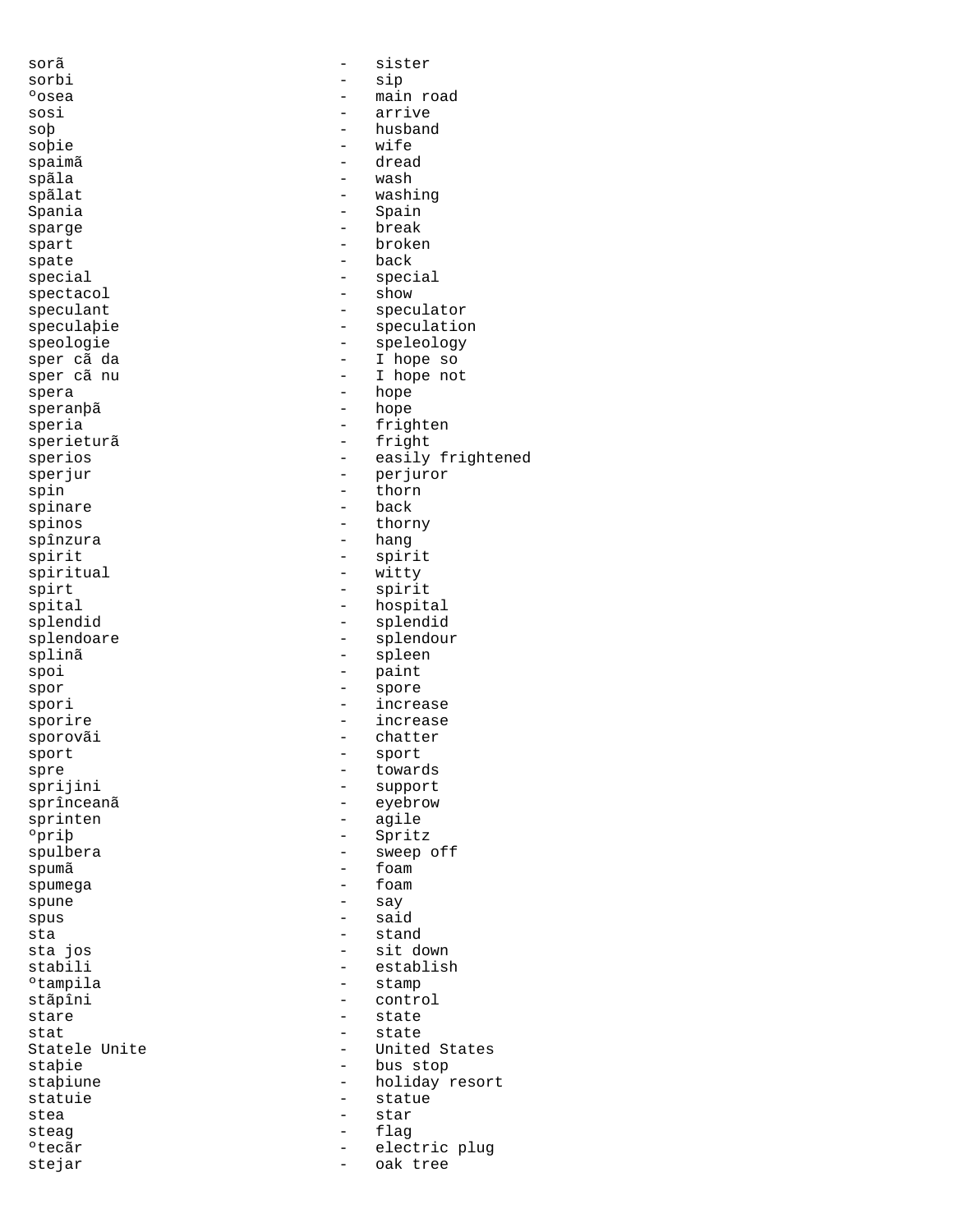sorã - sister sorbi - sip sosi - arrive soþ - husband<br>sobie - husband - husband soþie - wife<br>spaimã - dread spaimã - dread spãla<br>spãlat Spania - Spain - Spain sparge - break spart - broken spate  $-$  back special - special spectacol - show - show speculant - speculator speculaþie - speculation speologie - speleology sper cã da  $\begin{array}{ccc} - & 1 \text{ hope so} \\ - & 1 \text{ hope not} \end{array}$ spera - hope speria - frighten<br>sperieturã - fright sperios - easily frightened sperjur - perjuror - perjuror - perjuror - perjuror - perjuror - perjuror - perjuror - perjuror - periuror - per spin - thorn<br>spinare - thorn - back spinare - back - back - back - back - back - back - back - back - back - back - back - back - back spinos - thorny spînzura - hang - hang spirit - spirit - spirit - spirit - spirit - spirit - spirit - spirit - spirit - spirit - spirit - spirit - spirit - spirit - spirit - spirit - spirit - spirit - spirit - spirit - spirit - spirit - spirit - spirit - spirit spiritual - witty<br>spirt - witty<br>- spiri spirt - spirit - spirit<br>spital - hospital - hospit spital - hospital - hospital - hospital - hospital - hospital - hospital - hospital - hospital - hospital - hospital - hospital - hospital - hospital - hospital - hospital - hospital - hospital - hospital - hospital - hosp splendoare - splendour splinã - spleen spoi - paint<br>spor - paint<br>- spore spor - spore spori - increase<br>sporire - increase sporire - increase sporovãi - chatter<br>sport - chatter - chatter sport - sport - sport - sport<br>spre - toward - toward spre - towards sprijini - support sprînceanã - eyebrow - eyebrow<br>sprinten - agile sprinten - agile<br>
°priþ - Sprit: ºpriþ - Spritz spumã - foam spumega - foam spune - say<br>spus - said - said spus - said<br>sta - stand - stand sta - stand stabili - establish - establish - establish - establish - establish - stamp - stamp - stamp - stamp - stamp - ºtampila - stamp stãpîni - control stat - state staþie - bus stop staþiune - holiday resort statuie - statue - statue<br>stea - star stea - star - star steag - flag etecãr de lectric plugnesis de lectric plugnes de lectric plugnes de lectric plugnes de la contra de la contra<br>De la contra de la contra de la contra de la contra de la contra de la contra de la contra de la contra de la stejar - oak tree

main road - washing - I hope not - hope - fright splendid - splendid - sweep off - sit down<br>- establis stare - state - United States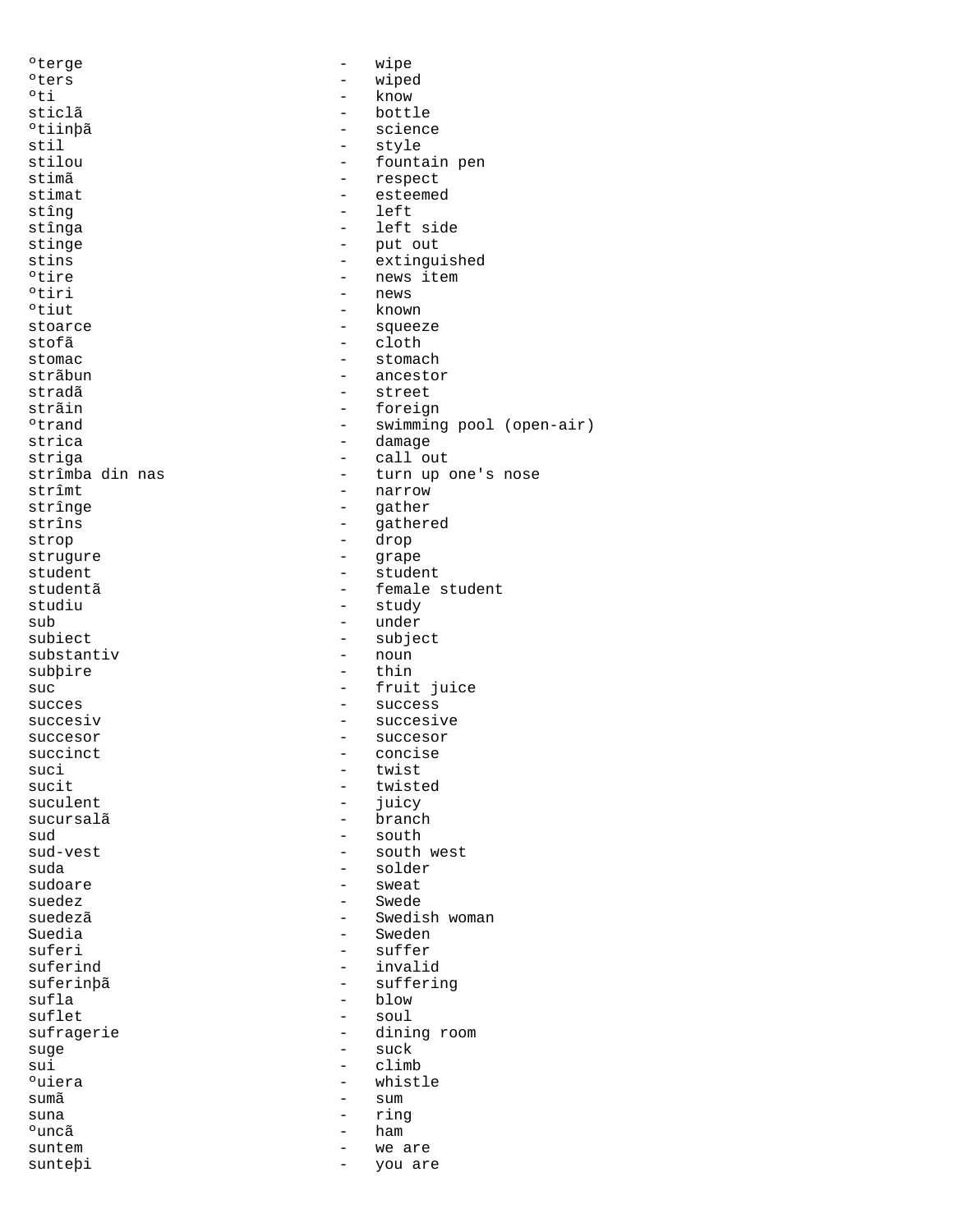| °terge             |                                                      | wipe                     |
|--------------------|------------------------------------------------------|--------------------------|
| °ters              | -                                                    | wiped                    |
| $^{\circ}$ ti      | $\overline{\phantom{0}}$                             | know                     |
| sticlã             | $\overline{\phantom{0}}$                             | bottle                   |
| °tiinbã            | $\overline{\phantom{0}}$                             | science                  |
| stil               | $\qquad \qquad -$                                    | style                    |
| stilou             | -                                                    | fountain pen             |
| stimã              | $\overline{\phantom{0}}$                             | respect                  |
| stimat             | $\overline{\phantom{0}}$                             | esteemed                 |
| stîng              | $\overline{\phantom{0}}$                             | left                     |
|                    | $\qquad \qquad -$                                    | left side                |
| stînga             |                                                      |                          |
| stinge             | -                                                    | put out                  |
| stins              |                                                      | extinguished             |
| °tire              | $\qquad \qquad -$                                    | news item                |
| °tiri              | $\qquad \qquad -$                                    | news                     |
| °tiut              | $\qquad \qquad -$                                    | known                    |
| stoarce            | $\overline{\phantom{0}}$                             | squeeze                  |
| stofã              | $\qquad \qquad -$                                    | cloth                    |
| stomac             | $\qquad \qquad -$                                    | stomach                  |
| strãbun            |                                                      | ancestor                 |
| stradã             | $\qquad \qquad -$                                    | street                   |
| strãin             | $\overline{\phantom{a}}$                             | foreign                  |
| <sup>o</sup> trand | $\overline{\phantom{m}}$                             | swimming pool (open-air) |
|                    | $\overline{\phantom{a}}$                             |                          |
| strica             |                                                      | damage                   |
| striga             | $\overline{\phantom{0}}$                             | call out                 |
| strîmba din nas    | -                                                    | turn up one's nose       |
| strîmt             | $\overline{\phantom{0}}$                             | narrow                   |
| strînge            | $\qquad \qquad -$                                    | qather                   |
| strîns             | -                                                    | gathered                 |
| strop              | $\qquad \qquad -$                                    | drop                     |
| strugure           | $\overline{\phantom{m}}$                             | grape                    |
| student            | $\qquad \qquad -$                                    | student                  |
| studentã           | $\overline{\phantom{0}}$                             | female student           |
| studiu             | $\overline{\phantom{0}}$                             | study                    |
| sub                | $\overline{\phantom{0}}$                             | under                    |
| subiect            | -                                                    | subject                  |
| substantiv         | $\qquad \qquad -$                                    | noun                     |
|                    |                                                      | thin                     |
| subbire            |                                                      |                          |
| suc                | $\qquad \qquad -$                                    | fruit juice              |
| succes             | $\qquad \qquad -$                                    | success                  |
| succesiv           | $\qquad \qquad -$                                    | succesive                |
| succesor           | $\qquad \qquad -$                                    | succesor                 |
| succinct           |                                                      | concise                  |
| suci               | $\qquad \qquad -$                                    | twist                    |
| sucit              |                                                      | twisted                  |
| suculent           |                                                      | juicy                    |
| sucursalã          | $\overline{\phantom{0}}$                             | branch                   |
| sud                | -                                                    | south                    |
| sud-vest           |                                                      |                          |
| suda               |                                                      |                          |
|                    |                                                      | south west               |
|                    | $\overline{\phantom{0}}$                             | solder                   |
| sudoare            |                                                      | sweat                    |
| suedez             | $\overline{\phantom{0}}$                             | Swede                    |
| suedezã            | $\overline{\phantom{0}}$                             | Swedish woman            |
| Suedia             | $\overline{\phantom{0}}$                             | Sweden                   |
| suferi             | $\overline{\phantom{0}}$                             | suffer                   |
| suferind           | -                                                    | invalid                  |
| suferinbã          | -                                                    | suffering                |
| sufla              | -                                                    | blow                     |
| suflet             | $\overline{\phantom{0}}$                             | soul                     |
| sufragerie         | $\qquad \qquad -$                                    | dining room              |
| suge               | $\qquad \qquad -$                                    | suck                     |
| sui                | $\overline{\phantom{0}}$                             | climb                    |
|                    |                                                      |                          |
| <sup>o</sup> uiera | -                                                    | whistle                  |
| sumã               |                                                      | sum                      |
| suna               | -                                                    | ring                     |
| °uncã              | $\qquad \qquad -$                                    | ham                      |
| suntem<br>suntebi  | $\overline{\phantom{0}}$<br>$\overline{\phantom{a}}$ | we are<br>you are        |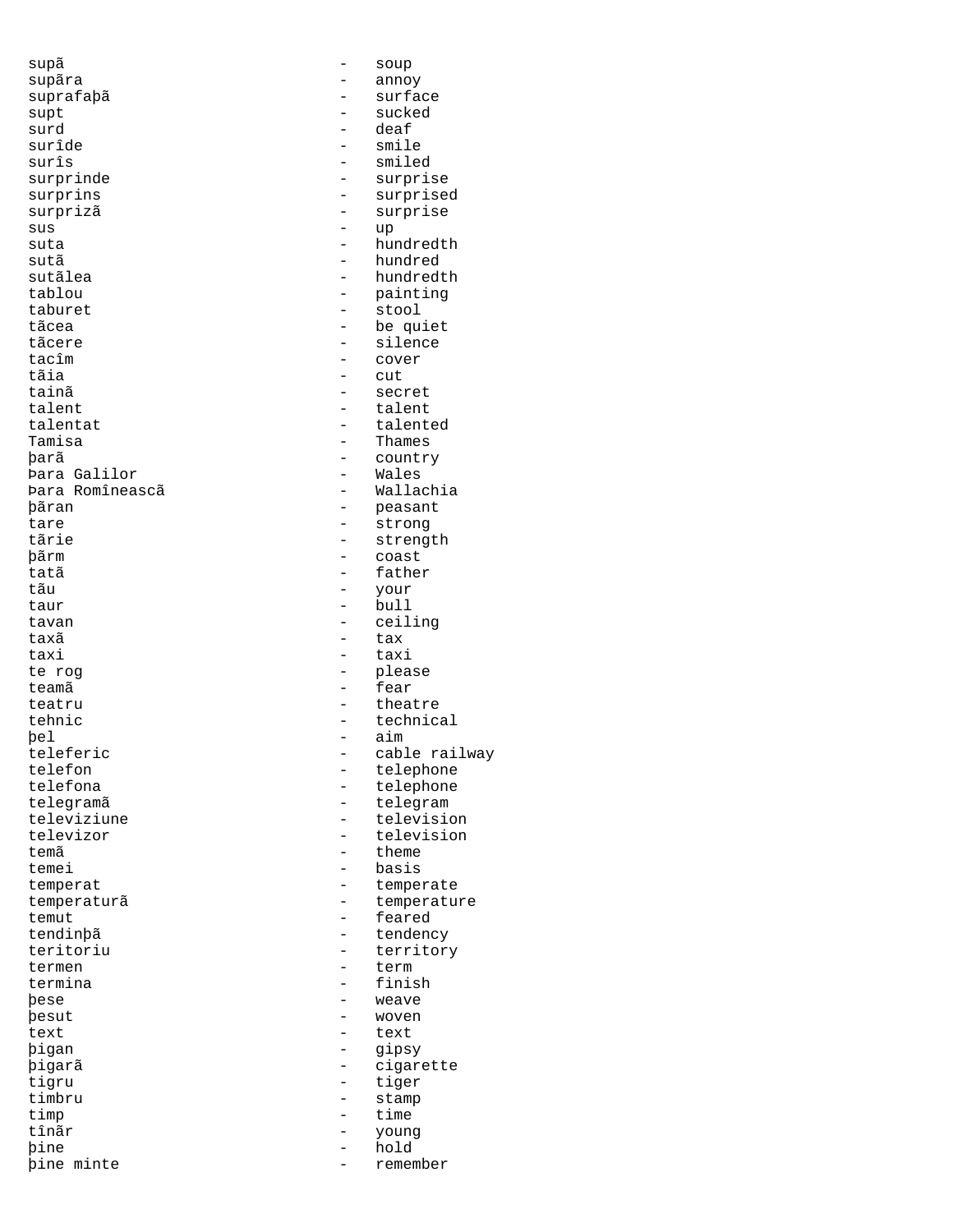supã - soup supãra - annoy suprafaþã - surface supt - sucked surd - deaf surîde - smile<br>surîs - smile surîs - smiled surprinde - surprise surprizã - surprise sus - up<br>suta - hur suta - hundredth sutãlea - hundredth tablou - painting<br>taburet - stool - stool taburet - stool - stool<br>tãcea - - - - - - - - - - - - be qu tãcea - be quiet<br>tãcere - be quiet tãcere - silence - silence - silence - silence - silence - silence - silence - silence - silence - silence - silence - silence - silence - silence - silence - silence - silence - silence - silence - silence - silence - sil tacîm - cover tãia - cut tainã - secret talentat - talented þarã - country Þara Galilor - Wales Þara Romîneascã þãran - peasant tare - strong tãrie - strength<br>
- strength<br>
- coast<br>
- coast þãrm - coast - coast - coast - coast - coast - coast - coast - coast - coast - coast - coast - coast - coast - coast - coast - coast - coast - coast - coast - coast - coast - coast - coast - coast - coast - coast - coast tatã - father tãu - your  $\begin{tabular}{ccc} taur & - & bull \\ \end{tabular}$ tavan - ceiling taxã e tax taxi - taxi - taxi - taxi - taxi - taxi - taxi - taxi - taxi - taxi - taxi - taxi - taxi - taxi - taxi - taxi - taxi - taxi - taxi - taxi - taxi - taxi - taxi - taxi - taxi - taxi - taxi - taxi - taxi - taxi - taxi - taxi teamã characteristicamã de la contrata de la contrata de la featura de la featura de la featura de la featura d teatru - theatre tehnic - technical<br>bel - aim þel - aim - aim - aim - aim - aim - aim - aim - aim - aim - aim - aim - aim - aim - aim - aim - aim - aim - aim - aim - aim - aim - aim - aim - aim - aim - aim - aim - aim - aim - aim - aim - aim - aim - aim - aim - aim teleferic - cable railway<br>telefon - telephone telefon - telephone telefona - telephone<br>telegramã - telegram telegramã - telegram televiziune - television<br>televizor - television - television temã - theme - theme - theme - theme - theme - theme - theme - theme - theme - theme - theme - theme - theme - theme - theme - theme - theme - theme - theme - theme - theme - theme - theme - theme - theme - theme - theme temperat - temperate temperaturã de la contratura de la temperature de la contratura de la contratura de la contratura de la contra<br>
temporaturã de la contratura de la contratura de la contratura de la contratura de la contratura de la contra temut - feared tendinþã<br>teritoriu - tendency<br>- territor termen - term<br>termina - finish termina - finish and the set of the set of the set of the set of the set of the set of the set of the set of the set of the set of the set of the set of the set of the set of the set of the set of the set of the set of the þese - weave text - text - text<br>bigan - qipsy þigan - gipsy þigarã - cigarette tigru - tiger<br>timbru - timbru - stamp timbru - stamp<br>timo - time - time timp - time tînãr - young þine - hold

- surprised - hundred<br>- hundredi talent - talent - Thames - please televizor - television - basis - territory<br>- term woven þine minte - remember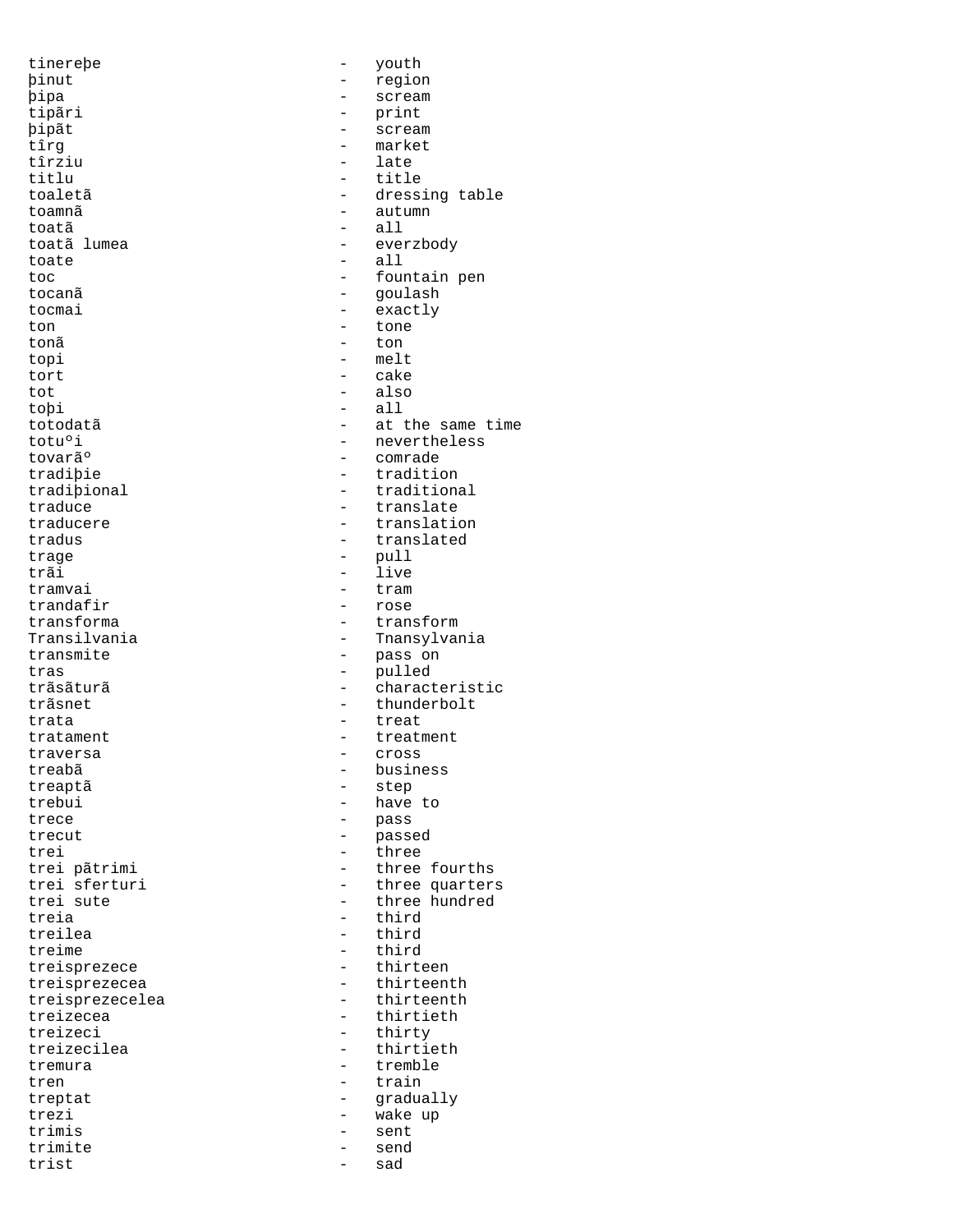tinereþe - youth þinut - region -<br>þipa - scream<br>tipãri - print þipãt - scream - scream - scream - scream - scream - scream - scream - scream - scream - scream - scream - scream - scream - scream - scream - scream - scream - scream - scream - scream - scream - scream - scream - scream tîrziu<br>titlu titlu - title - title - title - title - title - title - title - title - title - title - title - title - title - title - title - title - title - title - title - title - title - title - title - title - title - title - title toamnã - autumn toatã - all toate - all tocanã <br/> - goulash - goulash - goulash - goulash - goulash - goulash - goulash - goulash - goulash - goulash - goulash - goulash - goulash - goulash - goulash - goulash - goulash - goulash - goulash - goulash - goulash tocmai - exactly<br>ton - tone - tone ton - tone tonã - ton topi – melt<br>tort – cake tort - cake tot - also toþi - all<br>totodatã - at 1 tovar㺠e comrade de comrade de comrade de comrade de comrade de comrade de comrade de comrade de comrade de c<br>Executiva de composición de composición de composición de composición de composición de composición de composi trage - pull trãi - live<br>tramvai - tram tramvai - tram<br>trandafir - rose trandafir<br>transforma - rose<br>transforma - trans tras - pulled trata  $-$  treat traversa - cross treabã - business treaptã - step trebui - have to<br>trece - have to trecut - passed trei - three<br>trei pãtrimi - three treia - third treime - third<br>treisprezece - thirteen treisprezecelea<br>treizecea treizeci - thirty<br>treizecilea - thirtie tremura - tremble tren  $-$  train trezi - wake up<br>trimis - sent - sent trimis - sent trimite - send trist

- print<br>- scream - market<br>- late - dressing table - everzbody toc  $\qquad \qquad -$  fountain pen totodatã - at the same time<br>totu<sup>o</sup>i - at the same time totu<sup>o</sup>i - nevertheless<br>tovar㺠- comrade - comrade - tradition tradiþional - traditional - traditional - traditional - traditional - translate traduce - translate traducere  $\qquad \qquad \qquad -$  translation<br>tradus - translated - translated transforma<br>Transilvania - transilvania - transvivania Transilvania - Transylvania<br>transmite - Thansylvania - pass on trãsãturã - characteristic trãsnet <br/>  $\hfill$  - thunderbolt tratament - treatment - pass - three fourths trei sferturi - three quarters trei sute  $\qquad \qquad -$  three hundred - third<br>- third treisprezece - thirteen treisprezecea - thirteenth<br>treisprezecelea - thirteenth treizecea - thirtieth<br>treizeci - thirty - thirty - thirtieth treptat - gradually<br>trezi - wake up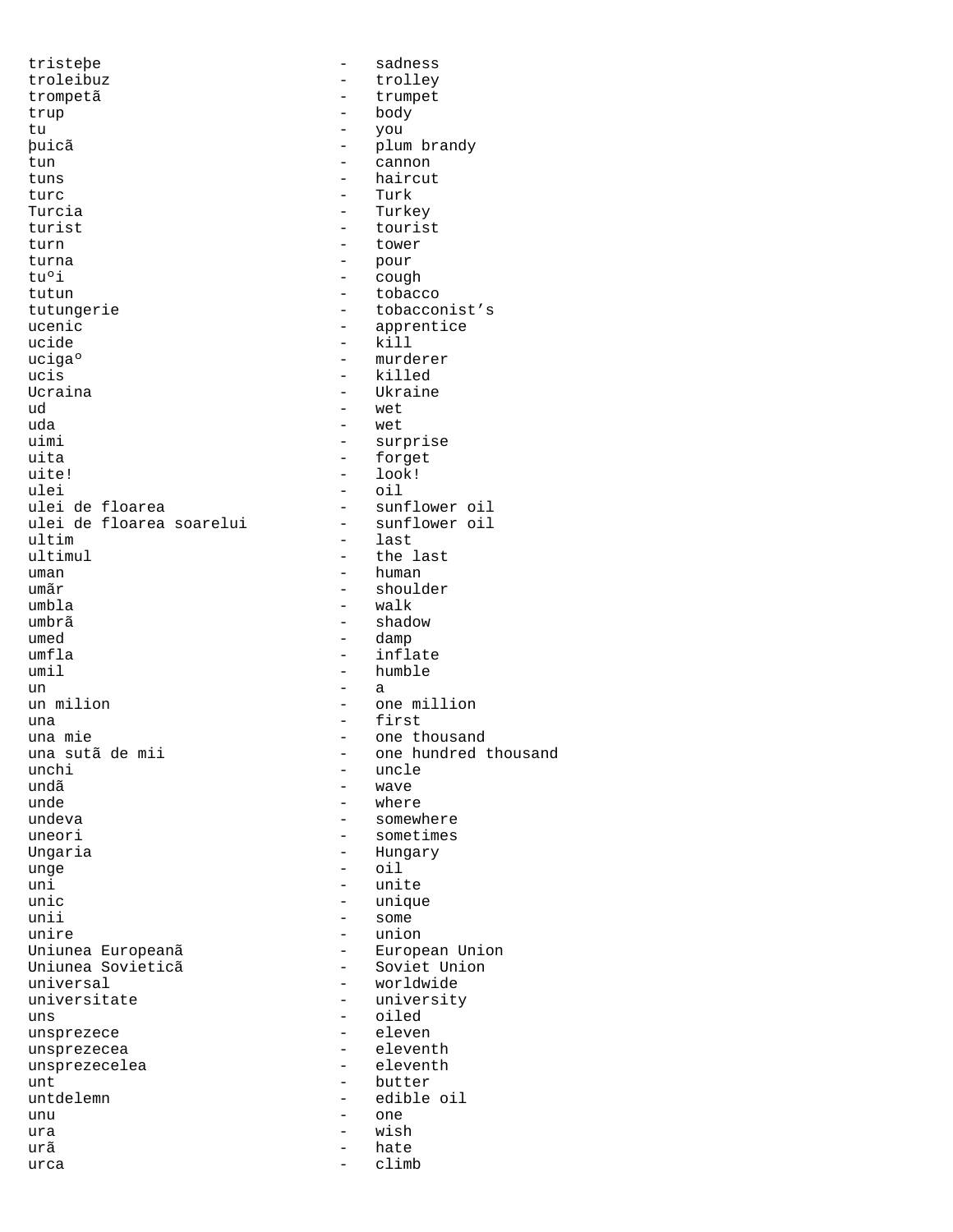tristeþe - sadness troleibuz - trolley trompetã - trumpet<br>trup - hody - hody trup - body - body - body - body - body - body - body - body - body - body - body - body - body - body - body - body - body - body - body - body - body - body - body - body - body - body - body - body - body - body - body tu - you þuicã - plum brandy tun - cannon - cannon - cannon - cannon - cannon - cannon - cannon - cannon - cannon - cannon - cannon - cannon - cannon - cannon - cannon - cannon - cannon - cannon - cannon - cannon - cannon - cannon - cannon - cannon tuns - haircut<br>turc - Turk - Turk turc - Turk - Turkey turist - tourist turn - tower turna - pour tuºi - cough tutun - tobacco<br>tutungerie - tobacco - tobacconist's ucenic - apprentice - apprentice - apprentice - apprentice - apprentice - apprentice - apprentice -  $\text{kill}$ ucide - kill ucigaº - murderer<br>ucis - killed ucis - killed Ucraina  $\begin{array}{ccc} Ucr & - & \text{Ukraise} \\ \hline \text{Ud} & - & \text{wet} \end{array}$ ud - wet  $\frac{1}{2}$  wet  $\frac{1}{2}$  wet  $\frac{1}{2}$  wet  $\frac{1}{2}$ uda  $-$  wet  $-$  wet  $-$  surf uimi - surprise<br>uita - forget uita - forget uite! - look! - look! - look! - look! - look! - look! - look! - look! - look! - look! - look! - look! - look! - look! - look! - look! - look! - look! - look! - look! - look! - look! - look! - look! - look! - look! - look! ulei - oil - sunflower oil<br>- sunflower oil ulei de floarea soarelui<br>ultim ultim - last ultimul - the last<br>uman - human - human uman  $\frac{1}{2}$  human  $\frac{1}{2}$  human  $\frac{1}{2}$  human  $\frac{1}{2}$ umãr - shoulder umbla - walk umbrã - shadow umed  $-\text{damp}$ <br>umfla  $-\text{inf}$ umfla - inflate - humble un  $-$  a un milion  $\qquad$  - one million una  $\frac{1}{2}$  - first una mie  $\frac{1}{2}$  - one the  $\frac{1}{2}$ una mie - one thousand una sutã de mii  $-$  one hundred thousand<br>unchi - uncle unchi - uncle<br>undã - wave - wave  $und\tilde{a}$  = wave  $-$  wave  $-$  where  $-$  where unde - where undeva<br>uneori - somewhere<br>- sometimes uneori - sometimes<br>
Unqaria - Hungary - Hungary - Hungary unge - oil uni - unite unic - unique unii - some<br>unire - unior - union<br>- European Union Uniunea Europeanã (Campana - European Union - European Union - Campana Union - Soviet Union - Soviet Union - Soviet Union - Soviet Union - Soviet Union - Soviet Union - Soviet Union - Soviet Union - Soviet Union - Soviet U Uniunea Sovieticã<br>universal universal - worldwide universitate - university - oiled<br>- eleven unsprezece unsprezecea - eleventh<br>unsprezecelea - eleventh unsprezecelea<br>unt - butter untdelemn - edible oil unu - one ura - wish - wish - wish - wish - wish - wish -  $\sim$  $urca$  - hate  $-$  hate  $-$  climb  $urca$  - climb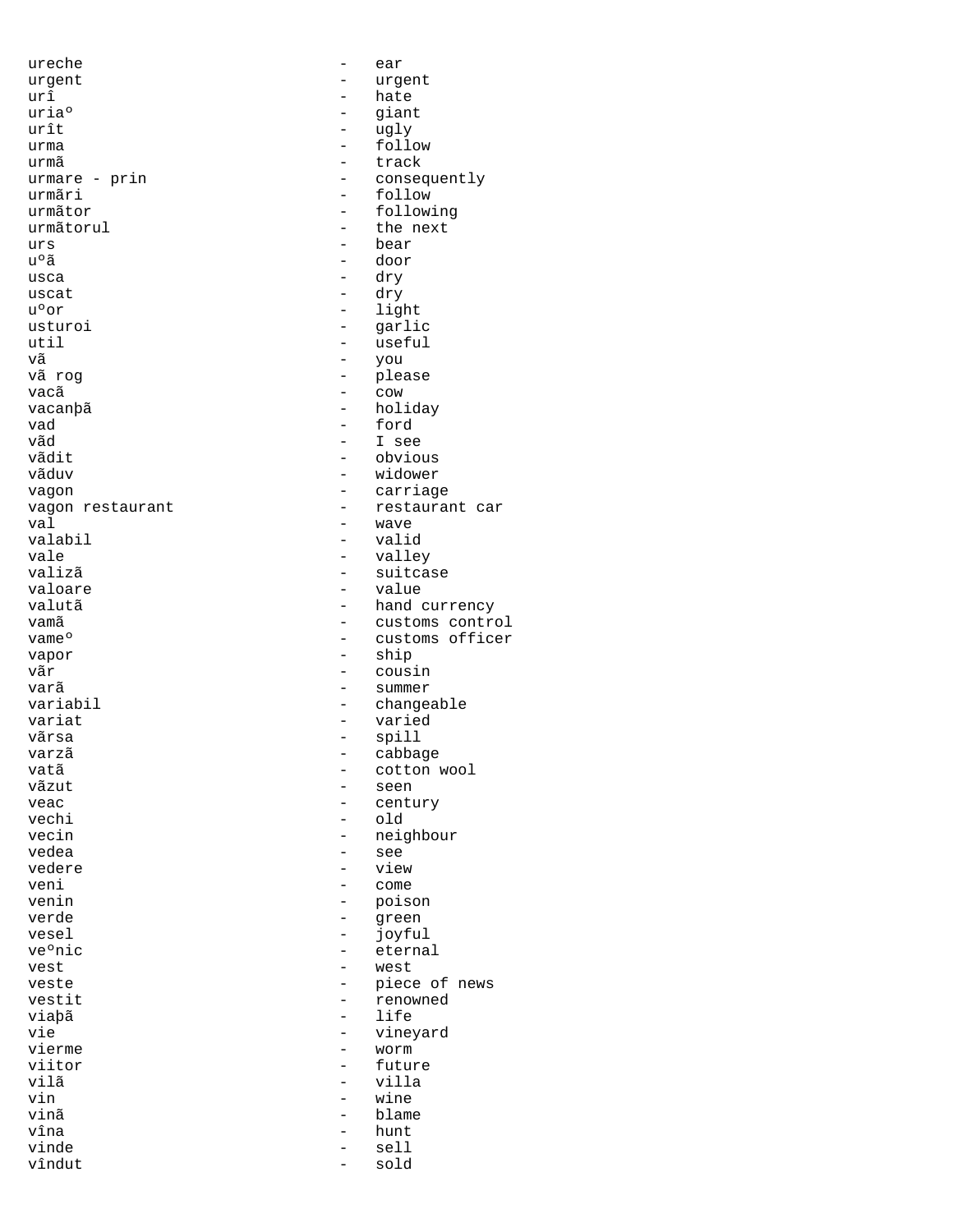ureche - ear urgent - urgent  $ur\hat{1}$  and  $ur\hat{2}$  and  $ur\hat{3}$  and  $r$  and  $r$  and  $r$  and  $r$  and  $r$  and  $r$  and  $r$  and  $r$  and  $r$  and  $r$  and  $r$  and  $r$  and  $r$  and  $r$  and  $r$  and  $r$  and  $r$  and  $r$  and  $r$  and  $r$  and  $r$  and  $r$  and  $r$  an uriaº - giant<br>urît - giant<br>- uqlv urît  $\begin{array}{ccc} \text{unif} & - & \text{unif} \\ \text{unif} & - & \text{unif} \end{array}$ urma - follow urmã - track urmare - prin - consequently<br>urmãri - follow urmãri - follow - follow - follow - follow urmãtor - following - the next urs - bear - door usca - dry uscat  $\frac{1}{u^{\circ}$  or  $\frac{1}{u^{\circ}}$  are  $\frac{1}{u^{\circ}}$  and  $\frac{1}{u^{\circ}}$ - light usturoi - garlic<br>util - useful util - useful vã - you vã rog - please vacã componente de la componente de la componente de la componente de la componente de la componente de la com vacanþã - holiday vad - ford vãd - I see vãdit - obvious - obvious - obvious - obvious - obvious - obvious - obvious - obvious - obvious - obvious - obvious - obvious - obvious - obvious - obvious - obvious - obvious - obvious - obvious - obvious - obvious - obvi - widower vagon - carriage vagon restaurant  $\overline{ }$  - restaurant car val - wave valabil - valid vale - valley valizã - suitcase valoare - value valutã  $\begin{array}{ccc}\n & - & \text{hand currency} \\
 & - & \text{customs } & \text{contr} \\
\end{array}$ vamã customs control de customs control<br>vame<sup>o</sup> de customs officer vame<sup>o</sup> - customs officer<br>vapor - ship<br>- ship vapor - ship - cousin varã - summer variabil - changeable variat - varied - spill<br>- cabba varzã - cabbage vatã  $-$  cotton wool<br>vãzut - seen vãzut - seen veac - century<br>vechi - century<br>- old vechi - old<br>vecin - oriental - oriental - oriental - oriental - oriental - oriental - oriental - oriental - oriental - oriental - oriental - oriental - oriental - oriental - oriental - oriental - oriental - oriental - orie vecin - neighbour<br>vedea - see - see vedea - see - view veni - come venin - poison verde - green vesel - joyful - eternal<br>- west vest  $-$  west veste  $-$  piece of news<br>vestit  $-$  piece of news vestit - renowned<br>
viabã - life<br>
- life viaþã - life vie - vineyard - vineyard - vineyard - vineyard - vineyard vierme – worm<br>viitor – futur – futur viitor - future - future - villa<br>vilã - villa vilã - villa vin - wine vinã - blame vîna - hunt - sell<br>- sold vîndut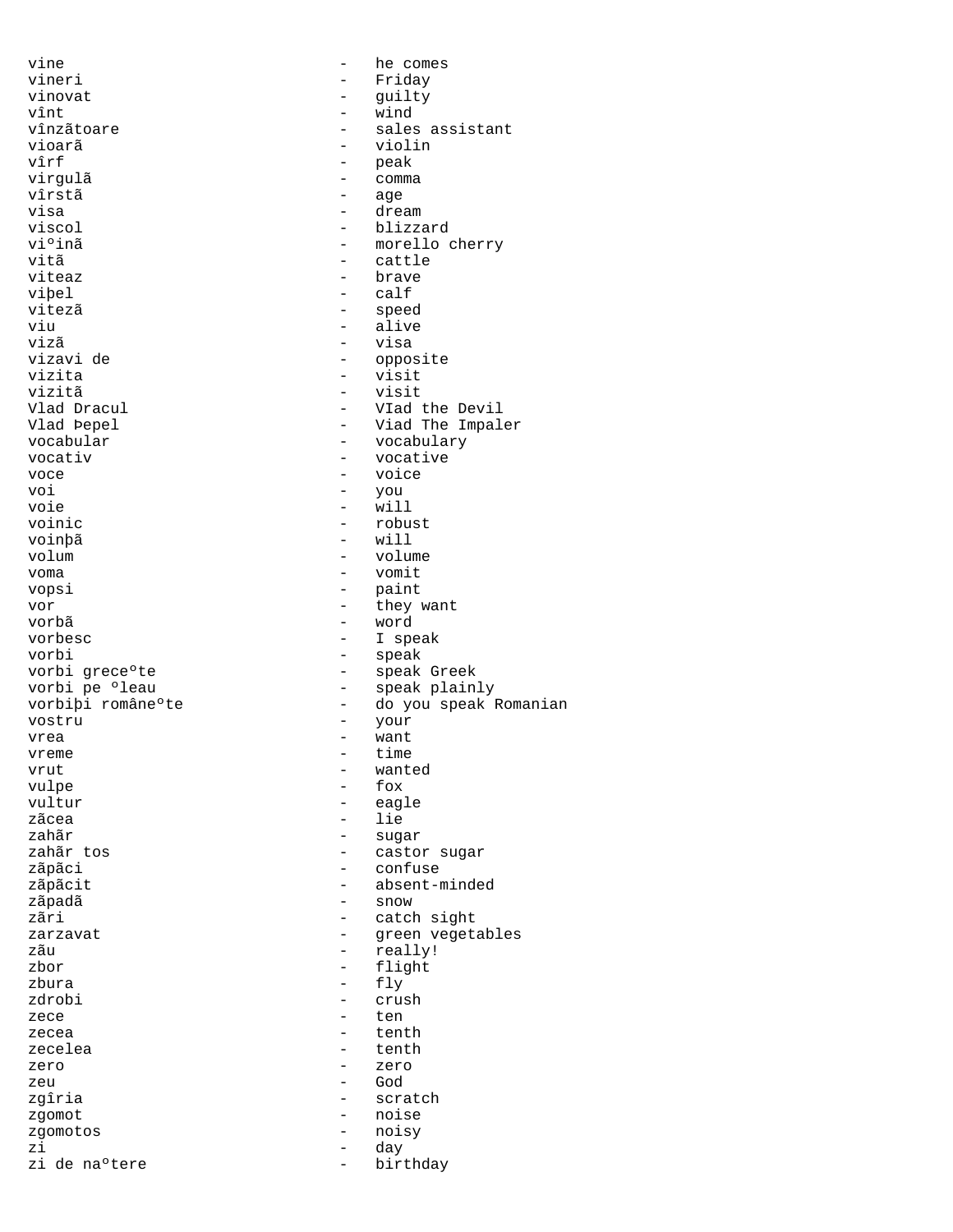vine  $\qquad$  - he comes vineri - Friday vinovat - guilty vînt - wind vînzãtoare - sales assistant<br>vioarã - sales assistant vioarã - violin vîrf - peak virgulã - comma vîrstã - age<br>visa - age - age visa - dream viscol - blizzard<br>vi<sup>o</sup>inã - morello *c* viºinã - morello cherry<br>vitã - cattle - cattle - cattle viteaz - brave viþel - calf vitezã speed - speed - speed - speed - speed - speed - speed - speed - speed - speed - speed - speed - speed viu - alive vizã - visa vizavi de - opposite vizita - visit vizitã - visit Vlad Dracul - VIad the Devil Vlad Þepel - Viad The Impaler vocabular - vocabulary - vocabulary - vocabulary - vocabulary - vocabulary - vocative - vocative voce  $\overline{v}$  - voice voi - you voie - will voinic - robust voinþã - will volum - volume voma - vomit vopsi - paint<br>vor - they v vor - they want vorbã - word vorbesc - I speak vorbi - speak vorbi greceºte - speak Greek - speak plainly vorbiþi române°te - do you speak Romanian vostru - your - your - your - your - your - your - your - your - your - your - your - your - your - your - your vrea  $-$  want vreme time time<br>vrut – want vrut - wanted<br>vulpe - fox - fox vulpe - fox<br>vultur - eag vultur - eagle zãcea - lie<br>zahãr - lie - lie zahãr - sugar - castor sugar zãpãci - confuse zãpãcit - absent-minded zãpadã - snow - catch sight zarzavat - green vegetables zãu - really!<br>zbor - really! - really! zbor - flight zbura - fly crush zece  $\overline{z}$  ten zecea - tenth zecelea - tenth zero  $-$  zero  $-$  zero zeu - God zgîria - scratch zgomot - noise zgomotos - noisy zi - day zi de na°tere  $-$  birthday